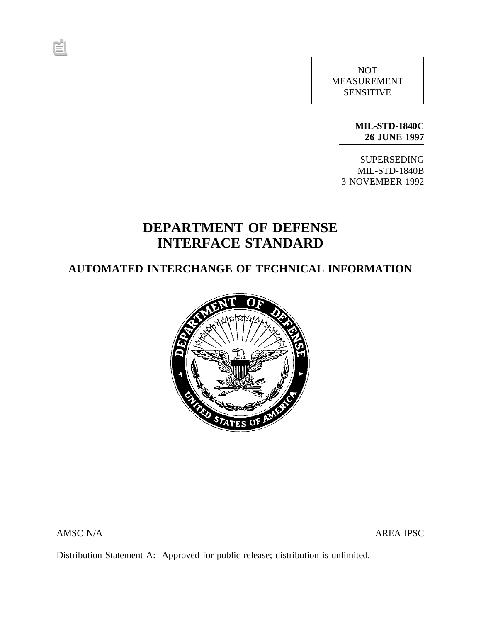NOT MEASUREMENT SENSITIVE

> **MIL-STD-1840C 26 JUNE 1997**

SUPERSEDING MIL-STD-1840B 3 NOVEMBER 1992

# **DEPARTMENT OF DEFENSE INTERFACE STANDARD**

## **AUTOMATED INTERCHANGE OF TECHNICAL INFORMATION**



AMSC N/A AREA IPSC

Distribution Statement A: Approved for public release; distribution is unlimited.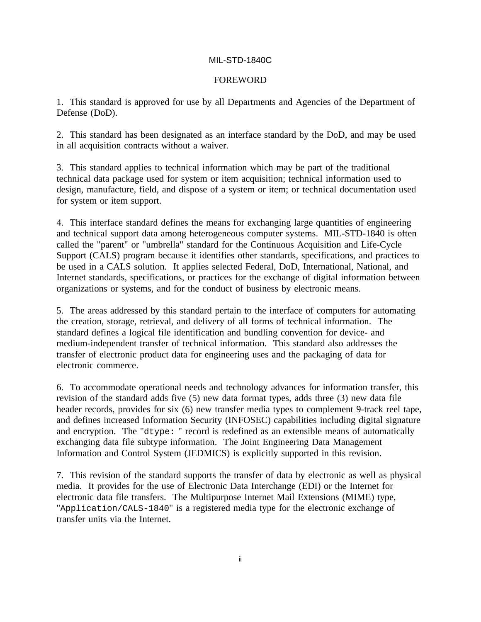#### FOREWORD

1. This standard is approved for use by all Departments and Agencies of the Department of Defense (DoD).

2. This standard has been designated as an interface standard by the DoD, and may be used in all acquisition contracts without a waiver.

3. This standard applies to technical information which may be part of the traditional technical data package used for system or item acquisition; technical information used to design, manufacture, field, and dispose of a system or item; or technical documentation used for system or item support.

4. This interface standard defines the means for exchanging large quantities of engineering and technical support data among heterogeneous computer systems. MIL-STD-1840 is often called the "parent" or "umbrella" standard for the Continuous Acquisition and Life-Cycle Support (CALS) program because it identifies other standards, specifications, and practices to be used in a CALS solution. It applies selected Federal, DoD, International, National, and Internet standards, specifications, or practices for the exchange of digital information between organizations or systems, and for the conduct of business by electronic means.

5. The areas addressed by this standard pertain to the interface of computers for automating the creation, storage, retrieval, and delivery of all forms of technical information. The standard defines a logical file identification and bundling convention for device- and medium-independent transfer of technical information. This standard also addresses the transfer of electronic product data for engineering uses and the packaging of data for electronic commerce.

6. To accommodate operational needs and technology advances for information transfer, this revision of the standard adds five (5) new data format types, adds three (3) new data file header records, provides for six (6) new transfer media types to complement 9-track reel tape, and defines increased Information Security (INFOSEC) capabilities including digital signature and encryption. The "dtype: " record is redefined as an extensible means of automatically exchanging data file subtype information. The Joint Engineering Data Management Information and Control System (JEDMICS) is explicitly supported in this revision.

7. This revision of the standard supports the transfer of data by electronic as well as physical media. It provides for the use of Electronic Data Interchange (EDI) or the Internet for electronic data file transfers. The Multipurpose Internet Mail Extensions (MIME) type, "Application/CALS-1840" is a registered media type for the electronic exchange of transfer units via the Internet.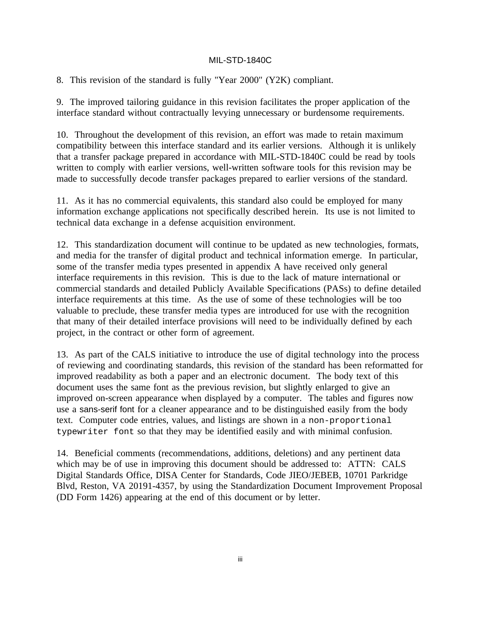8. This revision of the standard is fully "Year 2000" (Y2K) compliant.

9. The improved tailoring guidance in this revision facilitates the proper application of the interface standard without contractually levying unnecessary or burdensome requirements.

10. Throughout the development of this revision, an effort was made to retain maximum compatibility between this interface standard and its earlier versions. Although it is unlikely that a transfer package prepared in accordance with MIL-STD-1840C could be read by tools written to comply with earlier versions, well-written software tools for this revision may be made to successfully decode transfer packages prepared to earlier versions of the standard.

11. As it has no commercial equivalents, this standard also could be employed for many information exchange applications not specifically described herein. Its use is not limited to technical data exchange in a defense acquisition environment.

12. This standardization document will continue to be updated as new technologies, formats, and media for the transfer of digital product and technical information emerge. In particular, some of the transfer media types presented in appendix A have received only general interface requirements in this revision. This is due to the lack of mature international or commercial standards and detailed Publicly Available Specifications (PASs) to define detailed interface requirements at this time. As the use of some of these technologies will be too valuable to preclude, these transfer media types are introduced for use with the recognition that many of their detailed interface provisions will need to be individually defined by each project, in the contract or other form of agreement.

13. As part of the CALS initiative to introduce the use of digital technology into the process of reviewing and coordinating standards, this revision of the standard has been reformatted for improved readability as both a paper and an electronic document. The body text of this document uses the same font as the previous revision, but slightly enlarged to give an improved on-screen appearance when displayed by a computer. The tables and figures now use a sans-serif font for a cleaner appearance and to be distinguished easily from the body text. Computer code entries, values, and listings are shown in a non-proportional typewriter font so that they may be identified easily and with minimal confusion.

14. Beneficial comments (recommendations, additions, deletions) and any pertinent data which may be of use in improving this document should be addressed to: ATTN: CALS Digital Standards Office, DISA Center for Standards, Code JIEO/JEBEB, 10701 Parkridge Blvd, Reston, VA 20191-4357, by using the Standardization Document Improvement Proposal (DD Form 1426) appearing at the end of this document or by letter.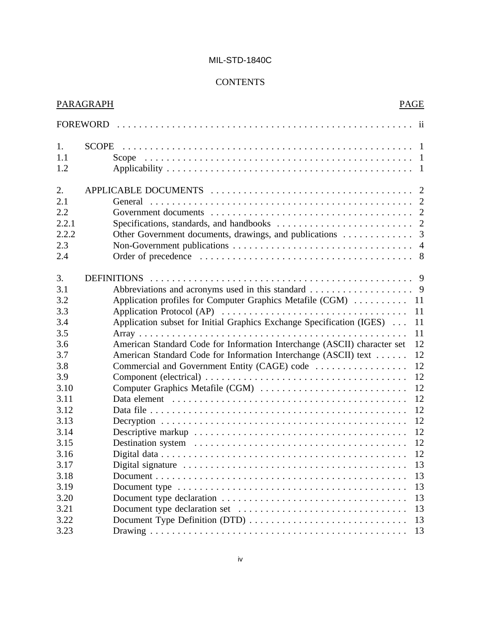## **CONTENTS**

|                                                  | PARAGRAPH                                                                | <b>PAGE</b> |
|--------------------------------------------------|--------------------------------------------------------------------------|-------------|
|                                                  |                                                                          |             |
| 1.<br>1.1<br>1.2                                 |                                                                          |             |
| 2.<br>2.1<br>2.2<br>2.2.1<br>2.2.2<br>2.3<br>2.4 |                                                                          |             |
| 3.<br>3.1                                        |                                                                          |             |
| 3.2<br>3.3                                       | Application profiles for Computer Graphics Metafile (CGM)                | 11<br>11    |
| 3.4                                              | Application subset for Initial Graphics Exchange Specification (IGES)    | 11          |
| 3.5                                              |                                                                          | 11          |
| 3.6                                              | American Standard Code for Information Interchange (ASCII) character set | 12          |
| 3.7                                              | American Standard Code for Information Interchange (ASCII) text          | 12          |
| 3.8                                              | Commercial and Government Entity (CAGE) code                             | 12          |
| 3.9                                              |                                                                          | 12          |
| 3.10                                             | Computer Graphics Metafile (CGM)                                         | 12          |
| 3.11                                             |                                                                          | 12          |
| 3.12                                             |                                                                          | 12          |
| 3.13                                             |                                                                          | 12          |
| 3.14                                             |                                                                          | 12          |
| 3.15                                             |                                                                          | 12          |
| 3.16                                             |                                                                          |             |
| 3.17                                             |                                                                          | 13          |
| 3.18                                             |                                                                          | 13          |
| 3.19                                             |                                                                          | 13          |
| 3.20                                             |                                                                          | 13          |
| 3.21                                             |                                                                          | 13          |
| 3.22                                             |                                                                          | 13          |
| 3.23                                             |                                                                          | 13          |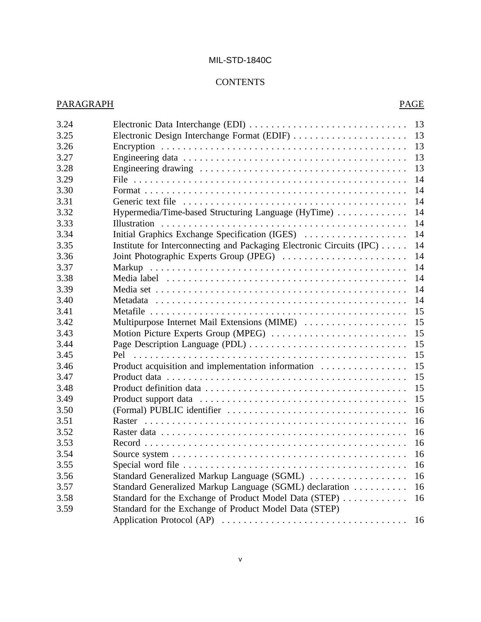## **CONTENTS**

| 3.24 |                                                                       | 13 |
|------|-----------------------------------------------------------------------|----|
| 3.25 |                                                                       | 13 |
| 3.26 |                                                                       | 13 |
| 3.27 |                                                                       | 13 |
| 3.28 |                                                                       | 13 |
| 3.29 |                                                                       | 14 |
| 3.30 |                                                                       | 14 |
| 3.31 |                                                                       | 14 |
| 3.32 | Hypermedia/Time-based Structuring Language (HyTime)                   | 14 |
| 3.33 |                                                                       | 14 |
| 3.34 | Initial Graphics Exchange Specification (IGES)                        | 14 |
| 3.35 | Institute for Interconnecting and Packaging Electronic Circuits (IPC) | 14 |
| 3.36 | Joint Photographic Experts Group (JPEG)                               | 14 |
| 3.37 | Markup                                                                | 14 |
| 3.38 |                                                                       | 14 |
| 3.39 |                                                                       | 14 |
| 3.40 |                                                                       | 14 |
| 3.41 |                                                                       | 15 |
| 3.42 | Multipurpose Internet Mail Extensions (MIME)                          | 15 |
| 3.43 | Motion Picture Experts Group (MPEG)                                   | 15 |
| 3.44 |                                                                       | 15 |
| 3.45 |                                                                       | 15 |
| 3.46 | Product acquisition and implementation information                    | 15 |
| 3.47 |                                                                       | 15 |
| 3.48 |                                                                       | 15 |
| 3.49 |                                                                       | 15 |
| 3.50 |                                                                       | 16 |
| 3.51 |                                                                       | 16 |
| 3.52 |                                                                       | 16 |
| 3.53 |                                                                       | 16 |
| 3.54 |                                                                       | 16 |
| 3.55 |                                                                       | 16 |
| 3.56 | Standard Generalized Markup Language (SGML)                           | 16 |
| 3.57 | Standard Generalized Markup Language (SGML) declaration               | 16 |
| 3.58 | Standard for the Exchange of Product Model Data (STEP)                | 16 |
| 3.59 | Standard for the Exchange of Product Model Data (STEP)                |    |
|      |                                                                       | 16 |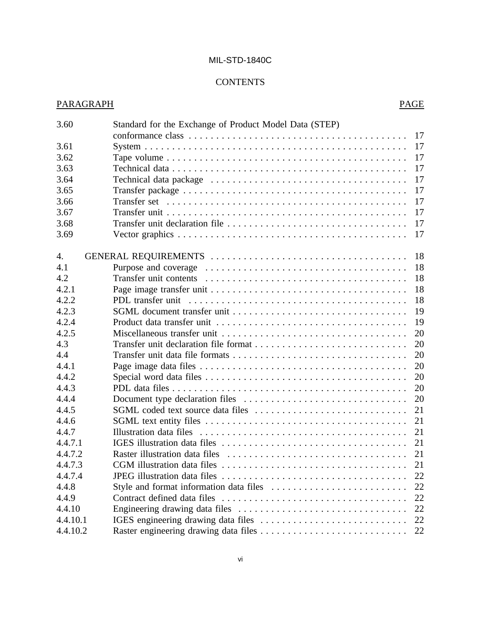## **CONTENTS**

| 3.60     | Standard for the Exchange of Product Model Data (STEP) |    |
|----------|--------------------------------------------------------|----|
|          |                                                        | 17 |
| 3.61     |                                                        | 17 |
| 3.62     |                                                        | 17 |
| 3.63     |                                                        | 17 |
| 3.64     |                                                        | 17 |
| 3.65     |                                                        | 17 |
| 3.66     |                                                        | 17 |
| 3.67     |                                                        | 17 |
| 3.68     |                                                        | 17 |
| 3.69     |                                                        | 17 |
| 4.       |                                                        | 18 |
| 4.1      |                                                        | 18 |
| 4.2      |                                                        | 18 |
| 4.2.1    |                                                        | 18 |
| 4.2.2    |                                                        | 18 |
| 4.2.3    |                                                        | 19 |
| 4.2.4    |                                                        | 19 |
| 4.2.5    |                                                        | 20 |
| 4.3      |                                                        | 20 |
| 4.4      |                                                        | 20 |
| 4.4.1    |                                                        | 20 |
| 4.4.2    |                                                        | 20 |
| 4.4.3    |                                                        | 20 |
| 4.4.4    |                                                        | 20 |
| 4.4.5    |                                                        | 21 |
| 4.4.6    |                                                        | 21 |
| 4.4.7    |                                                        | 21 |
| 4.4.7.1  |                                                        | 21 |
| 4.4.7.2  |                                                        | 21 |
| 4.4.7.3  |                                                        | 21 |
| 4.4.7.4  |                                                        | 22 |
| 4.4.8    |                                                        | 22 |
| 4.4.9    |                                                        | 22 |
| 4.4.10   |                                                        | 22 |
| 4.4.10.1 |                                                        | 22 |
| 4.4.10.2 |                                                        | 22 |
|          |                                                        |    |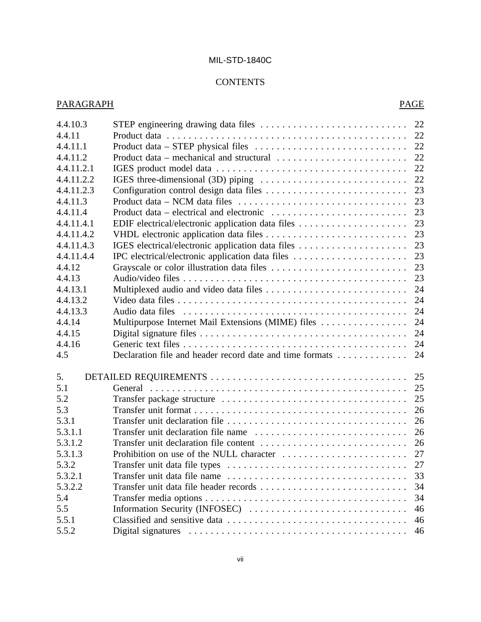## **CONTENTS**

| 4.4.10.3   |                                                                                                   | 22 |
|------------|---------------------------------------------------------------------------------------------------|----|
| 4.4.11     |                                                                                                   | 22 |
| 4.4.11.1   |                                                                                                   | 22 |
| 4.4.11.2   |                                                                                                   | 22 |
| 4.4.11.2.1 |                                                                                                   | 22 |
| 4.4.11.2.2 |                                                                                                   | 22 |
| 4.4.11.2.3 |                                                                                                   | 23 |
| 4.4.11.3   | Product data – NCM data files $\dots \dots \dots \dots \dots \dots \dots \dots \dots \dots \dots$ | 23 |
| 4.4.11.4   |                                                                                                   | 23 |
| 4.4.11.4.1 |                                                                                                   | 23 |
| 4.4.11.4.2 |                                                                                                   | 23 |
| 4.4.11.4.3 |                                                                                                   | 23 |
| 4.4.11.4.4 |                                                                                                   | 23 |
| 4.4.12     |                                                                                                   | 23 |
| 4.4.13     |                                                                                                   | 23 |
| 4.4.13.1   |                                                                                                   | 24 |
| 4.4.13.2   |                                                                                                   | 24 |
| 4.4.13.3   |                                                                                                   | 24 |
| 4.4.14     | Multipurpose Internet Mail Extensions (MIME) files                                                | 24 |
| 4.4.15     |                                                                                                   | 24 |
| 4.4.16     |                                                                                                   | 24 |
| 4.5        | Declaration file and header record date and time formats                                          | 24 |
| 5.         |                                                                                                   | 25 |
| 5.1        |                                                                                                   | 25 |
| 5.2        |                                                                                                   | 25 |
| 5.3        |                                                                                                   | 26 |
| 5.3.1      |                                                                                                   | 26 |
| 5.3.1.1    |                                                                                                   | 26 |
| 5.3.1.2    |                                                                                                   | 26 |
| 5.3.1.3    |                                                                                                   |    |
| 5.3.2      |                                                                                                   |    |
| 5.3.2.1    |                                                                                                   | 33 |
| 5.3.2.2    |                                                                                                   | 34 |
| 5.4        |                                                                                                   | 34 |
| 5.5        | Information Security (INFOSEC)                                                                    | 46 |
| 5.5.1      |                                                                                                   | 46 |
| 5.5.2      |                                                                                                   | 46 |
|            |                                                                                                   |    |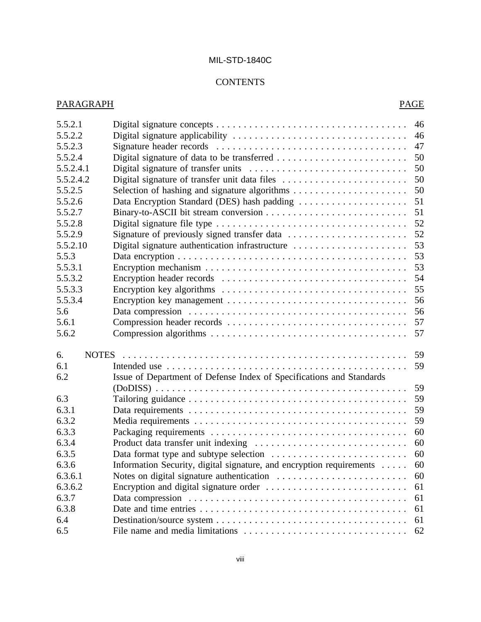## **CONTENTS**

| 5.5.2.1   |                                                                      | 46 |
|-----------|----------------------------------------------------------------------|----|
| 5.5.2.2   |                                                                      | 46 |
| 5.5.2.3   |                                                                      | 47 |
| 5.5.2.4   |                                                                      | 50 |
| 5.5.2.4.1 |                                                                      | 50 |
| 5.5.2.4.2 |                                                                      | 50 |
| 5.5.2.5   |                                                                      | 50 |
| 5.5.2.6   | Data Encryption Standard (DES) hash padding                          | 51 |
| 5.5.2.7   |                                                                      | 51 |
| 5.5.2.8   |                                                                      | 52 |
| 5.5.2.9   | Signature of previously signed transfer data                         | 52 |
| 5.5.2.10  |                                                                      | 53 |
| 5.5.3     |                                                                      | 53 |
| 5.5.3.1   |                                                                      | 53 |
| 5.5.3.2   |                                                                      | 54 |
| 5.5.3.3   |                                                                      | 55 |
| 5.5.3.4   |                                                                      | 56 |
| 5.6       |                                                                      | 56 |
| 5.6.1     |                                                                      | 57 |
| 5.6.2     |                                                                      | 57 |
| 6.        |                                                                      | 59 |
| 6.1       |                                                                      | 59 |
| 6.2       | Issue of Department of Defense Index of Specifications and Standards |    |
|           |                                                                      | 59 |
| 6.3       |                                                                      | 59 |
| 6.3.1     |                                                                      | 59 |
| 6.3.2     |                                                                      | 59 |
| 6.3.3     |                                                                      | 60 |
| 6.3.4     |                                                                      | 60 |
| 6.3.5     |                                                                      | 60 |
| 6.3.6     | Information Security, digital signature, and encryption requirements | 60 |
| 6.3.6.1   |                                                                      | 60 |
| 6.3.6.2   |                                                                      | 61 |
| 6.3.7     |                                                                      | 61 |
| 6.3.8     |                                                                      | 61 |
| 6.4       |                                                                      | 61 |
| 6.5       |                                                                      | 62 |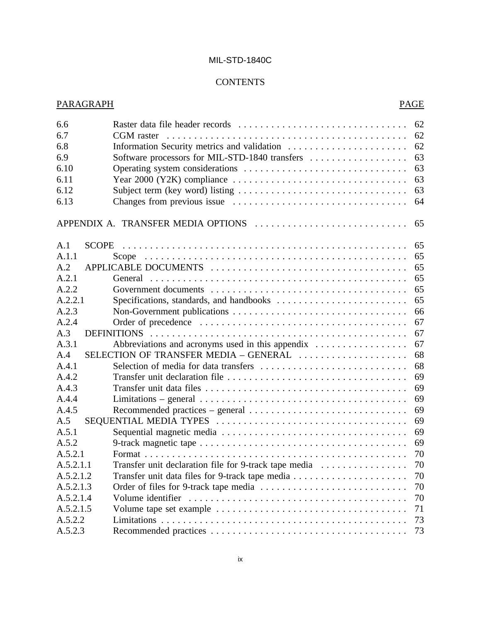## **CONTENTS**

| 6.6       |                                                                                                      | 62 |
|-----------|------------------------------------------------------------------------------------------------------|----|
| 6.7       | CGM raster                                                                                           | 62 |
| 6.8       | Information Security metrics and validation                                                          | 62 |
| 6.9       | Software processors for MIL-STD-1840 transfers                                                       | 63 |
| 6.10      |                                                                                                      | 63 |
| 6.11      | Year 2000 (Y2K) compliance $\ldots \ldots \ldots \ldots \ldots \ldots \ldots \ldots \ldots \ldots$   | 63 |
| 6.12      |                                                                                                      | 63 |
| 6.13      |                                                                                                      | 64 |
|           | APPENDIX A. TRANSFER MEDIA OPTIONS                                                                   | 65 |
| A.1       |                                                                                                      | 65 |
| A.1.1     |                                                                                                      | 65 |
| A.2       |                                                                                                      | 65 |
| A.2.1     |                                                                                                      | 65 |
| A.2.2     |                                                                                                      | 65 |
| A.2.2.1   |                                                                                                      | 65 |
| A.2.3     |                                                                                                      | 66 |
| A.2.4     |                                                                                                      | 67 |
| A.3       |                                                                                                      | 67 |
| A.3.1     | Abbreviations and acronyms used in this appendix                                                     | 67 |
| A.4       | SELECTION OF TRANSFER MEDIA - GENERAL                                                                | 68 |
| A.4.1     |                                                                                                      | 68 |
| A.4.2     |                                                                                                      | 69 |
| A.4.3     |                                                                                                      | 69 |
| A.4.4     | Limitations – general $\ldots \ldots \ldots \ldots \ldots \ldots \ldots \ldots \ldots \ldots \ldots$ | 69 |
| A.4.5     |                                                                                                      | 69 |
| A.5       |                                                                                                      | 69 |
| A.5.1     |                                                                                                      | 69 |
| A.5.2     |                                                                                                      | 69 |
| A.5.2.1   |                                                                                                      | 70 |
| A.5.2.1.1 |                                                                                                      |    |
| A.5.2.1.2 |                                                                                                      | 70 |
| A.5.2.1.3 |                                                                                                      | 70 |
| A.5.2.1.4 |                                                                                                      | 70 |
| A.5.2.1.5 |                                                                                                      | 71 |
| A.5.2.2   |                                                                                                      | 73 |
| A.5.2.3   |                                                                                                      | 73 |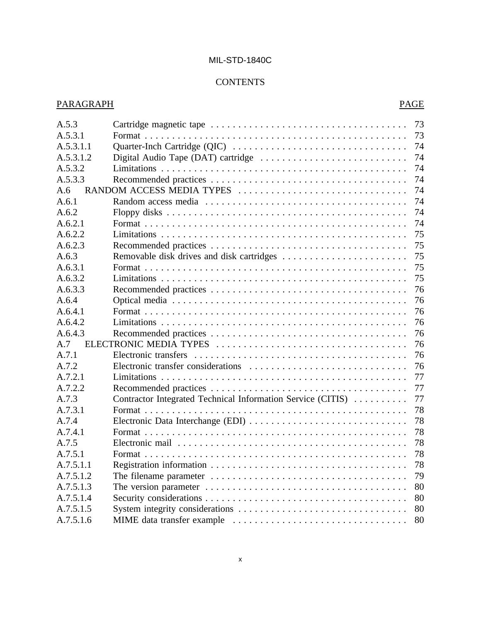## **CONTENTS**

| A.5.3     | 73                                                                |  |
|-----------|-------------------------------------------------------------------|--|
| A.5.3.1   | 73                                                                |  |
| A.5.3.1.1 | 74                                                                |  |
| A.5.3.1.2 | 74                                                                |  |
| A.5.3.2   | 74                                                                |  |
| A.5.3.3   | 74                                                                |  |
| A.6       | 74<br>RANDOM ACCESS MEDIA TYPES                                   |  |
| A.6.1     | 74                                                                |  |
| A.6.2     | 74                                                                |  |
| A.6.2.1   | 74                                                                |  |
| A.6.2.2   | 75                                                                |  |
| A.6.2.3   | 75                                                                |  |
| A.6.3     | 75                                                                |  |
| A.6.3.1   | 75                                                                |  |
| A.6.3.2   | 75                                                                |  |
| A.6.3.3   | 76                                                                |  |
| A.6.4     | 76                                                                |  |
| A.6.4.1   | 76                                                                |  |
| A.6.4.2   | 76                                                                |  |
| A.6.4.3   | 76                                                                |  |
| A.7       | 76                                                                |  |
| A.7.1     | 76                                                                |  |
| A.7.2     | 76                                                                |  |
| A.7.2.1   | 77                                                                |  |
| A.7.2.2   | 77                                                                |  |
| A.7.3     | Contractor Integrated Technical Information Service (CITIS)<br>77 |  |
| A.7.3.1   | 78                                                                |  |
| A.7.4     | Electronic Data Interchange (EDI)<br>78                           |  |
| A.7.4.1   | 78                                                                |  |
| A.7.5     | 78                                                                |  |
| A.7.5.1   | 78                                                                |  |
| A.7.5.1.1 | 78                                                                |  |
| A.7.5.1.2 | 79                                                                |  |
| A.7.5.1.3 | 80                                                                |  |
| A.7.5.1.4 | 80                                                                |  |
| A.7.5.1.5 | 80                                                                |  |
| A.7.5.1.6 | 80                                                                |  |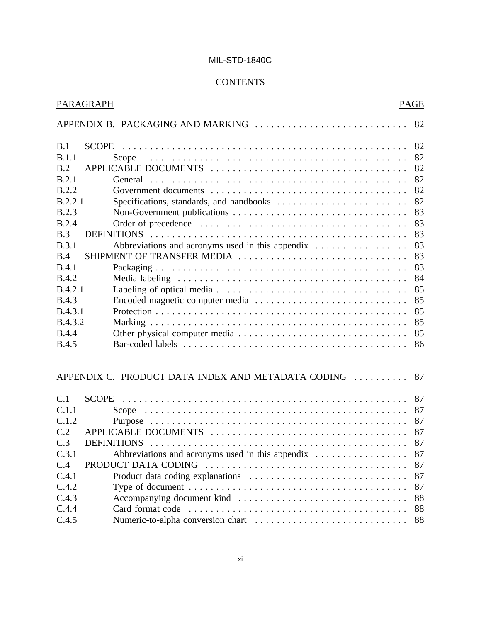## **CONTENTS**

|                | PARAGRAPH                                          | <b>PAGE</b> |
|----------------|----------------------------------------------------|-------------|
|                |                                                    |             |
| B.1            |                                                    | 82          |
| B.1.1          |                                                    | 82          |
| B.2            |                                                    | 82          |
| B.2.1          |                                                    | 82          |
| B.2.2          |                                                    | 82          |
| B.2.2.1        |                                                    | 82          |
| B.2.3          |                                                    | 83          |
| <b>B.2.4</b>   |                                                    | 83          |
| B.3            |                                                    | 83          |
| <b>B.3.1</b>   | Abbreviations and acronyms used in this appendix   | 83          |
| B.4            | SHIPMENT OF TRANSFER MEDIA                         | 83          |
| B.4.1          |                                                    | 83          |
| <b>B.4.2</b>   |                                                    | 84          |
| <b>B.4.2.1</b> |                                                    | 85          |
| <b>B.4.3</b>   |                                                    | 85          |
| B.4.3.1        |                                                    | 85          |
| B.4.3.2        |                                                    | 85          |
| <b>B.4.4</b>   |                                                    | 85          |
| <b>B.4.5</b>   |                                                    | 86          |
|                | APPENDIX C. PRODUCT DATA INDEX AND METADATA CODING | 87          |
| C.1            |                                                    | 87          |
| C.1.1          |                                                    | 87          |
| C.1.2          |                                                    | 87          |
| C.2            |                                                    | 87          |
| C.3            |                                                    | 87          |
| C.3.1          | Abbreviations and acronyms used in this appendix   | 87          |
| C.4            | PRODUCT DATA CODING                                | 87          |
| C.4.1          |                                                    | 87          |
| C.4.2          |                                                    | 87          |
| C.4.3          |                                                    | 88          |
| C.4.4          |                                                    | 88          |
| C.4.5          |                                                    | 88          |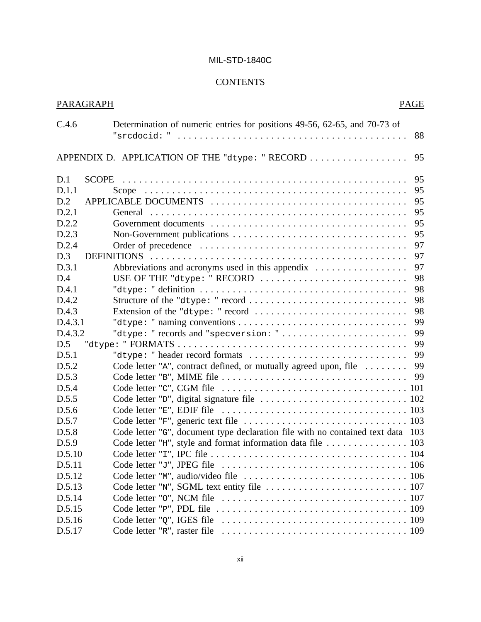## **CONTENTS**

| PARAGRAPH | PAGE                                                                                                 |
|-----------|------------------------------------------------------------------------------------------------------|
| C.4.6     | Determination of numeric entries for positions 49-56, 62-65, and 70-73 of<br>88                      |
|           | APPENDIX D. APPLICATION OF THE "dtype: " RECORD<br>95                                                |
| D.1       | 95                                                                                                   |
| D.1.1     | 95                                                                                                   |
| D.2       | 95                                                                                                   |
| D.2.1     | 95                                                                                                   |
| D.2.2     | 95                                                                                                   |
| D.2.3     | 95                                                                                                   |
| D.2.4     | 97                                                                                                   |
| D.3       | 97                                                                                                   |
| D.3.1     | Abbreviations and acronyms used in this appendix<br>97                                               |
| D.4       | 98<br>USE OF THE "dtype: " RECORD                                                                    |
| D.4.1     | 98                                                                                                   |
| D.4.2     | 98                                                                                                   |
| D.4.3     | Extension of the "dtype: " record<br>98                                                              |
| D.4.3.1   | 99                                                                                                   |
| D.4.3.2   | "dtype: " records and "specversion: "<br>99                                                          |
| D.5       | 99                                                                                                   |
| D.5.1     | 99<br>"dtype: " header record formats $\dots\dots\dots\dots\dots\dots\dots\dots\dots\dots\dots\dots$ |
| D.5.2     | Code letter " $A$ ", contract defined, or mutually agreed upon, file $\ldots \ldots$<br>99           |
| D.5.3     | 99                                                                                                   |
| D.5.4     |                                                                                                      |
| D.5.5     |                                                                                                      |
| D.5.6     |                                                                                                      |
| D.5.7     |                                                                                                      |
| D.5.8     | Code letter "G", document type declaration file with no contained text data 103                      |
| D.5.9     |                                                                                                      |
| D.5.10    |                                                                                                      |
| D.5.11    |                                                                                                      |
| D.5.12    |                                                                                                      |
| D.5.13    |                                                                                                      |
| D.5.14    |                                                                                                      |
| D.5.15    |                                                                                                      |
| D.5.16    |                                                                                                      |
| D.5.17    |                                                                                                      |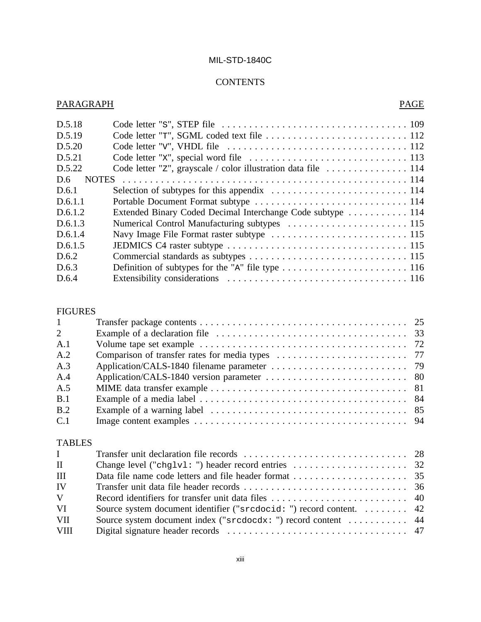## **CONTENTS**

## PARAGRAPH PAGE

| D.5.18              |                                                                |  |
|---------------------|----------------------------------------------------------------|--|
| D.5.19              |                                                                |  |
| D.5.20              |                                                                |  |
| D.5.21              |                                                                |  |
| D.5.22              | Code letter "z", grayscale / color illustration data file  114 |  |
| D.6<br><b>NOTES</b> |                                                                |  |
| D.6.1               |                                                                |  |
| D.6.1.1             |                                                                |  |
| D.6.1.2             | Extended Binary Coded Decimal Interchange Code subtype  114    |  |
| D.6.1.3             |                                                                |  |
| D.6.1.4             |                                                                |  |
| D.6.1.5             |                                                                |  |
| D.6.2               |                                                                |  |
| D.6.3               |                                                                |  |
| D.6.4               |                                                                |  |
|                     |                                                                |  |

## FIGURES

| $\mathbf{1}$   |                                                                                                                     |    |
|----------------|---------------------------------------------------------------------------------------------------------------------|----|
| $\overline{2}$ |                                                                                                                     |    |
| A.1            |                                                                                                                     |    |
| A.2            |                                                                                                                     |    |
| A.3            |                                                                                                                     |    |
| A.4            |                                                                                                                     |    |
| A.5            |                                                                                                                     |    |
| B.1            |                                                                                                                     |    |
| B.2            | Example of a warning label $\ldots \ldots \ldots \ldots \ldots \ldots \ldots \ldots \ldots \ldots \ldots \ldots$ 85 |    |
| C.1            |                                                                                                                     |    |
| <b>TABLES</b>  |                                                                                                                     |    |
| $\mathbf{I}$   |                                                                                                                     |    |
| $\mathbf{H}$   |                                                                                                                     |    |
| <b>TH</b>      | Data file name each letters and file booder former                                                                  | 25 |

| III         |                                                                      |  |
|-------------|----------------------------------------------------------------------|--|
| IV          |                                                                      |  |
| V.          |                                                                      |  |
| VI          | Source system document identifier ("srcdocid: ") record content.  42 |  |
| VII.        | Source system document index ("srcdocdx: ") record content  44       |  |
| <b>VIII</b> |                                                                      |  |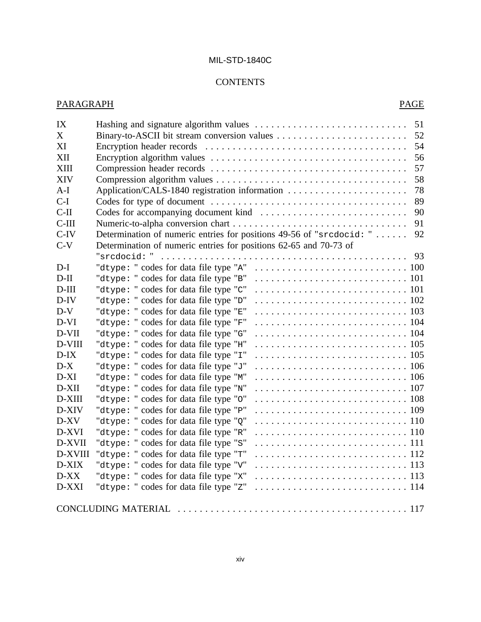## **CONTENTS**

| IX          | 51                                                                                                                         |
|-------------|----------------------------------------------------------------------------------------------------------------------------|
| X           | 52                                                                                                                         |
| XI          | 54                                                                                                                         |
| XII         | 56                                                                                                                         |
| <b>XIII</b> | 57                                                                                                                         |
| <b>XIV</b>  | 58                                                                                                                         |
| $A-I$       | Application/CALS-1840 registration information<br>78                                                                       |
| $C-I$       | 89                                                                                                                         |
| $C-II$      | 90                                                                                                                         |
| $C-III$     | 91                                                                                                                         |
| $C-IV$      | Determination of numeric entries for positions 49-56 of "srcdocid: "<br>92                                                 |
| $C-V$       | Determination of numeric entries for positions 62-65 and 70-73 of                                                          |
|             | $"sredocid: " \dots \dots \dots \dots \dots \dots \dots \dots \dots \dots \dots \dots \dots \dots \dots \dots \dots$<br>93 |
| $D-I$       | "dtype: " codes for data file type "A"                                                                                     |
| $D-II$      | "dtype: " codes for data file type "B"                                                                                     |
| $D$ -III    | "dtype: " codes for data file type "C"                                                                                     |
| $D$ -IV     | "dtype: " codes for data file type "D"                                                                                     |
| $D-V$       | "dtype: " codes for data file type "E"                                                                                     |
| $D-VI$      | "dtype: " codes for data file type "F"                                                                                     |
| D-VII       | "dtype: " codes for data file type "G"                                                                                     |
| D-VIII      | "dtype: " codes for data file type "H"                                                                                     |
| $D-IX$      | "dtype: " codes for data file type "I"                                                                                     |
| $D-X$       | "dtype: " codes for data file type "J"                                                                                     |
| $D-XI$      | "dtype: " codes for data file type "M"                                                                                     |
| $D-XII$     | "dtype: " codes for data file type "N"                                                                                     |
| D-XIII      | "dtype: " codes for data file type "0"                                                                                     |
| D-XIV       | "dtype: " codes for data file type "P"                                                                                     |
| D-XV        | "dtype: " codes for data file type "Q"                                                                                     |
| D-XVI       | "dtype: " codes for data file type "R"                                                                                     |
| D-XVII      | "dtype: " codes for data file type "S"                                                                                     |
| D-XVIII     | "dtype: " codes for data file type "T"                                                                                     |
| D-XIX       | "dtype: " codes for data file type "v"                                                                                     |
| $D-XX$      | "dtype: " codes for data file type "x"                                                                                     |
| D-XXI       | "dtype: " codes for data file type "z"                                                                                     |
|             |                                                                                                                            |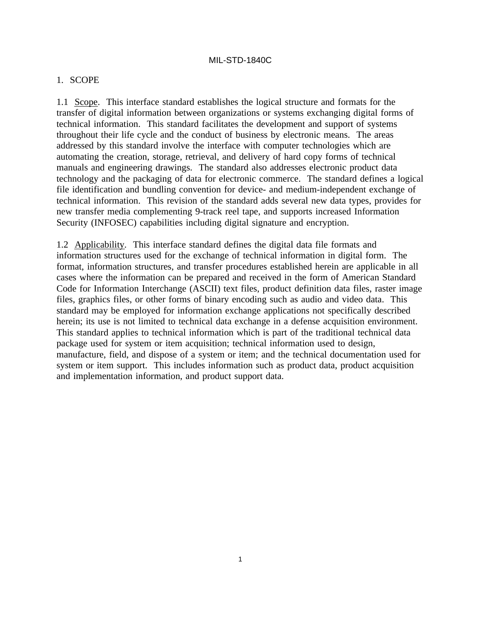#### 1. SCOPE

1.1 Scope. This interface standard establishes the logical structure and formats for the transfer of digital information between organizations or systems exchanging digital forms of technical information. This standard facilitates the development and support of systems throughout their life cycle and the conduct of business by electronic means. The areas addressed by this standard involve the interface with computer technologies which are automating the creation, storage, retrieval, and delivery of hard copy forms of technical manuals and engineering drawings. The standard also addresses electronic product data technology and the packaging of data for electronic commerce. The standard defines a logical file identification and bundling convention for device- and medium-independent exchange of technical information. This revision of the standard adds several new data types, provides for new transfer media complementing 9-track reel tape, and supports increased Information Security (INFOSEC) capabilities including digital signature and encryption.

1.2 Applicability. This interface standard defines the digital data file formats and information structures used for the exchange of technical information in digital form. The format, information structures, and transfer procedures established herein are applicable in all cases where the information can be prepared and received in the form of American Standard Code for Information Interchange (ASCII) text files, product definition data files, raster image files, graphics files, or other forms of binary encoding such as audio and video data. This standard may be employed for information exchange applications not specifically described herein; its use is not limited to technical data exchange in a defense acquisition environment. This standard applies to technical information which is part of the traditional technical data package used for system or item acquisition; technical information used to design, manufacture, field, and dispose of a system or item; and the technical documentation used for system or item support. This includes information such as product data, product acquisition and implementation information, and product support data.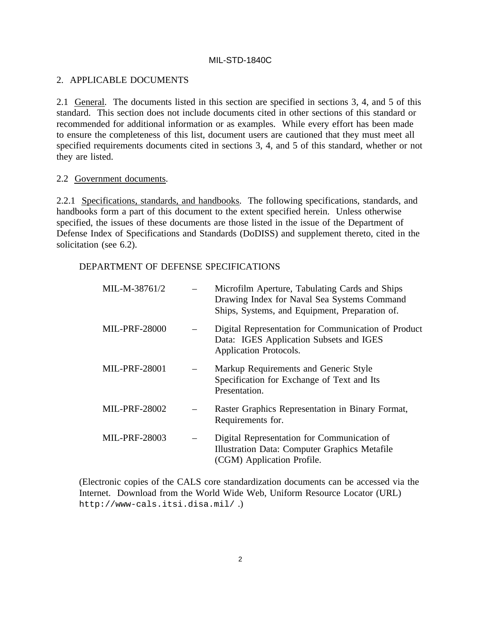### 2. APPLICABLE DOCUMENTS

2.1 General. The documents listed in this section are specified in sections 3, 4, and 5 of this standard. This section does not include documents cited in other sections of this standard or recommended for additional information or as examples. While every effort has been made to ensure the completeness of this list, document users are cautioned that they must meet all specified requirements documents cited in sections 3, 4, and 5 of this standard, whether or not they are listed.

#### 2.2 Government documents.

2.2.1 Specifications, standards, and handbooks. The following specifications, standards, and handbooks form a part of this document to the extent specified herein. Unless otherwise specified, the issues of these documents are those listed in the issue of the Department of Defense Index of Specifications and Standards (DoDISS) and supplement thereto, cited in the solicitation (see 6.2).

#### DEPARTMENT OF DEFENSE SPECIFICATIONS

| MIL-M-38761/2        | Microfilm Aperture, Tabulating Cards and Ships<br>Drawing Index for Naval Sea Systems Command<br>Ships, Systems, and Equipment, Preparation of. |
|----------------------|-------------------------------------------------------------------------------------------------------------------------------------------------|
| <b>MIL-PRF-28000</b> | Digital Representation for Communication of Product<br>Data: IGES Application Subsets and IGES<br>Application Protocols.                        |
| <b>MIL-PRF-28001</b> | Markup Requirements and Generic Style<br>Specification for Exchange of Text and Its<br>Presentation.                                            |
| <b>MIL-PRF-28002</b> | Raster Graphics Representation in Binary Format,<br>Requirements for.                                                                           |
| <b>MIL-PRF-28003</b> | Digital Representation for Communication of<br>Illustration Data: Computer Graphics Metafile<br>(CGM) Application Profile.                      |

(Electronic copies of the CALS core standardization documents can be accessed via the Internet. Download from the World Wide Web, Uniform Resource Locator (URL) http://www-cals.itsi.disa.mil/ .)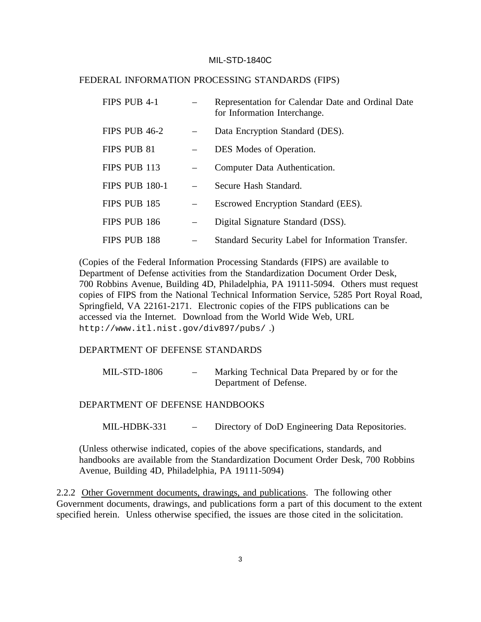#### FEDERAL INFORMATION PROCESSING STANDARDS (FIPS)

| FIPS PUB 4-1          | Representation for Calendar Date and Ordinal Date<br>for Information Interchange. |
|-----------------------|-----------------------------------------------------------------------------------|
| FIPS PUB 46-2         | Data Encryption Standard (DES).                                                   |
| FIPS PUB 81           | DES Modes of Operation.                                                           |
| FIPS PUB 113          | Computer Data Authentication.                                                     |
| <b>FIPS PUB 180-1</b> | Secure Hash Standard.                                                             |
| FIPS PUB 185          | Escrowed Encryption Standard (EES).                                               |
| FIPS PUB 186          | Digital Signature Standard (DSS).                                                 |
| FIPS PUB 188          | Standard Security Label for Information Transfer.                                 |

(Copies of the Federal Information Processing Standards (FIPS) are available to Department of Defense activities from the Standardization Document Order Desk, 700 Robbins Avenue, Building 4D, Philadelphia, PA 19111-5094. Others must request copies of FIPS from the National Technical Information Service, 5285 Port Royal Road, Springfield, VA 22161-2171. Electronic copies of the FIPS publications can be accessed via the Internet. Download from the World Wide Web, URL http://www.itl.nist.gov/div897/pubs/ .)

#### DEPARTMENT OF DEFENSE STANDARDS

| <b>MIL-STD-1806</b> | $\sim$ | Marking Technical Data Prepared by or for the |
|---------------------|--------|-----------------------------------------------|
|                     |        | Department of Defense.                        |

#### DEPARTMENT OF DEFENSE HANDBOOKS

MIL-HDBK-331 – Directory of DoD Engineering Data Repositories.

(Unless otherwise indicated, copies of the above specifications, standards, and handbooks are available from the Standardization Document Order Desk, 700 Robbins Avenue, Building 4D, Philadelphia, PA 19111-5094)

2.2.2 Other Government documents, drawings, and publications. The following other Government documents, drawings, and publications form a part of this document to the extent specified herein. Unless otherwise specified, the issues are those cited in the solicitation.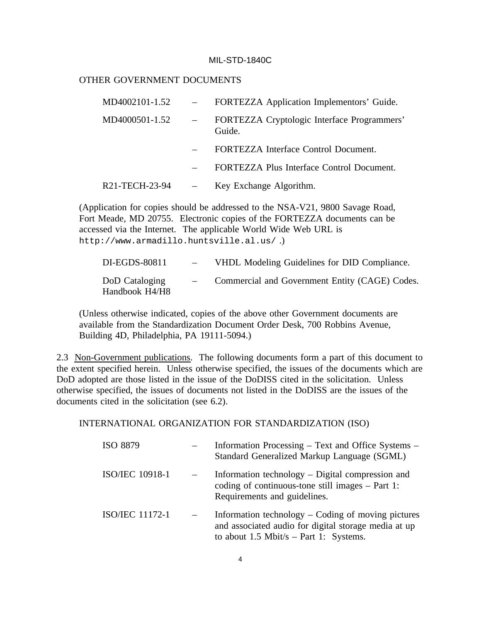#### OTHER GOVERNMENT DOCUMENTS

| MD4002101-1.52 | FORTEZZA Application Implementors' Guide.             |
|----------------|-------------------------------------------------------|
| MD4000501-1.52 | FORTEZZA Cryptologic Interface Programmers'<br>Guide. |
|                | FORTEZZA Interface Control Document.                  |
|                | FORTEZZA Plus Interface Control Document.             |
| R21-TECH-23-94 | Key Exchange Algorithm.                               |

(Application for copies should be addressed to the NSA-V21, 9800 Savage Road, Fort Meade, MD 20755. Electronic copies of the FORTEZZA documents can be accessed via the Internet. The applicable World Wide Web URL is http://www.armadillo.huntsville.al.us/ .)

| DI-EGDS-80811                    | $\overline{\phantom{a}}$ | VHDL Modeling Guidelines for DID Compliance.   |
|----------------------------------|--------------------------|------------------------------------------------|
| DoD Cataloging<br>Handbook H4/H8 |                          | Commercial and Government Entity (CAGE) Codes. |

(Unless otherwise indicated, copies of the above other Government documents are available from the Standardization Document Order Desk, 700 Robbins Avenue, Building 4D, Philadelphia, PA 19111-5094.)

2.3 Non-Government publications. The following documents form a part of this document to the extent specified herein. Unless otherwise specified, the issues of the documents which are DoD adopted are those listed in the issue of the DoDISS cited in the solicitation. Unless otherwise specified, the issues of documents not listed in the DoDISS are the issues of the documents cited in the solicitation (see 6.2).

INTERNATIONAL ORGANIZATION FOR STANDARDIZATION (ISO)

| ISO 8879               | Information Processing – Text and Office Systems –<br>Standard Generalized Markup Language (SGML)                                                      |
|------------------------|--------------------------------------------------------------------------------------------------------------------------------------------------------|
| <b>ISO/IEC 10918-1</b> | Information technology $-$ Digital compression and<br>coding of continuous-tone still images $-$ Part 1:<br>Requirements and guidelines.               |
| <b>ISO/IEC 11172-1</b> | Information technology $-$ Coding of moving pictures<br>and associated audio for digital storage media at up<br>to about 1.5 Mbit/s – Part 1: Systems. |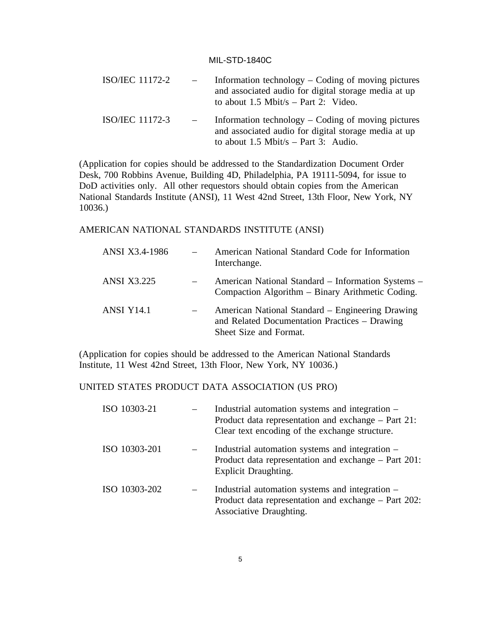| <b>ISO/IEC 11172-2</b> | Information technology $-$ Coding of moving pictures<br>and associated audio for digital storage media at up<br>to about 1.5 Mbit/s $-$ Part 2: Video. |
|------------------------|--------------------------------------------------------------------------------------------------------------------------------------------------------|
| <b>ISO/IEC 11172-3</b> | Information technology $-$ Coding of moving pictures<br>and associated audio for digital storage media at up<br>to about 1.5 Mbit/s – Part 3: Audio.   |

(Application for copies should be addressed to the Standardization Document Order Desk, 700 Robbins Avenue, Building 4D, Philadelphia, PA 19111-5094, for issue to DoD activities only. All other requestors should obtain copies from the American National Standards Institute (ANSI), 11 West 42nd Street, 13th Floor, New York, NY 10036.)

#### AMERICAN NATIONAL STANDARDS INSTITUTE (ANSI)

| ANSI X3.4-1986     | American National Standard Code for Information<br>Interchange.                                                             |
|--------------------|-----------------------------------------------------------------------------------------------------------------------------|
| <b>ANSI X3.225</b> | American National Standard – Information Systems –<br>Compaction Algorithm – Binary Arithmetic Coding.                      |
| <b>ANSI Y14.1</b>  | American National Standard – Engineering Drawing<br>and Related Documentation Practices – Drawing<br>Sheet Size and Format. |

(Application for copies should be addressed to the American National Standards Institute, 11 West 42nd Street, 13th Floor, New York, NY 10036.)

### UNITED STATES PRODUCT DATA ASSOCIATION (US PRO)

| ISO 10303-21  | Industrial automation systems and integration –<br>Product data representation and exchange – Part 21:<br>Clear text encoding of the exchange structure. |
|---------------|----------------------------------------------------------------------------------------------------------------------------------------------------------|
| ISO 10303-201 | Industrial automation systems and integration –<br>Product data representation and exchange – Part 201:<br>Explicit Draughting.                          |
| ISO 10303-202 | Industrial automation systems and integration –<br>Product data representation and exchange – Part 202:<br>Associative Draughting.                       |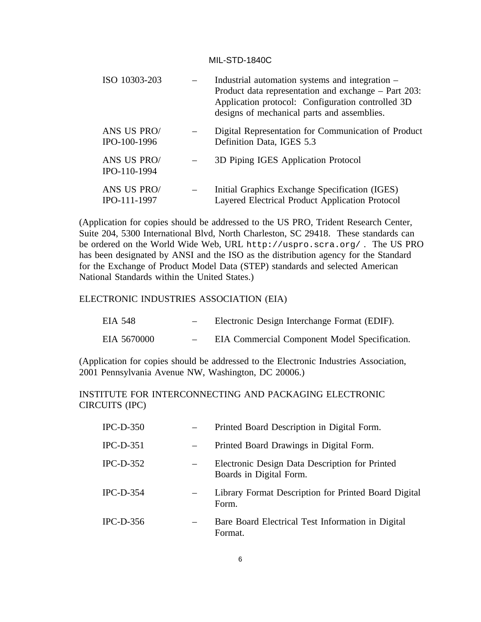| ISO 10303-203               | Industrial automation systems and integration –<br>Product data representation and exchange – Part 203:<br>Application protocol: Configuration controlled 3D<br>designs of mechanical parts and assemblies. |
|-----------------------------|-------------------------------------------------------------------------------------------------------------------------------------------------------------------------------------------------------------|
| ANS US PRO/<br>IPO-100-1996 | Digital Representation for Communication of Product<br>Definition Data, IGES 5.3                                                                                                                            |
| ANS US PRO/<br>IPO-110-1994 | 3D Piping IGES Application Protocol                                                                                                                                                                         |
| ANS US PRO/<br>IPO-111-1997 | Initial Graphics Exchange Specification (IGES)<br>Layered Electrical Product Application Protocol                                                                                                           |

(Application for copies should be addressed to the US PRO, Trident Research Center, Suite 204, 5300 International Blvd, North Charleston, SC 29418. These standards can be ordered on the World Wide Web, URL http://uspro.scra.org/ . The US PRO has been designated by ANSI and the ISO as the distribution agency for the Standard for the Exchange of Product Model Data (STEP) standards and selected American National Standards within the United States.)

#### ELECTRONIC INDUSTRIES ASSOCIATION (EIA)

| EIA 548     | $\overline{\phantom{0}}$ | Electronic Design Interchange Format (EDIF).  |
|-------------|--------------------------|-----------------------------------------------|
| EIA 5670000 |                          | EIA Commercial Component Model Specification. |

(Application for copies should be addressed to the Electronic Industries Association, 2001 Pennsylvania Avenue NW, Washington, DC 20006.)

## INSTITUTE FOR INTERCONNECTING AND PACKAGING ELECTRONIC CIRCUITS (IPC)

| $IPC-D-350$ | Printed Board Description in Digital Form.                                |
|-------------|---------------------------------------------------------------------------|
| $IPC-D-351$ | Printed Board Drawings in Digital Form.                                   |
| $IPC-D-352$ | Electronic Design Data Description for Printed<br>Boards in Digital Form. |
| $IPC-D-354$ | Library Format Description for Printed Board Digital<br>Form.             |
| $IPC-D-356$ | Bare Board Electrical Test Information in Digital<br>Format.              |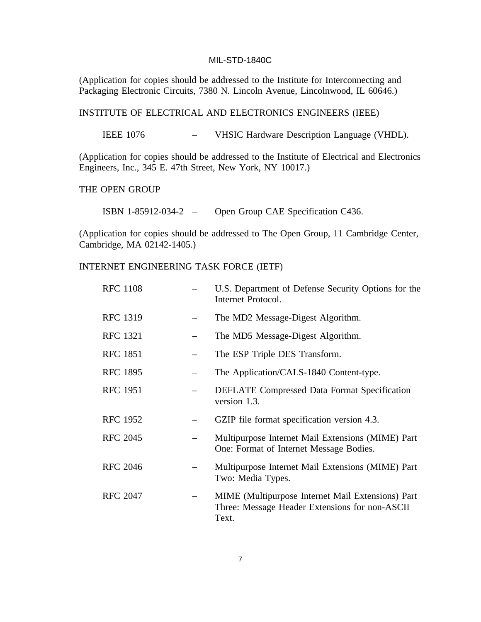(Application for copies should be addressed to the Institute for Interconnecting and Packaging Electronic Circuits, 7380 N. Lincoln Avenue, Lincolnwood, IL 60646.)

#### INSTITUTE OF ELECTRICAL AND ELECTRONICS ENGINEERS (IEEE)

IEEE 1076 – VHSIC Hardware Description Language (VHDL).

(Application for copies should be addressed to the Institute of Electrical and Electronics Engineers, Inc., 345 E. 47th Street, New York, NY 10017.)

#### THE OPEN GROUP

ISBN 1-85912-034-2 – Open Group CAE Specification C436.

(Application for copies should be addressed to The Open Group, 11 Cambridge Center, Cambridge, MA 02142-1405.)

#### INTERNET ENGINEERING TASK FORCE (IETF)

| <b>RFC 1108</b> | U.S. Department of Defense Security Options for the<br>Internet Protocol.                                    |
|-----------------|--------------------------------------------------------------------------------------------------------------|
| <b>RFC 1319</b> | The MD2 Message-Digest Algorithm.                                                                            |
| <b>RFC 1321</b> | The MD5 Message-Digest Algorithm.                                                                            |
| <b>RFC 1851</b> | The ESP Triple DES Transform.                                                                                |
| <b>RFC 1895</b> | The Application/CALS-1840 Content-type.                                                                      |
| <b>RFC 1951</b> | <b>DEFLATE</b> Compressed Data Format Specification<br>version 1.3.                                          |
| <b>RFC 1952</b> | GZIP file format specification version 4.3.                                                                  |
| <b>RFC 2045</b> | Multipurpose Internet Mail Extensions (MIME) Part<br>One: Format of Internet Message Bodies.                 |
| <b>RFC 2046</b> | Multipurpose Internet Mail Extensions (MIME) Part<br>Two: Media Types.                                       |
| <b>RFC 2047</b> | MIME (Multipurpose Internet Mail Extensions) Part<br>Three: Message Header Extensions for non-ASCII<br>Text. |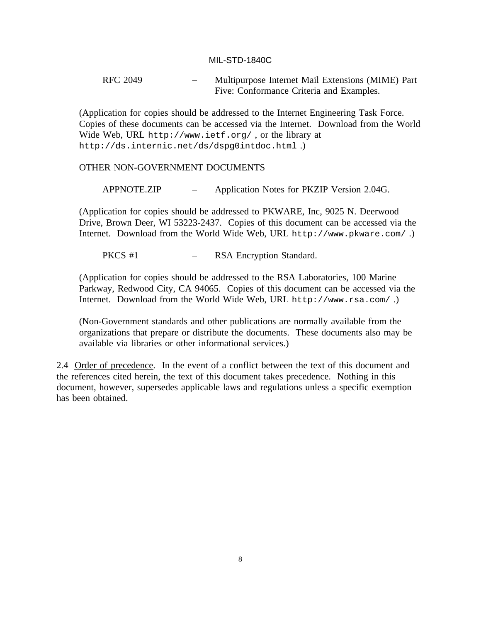RFC 2049 – Multipurpose Internet Mail Extensions (MIME) Part Five: Conformance Criteria and Examples.

(Application for copies should be addressed to the Internet Engineering Task Force. Copies of these documents can be accessed via the Internet. Download from the World Wide Web, URL http://www.ietf.org/ , or the library at http://ds.internic.net/ds/dspg0intdoc.html .)

#### OTHER NON-GOVERNMENT DOCUMENTS

APPNOTE.ZIP – Application Notes for PKZIP Version 2.04G.

(Application for copies should be addressed to PKWARE, Inc, 9025 N. Deerwood Drive, Brown Deer, WI 53223-2437. Copies of this document can be accessed via the Internet. Download from the World Wide Web, URL http://www.pkware.com/ .)

PKCS #1 – RSA Encryption Standard.

(Application for copies should be addressed to the RSA Laboratories, 100 Marine Parkway, Redwood City, CA 94065. Copies of this document can be accessed via the Internet. Download from the World Wide Web, URL http://www.rsa.com/ .)

(Non-Government standards and other publications are normally available from the organizations that prepare or distribute the documents. These documents also may be available via libraries or other informational services.)

2.4 Order of precedence. In the event of a conflict between the text of this document and the references cited herein, the text of this document takes precedence. Nothing in this document, however, supersedes applicable laws and regulations unless a specific exemption has been obtained.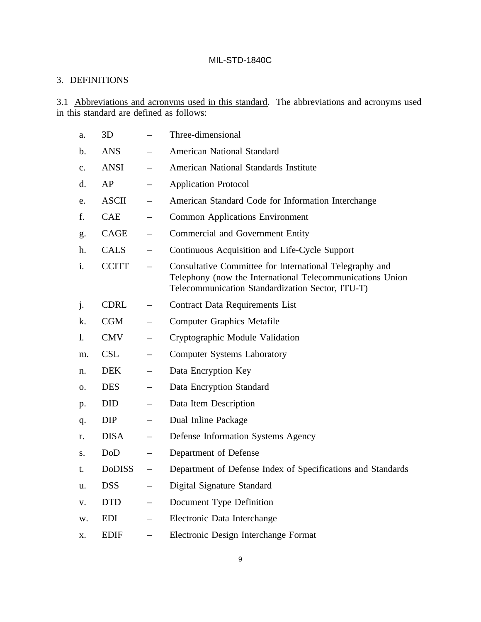## 3. DEFINITIONS

3.1 Abbreviations and acronyms used in this standard. The abbreviations and acronyms used in this standard are defined as follows:

| a.             | 3D            |                          | Three-dimensional                                                                                                                                                        |
|----------------|---------------|--------------------------|--------------------------------------------------------------------------------------------------------------------------------------------------------------------------|
| b.             | <b>ANS</b>    |                          | <b>American National Standard</b>                                                                                                                                        |
| $\mathbf{c}$ . | <b>ANSI</b>   |                          | <b>American National Standards Institute</b>                                                                                                                             |
| d.             | AP            |                          | <b>Application Protocol</b>                                                                                                                                              |
| e.             | <b>ASCII</b>  |                          | American Standard Code for Information Interchange                                                                                                                       |
| f.             | <b>CAE</b>    |                          | <b>Common Applications Environment</b>                                                                                                                                   |
| g.             | <b>CAGE</b>   |                          | <b>Commercial and Government Entity</b>                                                                                                                                  |
| h.             | <b>CALS</b>   |                          | Continuous Acquisition and Life-Cycle Support                                                                                                                            |
| i.             | <b>CCITT</b>  |                          | Consultative Committee for International Telegraphy and<br>Telephony (now the International Telecommunications Union<br>Telecommunication Standardization Sector, ITU-T) |
| j.             | <b>CDRL</b>   |                          | <b>Contract Data Requirements List</b>                                                                                                                                   |
| k.             | <b>CGM</b>    |                          | <b>Computer Graphics Metafile</b>                                                                                                                                        |
| 1.             | <b>CMV</b>    | $\overline{\phantom{0}}$ | Cryptographic Module Validation                                                                                                                                          |
| m.             | <b>CSL</b>    |                          | <b>Computer Systems Laboratory</b>                                                                                                                                       |
| n.             | <b>DEK</b>    | $\qquad \qquad -$        | Data Encryption Key                                                                                                                                                      |
| 0.             | <b>DES</b>    |                          | Data Encryption Standard                                                                                                                                                 |
| p.             | <b>DID</b>    | $\overline{\phantom{0}}$ | Data Item Description                                                                                                                                                    |
| q.             | <b>DIP</b>    |                          | Dual Inline Package                                                                                                                                                      |
| r.             | <b>DISA</b>   | $\overline{\phantom{0}}$ | Defense Information Systems Agency                                                                                                                                       |
| S.             | DoD           | $\overline{\phantom{0}}$ | Department of Defense                                                                                                                                                    |
| t.             | <b>DoDISS</b> | $\overline{\phantom{0}}$ | Department of Defense Index of Specifications and Standards                                                                                                              |
| u.             | <b>DSS</b>    |                          | Digital Signature Standard                                                                                                                                               |
| V.             | <b>DTD</b>    | $\overline{\phantom{m}}$ | Document Type Definition                                                                                                                                                 |
| W.             | EDI           | $\overline{\phantom{0}}$ | Electronic Data Interchange                                                                                                                                              |
| X.             | <b>EDIF</b>   | $\overline{\phantom{0}}$ | Electronic Design Interchange Format                                                                                                                                     |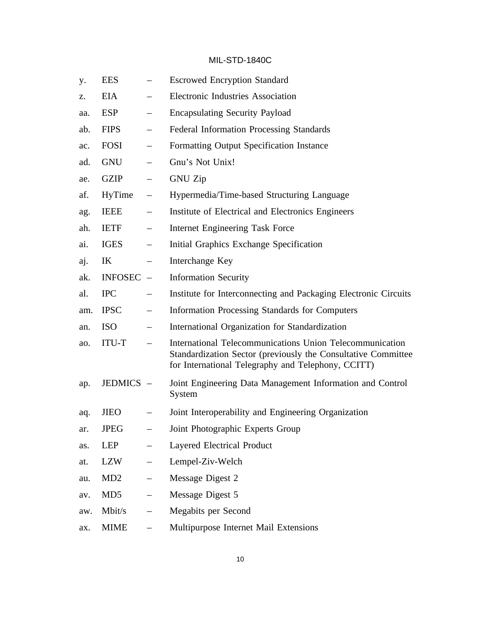| у.  | <b>EES</b>     |                          | <b>Escrowed Encryption Standard</b>                                                                                                                                             |
|-----|----------------|--------------------------|---------------------------------------------------------------------------------------------------------------------------------------------------------------------------------|
| Z.  | <b>EIA</b>     | $\overline{\phantom{0}}$ | <b>Electronic Industries Association</b>                                                                                                                                        |
| aa. | <b>ESP</b>     |                          | <b>Encapsulating Security Payload</b>                                                                                                                                           |
| ab. | <b>FIPS</b>    | $\qquad \qquad -$        | <b>Federal Information Processing Standards</b>                                                                                                                                 |
| ac. | FOSI           |                          | Formatting Output Specification Instance                                                                                                                                        |
| ad. | GNU            | $\qquad \qquad -$        | Gnu's Not Unix!                                                                                                                                                                 |
| ae. | <b>GZIP</b>    |                          | <b>GNU Zip</b>                                                                                                                                                                  |
| af. | HyTime         |                          | Hypermedia/Time-based Structuring Language                                                                                                                                      |
| ag. | <b>IEEE</b>    |                          | Institute of Electrical and Electronics Engineers                                                                                                                               |
| ah. | <b>IETF</b>    | $\qquad \qquad -$        | Internet Engineering Task Force                                                                                                                                                 |
| ai. | <b>IGES</b>    |                          | Initial Graphics Exchange Specification                                                                                                                                         |
| aj. | IK             | $\overline{\phantom{m}}$ | Interchange Key                                                                                                                                                                 |
| ak. | <b>INFOSEC</b> | $\overline{\phantom{a}}$ | <b>Information Security</b>                                                                                                                                                     |
| al. | <b>IPC</b>     | $\overline{\phantom{0}}$ | Institute for Interconnecting and Packaging Electronic Circuits                                                                                                                 |
| am. | <b>IPSC</b>    |                          | <b>Information Processing Standards for Computers</b>                                                                                                                           |
| an. | <b>ISO</b>     | $\overline{\phantom{m}}$ | International Organization for Standardization                                                                                                                                  |
| ao. | <b>ITU-T</b>   |                          | International Telecommunications Union Telecommunication<br>Standardization Sector (previously the Consultative Committee<br>for International Telegraphy and Telephony, CCITT) |
| ap. | JEDMICS -      |                          | Joint Engineering Data Management Information and Control<br>System                                                                                                             |
| aq. | <b>JIEO</b>    |                          | Joint Interoperability and Engineering Organization                                                                                                                             |
| ar. | <b>JPEG</b>    |                          | Joint Photographic Experts Group                                                                                                                                                |
| as. | LEP            |                          | <b>Layered Electrical Product</b>                                                                                                                                               |
| at. | LZW            | $\qquad \qquad -$        | Lempel-Ziv-Welch                                                                                                                                                                |
| au. | MD2            | $\overline{\phantom{m}}$ | Message Digest 2                                                                                                                                                                |
| av. | MD5            | $\qquad \qquad -$        | Message Digest 5                                                                                                                                                                |
| aw. | Mbit/s         | $\overline{\phantom{0}}$ | Megabits per Second                                                                                                                                                             |
| ax. | <b>MIME</b>    |                          | Multipurpose Internet Mail Extensions                                                                                                                                           |
|     |                |                          |                                                                                                                                                                                 |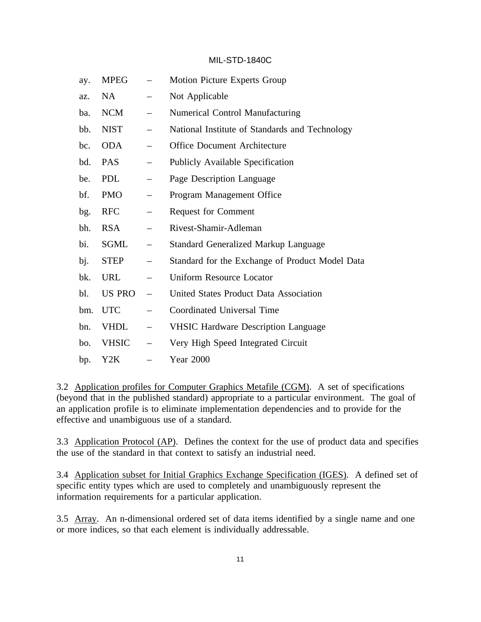| ay. | <b>MPEG</b>  |                          | Motion Picture Experts Group                    |
|-----|--------------|--------------------------|-------------------------------------------------|
| az. | NA           |                          | Not Applicable                                  |
| ba. | <b>NCM</b>   | —                        | <b>Numerical Control Manufacturing</b>          |
| bb. | <b>NIST</b>  | —                        | National Institute of Standards and Technology  |
| bc. | <b>ODA</b>   | $\overline{\phantom{0}}$ | <b>Office Document Architecture</b>             |
| bd. | <b>PAS</b>   |                          | <b>Publicly Available Specification</b>         |
| be. | <b>PDL</b>   |                          | Page Description Language                       |
| bf. | <b>PMO</b>   |                          | Program Management Office                       |
| bg. | <b>RFC</b>   | $\overline{\phantom{0}}$ | <b>Request for Comment</b>                      |
| bh. | <b>RSA</b>   | $\overline{\phantom{0}}$ | Rivest-Shamir-Adleman                           |
| bi. | SGML         | —                        | <b>Standard Generalized Markup Language</b>     |
| bj. | <b>STEP</b>  | $\overline{\phantom{0}}$ | Standard for the Exchange of Product Model Data |
| bk. | <b>URL</b>   | $\overline{\phantom{0}}$ | <b>Uniform Resource Locator</b>                 |
| bl. | US PRO       | $\overline{\phantom{0}}$ | United States Product Data Association          |
| bm. | <b>UTC</b>   |                          | Coordinated Universal Time                      |
| bn. | <b>VHDL</b>  |                          | <b>VHSIC Hardware Description Language</b>      |
| bo. | <b>VHSIC</b> | $\overline{\phantom{0}}$ | Very High Speed Integrated Circuit              |
| bp. | Y2K          |                          | <b>Year 2000</b>                                |

3.2 Application profiles for Computer Graphics Metafile (CGM). A set of specifications (beyond that in the published standard) appropriate to a particular environment. The goal of an application profile is to eliminate implementation dependencies and to provide for the effective and unambiguous use of a standard.

3.3 Application Protocol (AP). Defines the context for the use of product data and specifies the use of the standard in that context to satisfy an industrial need.

3.4 Application subset for Initial Graphics Exchange Specification (IGES). A defined set of specific entity types which are used to completely and unambiguously represent the information requirements for a particular application.

3.5 Array. An n-dimensional ordered set of data items identified by a single name and one or more indices, so that each element is individually addressable.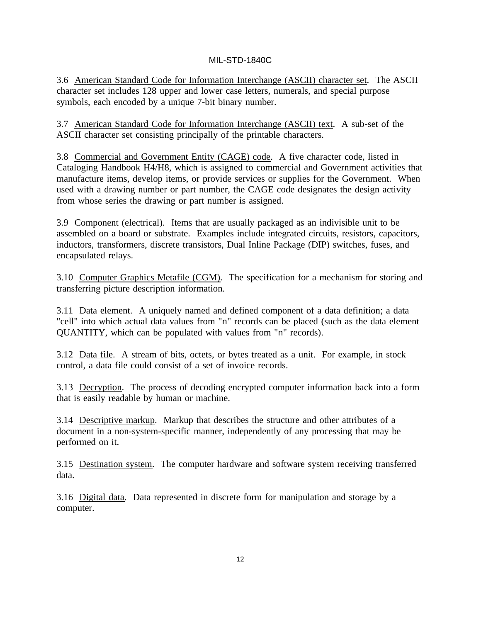3.6 American Standard Code for Information Interchange (ASCII) character set. The ASCII character set includes 128 upper and lower case letters, numerals, and special purpose symbols, each encoded by a unique 7-bit binary number.

3.7 American Standard Code for Information Interchange (ASCII) text. A sub-set of the ASCII character set consisting principally of the printable characters.

3.8 Commercial and Government Entity (CAGE) code. A five character code, listed in Cataloging Handbook H4/H8, which is assigned to commercial and Government activities that manufacture items, develop items, or provide services or supplies for the Government. When used with a drawing number or part number, the CAGE code designates the design activity from whose series the drawing or part number is assigned.

3.9 Component (electrical). Items that are usually packaged as an indivisible unit to be assembled on a board or substrate. Examples include integrated circuits, resistors, capacitors, inductors, transformers, discrete transistors, Dual Inline Package (DIP) switches, fuses, and encapsulated relays.

3.10 Computer Graphics Metafile (CGM). The specification for a mechanism for storing and transferring picture description information.

3.11 Data element. A uniquely named and defined component of a data definition; a data "cell" into which actual data values from "n" records can be placed (such as the data element QUANTITY, which can be populated with values from "n" records).

3.12 Data file. A stream of bits, octets, or bytes treated as a unit. For example, in stock control, a data file could consist of a set of invoice records.

3.13 Decryption. The process of decoding encrypted computer information back into a form that is easily readable by human or machine.

3.14 Descriptive markup. Markup that describes the structure and other attributes of a document in a non-system-specific manner, independently of any processing that may be performed on it.

3.15 Destination system. The computer hardware and software system receiving transferred data.

3.16 Digital data. Data represented in discrete form for manipulation and storage by a computer.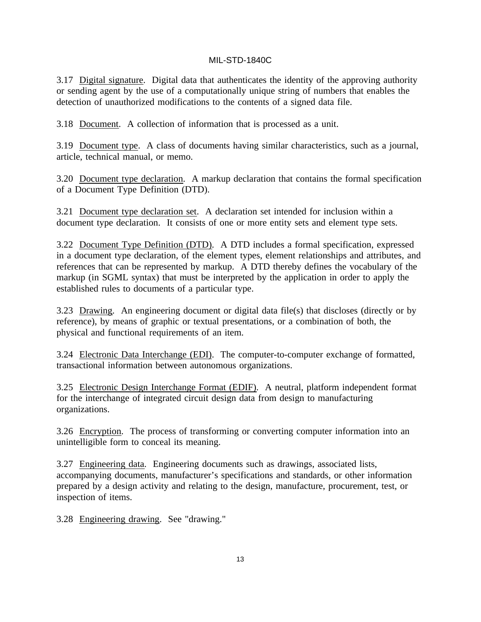3.17 Digital signature. Digital data that authenticates the identity of the approving authority or sending agent by the use of a computationally unique string of numbers that enables the detection of unauthorized modifications to the contents of a signed data file.

3.18 Document. A collection of information that is processed as a unit.

3.19 Document type. A class of documents having similar characteristics, such as a journal, article, technical manual, or memo.

3.20 Document type declaration. A markup declaration that contains the formal specification of a Document Type Definition (DTD).

3.21 Document type declaration set. A declaration set intended for inclusion within a document type declaration. It consists of one or more entity sets and element type sets.

3.22 Document Type Definition (DTD). A DTD includes a formal specification, expressed in a document type declaration, of the element types, element relationships and attributes, and references that can be represented by markup. A DTD thereby defines the vocabulary of the markup (in SGML syntax) that must be interpreted by the application in order to apply the established rules to documents of a particular type.

3.23 Drawing. An engineering document or digital data file(s) that discloses (directly or by reference), by means of graphic or textual presentations, or a combination of both, the physical and functional requirements of an item.

3.24 Electronic Data Interchange (EDI). The computer-to-computer exchange of formatted, transactional information between autonomous organizations.

3.25 Electronic Design Interchange Format (EDIF). A neutral, platform independent format for the interchange of integrated circuit design data from design to manufacturing organizations.

3.26 Encryption. The process of transforming or converting computer information into an unintelligible form to conceal its meaning.

3.27 Engineering data. Engineering documents such as drawings, associated lists, accompanying documents, manufacturer's specifications and standards, or other information prepared by a design activity and relating to the design, manufacture, procurement, test, or inspection of items.

3.28 Engineering drawing. See "drawing."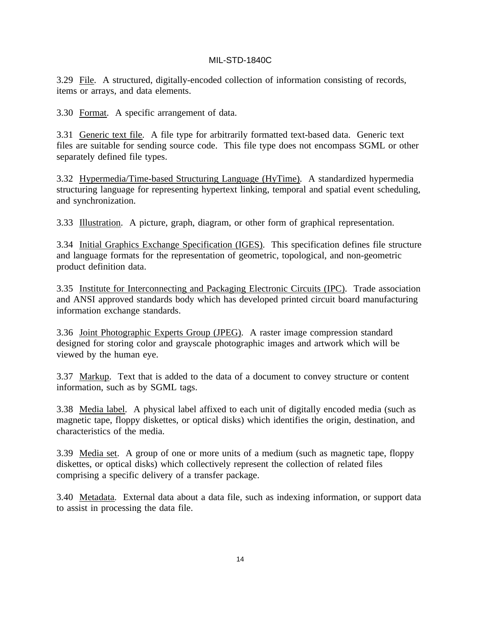3.29 File. A structured, digitally-encoded collection of information consisting of records, items or arrays, and data elements.

3.30 Format. A specific arrangement of data.

3.31 Generic text file. A file type for arbitrarily formatted text-based data. Generic text files are suitable for sending source code. This file type does not encompass SGML or other separately defined file types.

3.32 Hypermedia/Time-based Structuring Language (HyTime). A standardized hypermedia structuring language for representing hypertext linking, temporal and spatial event scheduling, and synchronization.

3.33 Illustration. A picture, graph, diagram, or other form of graphical representation.

3.34 Initial Graphics Exchange Specification (IGES). This specification defines file structure and language formats for the representation of geometric, topological, and non-geometric product definition data.

3.35 Institute for Interconnecting and Packaging Electronic Circuits (IPC). Trade association and ANSI approved standards body which has developed printed circuit board manufacturing information exchange standards.

3.36 Joint Photographic Experts Group (JPEG). A raster image compression standard designed for storing color and grayscale photographic images and artwork which will be viewed by the human eye.

3.37 Markup. Text that is added to the data of a document to convey structure or content information, such as by SGML tags.

3.38 Media label. A physical label affixed to each unit of digitally encoded media (such as magnetic tape, floppy diskettes, or optical disks) which identifies the origin, destination, and characteristics of the media.

3.39 Media set. A group of one or more units of a medium (such as magnetic tape, floppy diskettes, or optical disks) which collectively represent the collection of related files comprising a specific delivery of a transfer package.

3.40 Metadata. External data about a data file, such as indexing information, or support data to assist in processing the data file.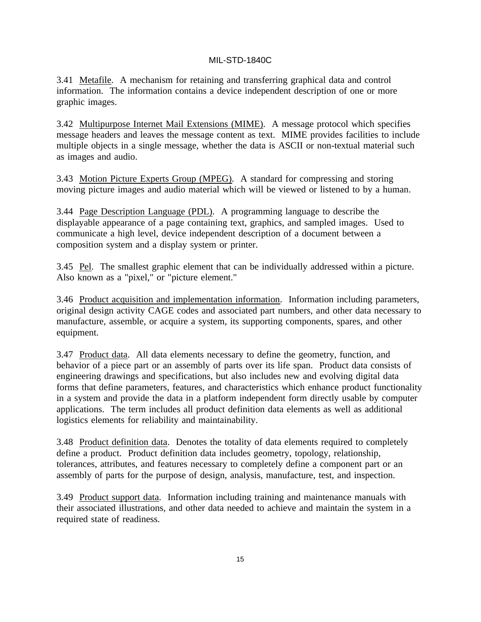3.41 Metafile. A mechanism for retaining and transferring graphical data and control information. The information contains a device independent description of one or more graphic images.

3.42 Multipurpose Internet Mail Extensions (MIME). A message protocol which specifies message headers and leaves the message content as text. MIME provides facilities to include multiple objects in a single message, whether the data is ASCII or non-textual material such as images and audio.

3.43 Motion Picture Experts Group (MPEG). A standard for compressing and storing moving picture images and audio material which will be viewed or listened to by a human.

3.44 Page Description Language (PDL). A programming language to describe the displayable appearance of a page containing text, graphics, and sampled images. Used to communicate a high level, device independent description of a document between a composition system and a display system or printer.

3.45 Pel. The smallest graphic element that can be individually addressed within a picture. Also known as a "pixel," or "picture element."

3.46 Product acquisition and implementation information. Information including parameters, original design activity CAGE codes and associated part numbers, and other data necessary to manufacture, assemble, or acquire a system, its supporting components, spares, and other equipment.

3.47 Product data. All data elements necessary to define the geometry, function, and behavior of a piece part or an assembly of parts over its life span. Product data consists of engineering drawings and specifications, but also includes new and evolving digital data forms that define parameters, features, and characteristics which enhance product functionality in a system and provide the data in a platform independent form directly usable by computer applications. The term includes all product definition data elements as well as additional logistics elements for reliability and maintainability.

3.48 Product definition data. Denotes the totality of data elements required to completely define a product. Product definition data includes geometry, topology, relationship, tolerances, attributes, and features necessary to completely define a component part or an assembly of parts for the purpose of design, analysis, manufacture, test, and inspection.

3.49 Product support data. Information including training and maintenance manuals with their associated illustrations, and other data needed to achieve and maintain the system in a required state of readiness.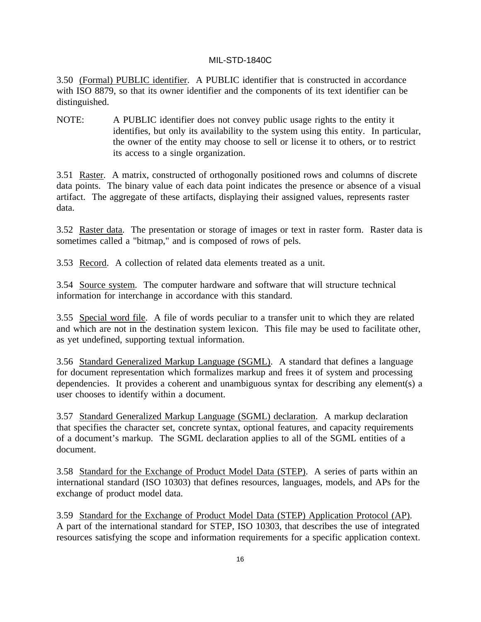3.50 (Formal) PUBLIC identifier. A PUBLIC identifier that is constructed in accordance with ISO 8879, so that its owner identifier and the components of its text identifier can be distinguished.

NOTE: A PUBLIC identifier does not convey public usage rights to the entity it identifies, but only its availability to the system using this entity. In particular, the owner of the entity may choose to sell or license it to others, or to restrict its access to a single organization.

3.51 Raster. A matrix, constructed of orthogonally positioned rows and columns of discrete data points. The binary value of each data point indicates the presence or absence of a visual artifact. The aggregate of these artifacts, displaying their assigned values, represents raster data.

3.52 Raster data. The presentation or storage of images or text in raster form. Raster data is sometimes called a "bitmap," and is composed of rows of pels.

3.53 Record. A collection of related data elements treated as a unit.

3.54 Source system. The computer hardware and software that will structure technical information for interchange in accordance with this standard.

3.55 Special word file. A file of words peculiar to a transfer unit to which they are related and which are not in the destination system lexicon. This file may be used to facilitate other, as yet undefined, supporting textual information.

3.56 Standard Generalized Markup Language (SGML). A standard that defines a language for document representation which formalizes markup and frees it of system and processing dependencies. It provides a coherent and unambiguous syntax for describing any element(s) a user chooses to identify within a document.

3.57 Standard Generalized Markup Language (SGML) declaration. A markup declaration that specifies the character set, concrete syntax, optional features, and capacity requirements of a document's markup. The SGML declaration applies to all of the SGML entities of a document.

3.58 Standard for the Exchange of Product Model Data (STEP). A series of parts within an international standard (ISO 10303) that defines resources, languages, models, and APs for the exchange of product model data.

3.59 Standard for the Exchange of Product Model Data (STEP) Application Protocol (AP). A part of the international standard for STEP, ISO 10303, that describes the use of integrated resources satisfying the scope and information requirements for a specific application context.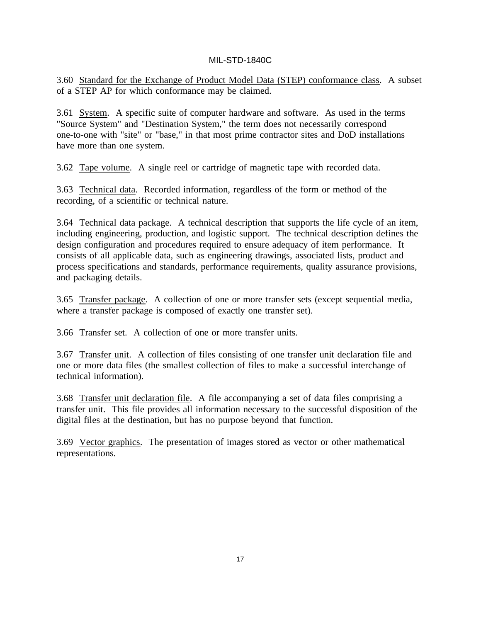3.60 Standard for the Exchange of Product Model Data (STEP) conformance class. A subset of a STEP AP for which conformance may be claimed.

3.61 System. A specific suite of computer hardware and software. As used in the terms "Source System" and "Destination System," the term does not necessarily correspond one-to-one with "site" or "base," in that most prime contractor sites and DoD installations have more than one system.

3.62 Tape volume. A single reel or cartridge of magnetic tape with recorded data.

3.63 Technical data. Recorded information, regardless of the form or method of the recording, of a scientific or technical nature.

3.64 Technical data package. A technical description that supports the life cycle of an item, including engineering, production, and logistic support. The technical description defines the design configuration and procedures required to ensure adequacy of item performance. It consists of all applicable data, such as engineering drawings, associated lists, product and process specifications and standards, performance requirements, quality assurance provisions, and packaging details.

3.65 Transfer package. A collection of one or more transfer sets (except sequential media, where a transfer package is composed of exactly one transfer set).

3.66 Transfer set. A collection of one or more transfer units.

3.67 Transfer unit. A collection of files consisting of one transfer unit declaration file and one or more data files (the smallest collection of files to make a successful interchange of technical information).

3.68 Transfer unit declaration file. A file accompanying a set of data files comprising a transfer unit. This file provides all information necessary to the successful disposition of the digital files at the destination, but has no purpose beyond that function.

3.69 Vector graphics. The presentation of images stored as vector or other mathematical representations.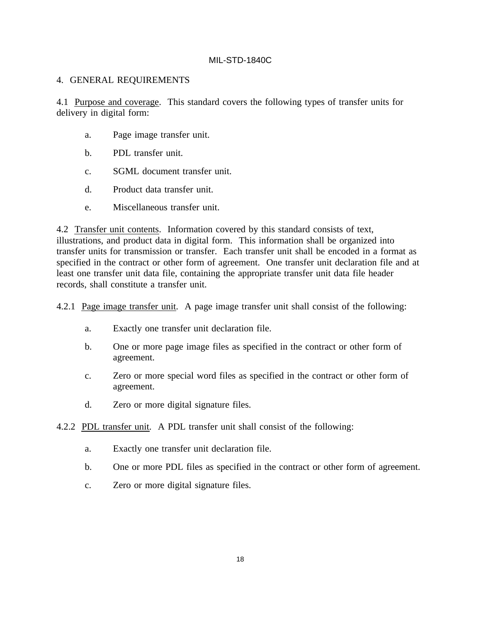#### 4. GENERAL REQUIREMENTS

4.1 Purpose and coverage. This standard covers the following types of transfer units for delivery in digital form:

- a. Page image transfer unit.
- b. PDL transfer unit.
- c. SGML document transfer unit.
- d. Product data transfer unit.
- e. Miscellaneous transfer unit.

4.2 Transfer unit contents. Information covered by this standard consists of text, illustrations, and product data in digital form. This information shall be organized into transfer units for transmission or transfer. Each transfer unit shall be encoded in a format as specified in the contract or other form of agreement. One transfer unit declaration file and at least one transfer unit data file, containing the appropriate transfer unit data file header records, shall constitute a transfer unit.

4.2.1 Page image transfer unit. A page image transfer unit shall consist of the following:

- a. Exactly one transfer unit declaration file.
- b. One or more page image files as specified in the contract or other form of agreement.
- c. Zero or more special word files as specified in the contract or other form of agreement.
- d. Zero or more digital signature files.
- 4.2.2 PDL transfer unit. A PDL transfer unit shall consist of the following:
	- a. Exactly one transfer unit declaration file.
	- b. One or more PDL files as specified in the contract or other form of agreement.
	- c. Zero or more digital signature files.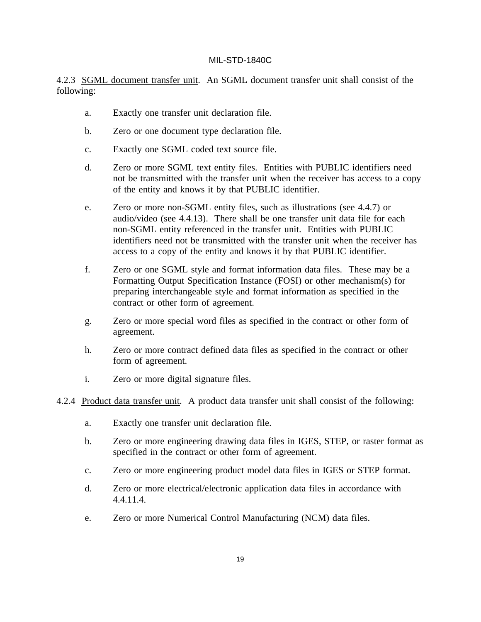4.2.3 SGML document transfer unit. An SGML document transfer unit shall consist of the following:

- a. Exactly one transfer unit declaration file.
- b. Zero or one document type declaration file.
- c. Exactly one SGML coded text source file.
- d. Zero or more SGML text entity files. Entities with PUBLIC identifiers need not be transmitted with the transfer unit when the receiver has access to a copy of the entity and knows it by that PUBLIC identifier.
- e. Zero or more non-SGML entity files, such as illustrations (see 4.4.7) or audio/video (see 4.4.13). There shall be one transfer unit data file for each non-SGML entity referenced in the transfer unit. Entities with PUBLIC identifiers need not be transmitted with the transfer unit when the receiver has access to a copy of the entity and knows it by that PUBLIC identifier.
- f. Zero or one SGML style and format information data files. These may be a Formatting Output Specification Instance (FOSI) or other mechanism(s) for preparing interchangeable style and format information as specified in the contract or other form of agreement.
- g. Zero or more special word files as specified in the contract or other form of agreement.
- h. Zero or more contract defined data files as specified in the contract or other form of agreement.
- i. Zero or more digital signature files.
- 4.2.4 Product data transfer unit. A product data transfer unit shall consist of the following:
	- a. Exactly one transfer unit declaration file.
	- b. Zero or more engineering drawing data files in IGES, STEP, or raster format as specified in the contract or other form of agreement.
	- c. Zero or more engineering product model data files in IGES or STEP format.
	- d. Zero or more electrical/electronic application data files in accordance with 4.4.11.4.
	- e. Zero or more Numerical Control Manufacturing (NCM) data files.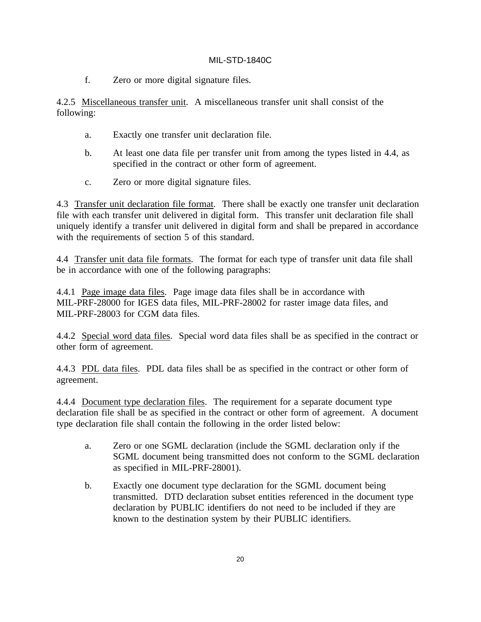f. Zero or more digital signature files.

4.2.5 Miscellaneous transfer unit. A miscellaneous transfer unit shall consist of the following:

- a. Exactly one transfer unit declaration file.
- b. At least one data file per transfer unit from among the types listed in 4.4, as specified in the contract or other form of agreement.
- c. Zero or more digital signature files.

4.3 Transfer unit declaration file format. There shall be exactly one transfer unit declaration file with each transfer unit delivered in digital form. This transfer unit declaration file shall uniquely identify a transfer unit delivered in digital form and shall be prepared in accordance with the requirements of section 5 of this standard.

4.4 Transfer unit data file formats. The format for each type of transfer unit data file shall be in accordance with one of the following paragraphs:

4.4.1 Page image data files. Page image data files shall be in accordance with MIL-PRF-28000 for IGES data files, MIL-PRF-28002 for raster image data files, and MIL-PRF-28003 for CGM data files.

4.4.2 Special word data files. Special word data files shall be as specified in the contract or other form of agreement.

4.4.3 PDL data files. PDL data files shall be as specified in the contract or other form of agreement.

4.4.4 Document type declaration files. The requirement for a separate document type declaration file shall be as specified in the contract or other form of agreement. A document type declaration file shall contain the following in the order listed below:

- a. Zero or one SGML declaration (include the SGML declaration only if the SGML document being transmitted does not conform to the SGML declaration as specified in MIL-PRF-28001).
- b. Exactly one document type declaration for the SGML document being transmitted. DTD declaration subset entities referenced in the document type declaration by PUBLIC identifiers do not need to be included if they are known to the destination system by their PUBLIC identifiers.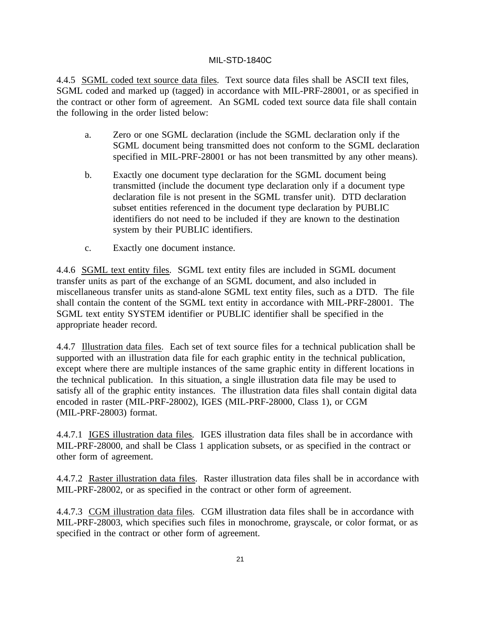4.4.5 SGML coded text source data files. Text source data files shall be ASCII text files, SGML coded and marked up (tagged) in accordance with MIL-PRF-28001, or as specified in the contract or other form of agreement. An SGML coded text source data file shall contain the following in the order listed below:

- a. Zero or one SGML declaration (include the SGML declaration only if the SGML document being transmitted does not conform to the SGML declaration specified in MIL-PRF-28001 or has not been transmitted by any other means).
- b. Exactly one document type declaration for the SGML document being transmitted (include the document type declaration only if a document type declaration file is not present in the SGML transfer unit). DTD declaration subset entities referenced in the document type declaration by PUBLIC identifiers do not need to be included if they are known to the destination system by their PUBLIC identifiers.
- c. Exactly one document instance.

4.4.6 SGML text entity files. SGML text entity files are included in SGML document transfer units as part of the exchange of an SGML document, and also included in miscellaneous transfer units as stand-alone SGML text entity files, such as a DTD. The file shall contain the content of the SGML text entity in accordance with MIL-PRF-28001. The SGML text entity SYSTEM identifier or PUBLIC identifier shall be specified in the appropriate header record.

4.4.7 Illustration data files. Each set of text source files for a technical publication shall be supported with an illustration data file for each graphic entity in the technical publication, except where there are multiple instances of the same graphic entity in different locations in the technical publication. In this situation, a single illustration data file may be used to satisfy all of the graphic entity instances. The illustration data files shall contain digital data encoded in raster (MIL-PRF-28002), IGES (MIL-PRF-28000, Class 1), or CGM (MIL-PRF-28003) format.

4.4.7.1 IGES illustration data files. IGES illustration data files shall be in accordance with MIL-PRF-28000, and shall be Class 1 application subsets, or as specified in the contract or other form of agreement.

4.4.7.2 Raster illustration data files. Raster illustration data files shall be in accordance with MIL-PRF-28002, or as specified in the contract or other form of agreement.

4.4.7.3 CGM illustration data files. CGM illustration data files shall be in accordance with MIL-PRF-28003, which specifies such files in monochrome, grayscale, or color format, or as specified in the contract or other form of agreement.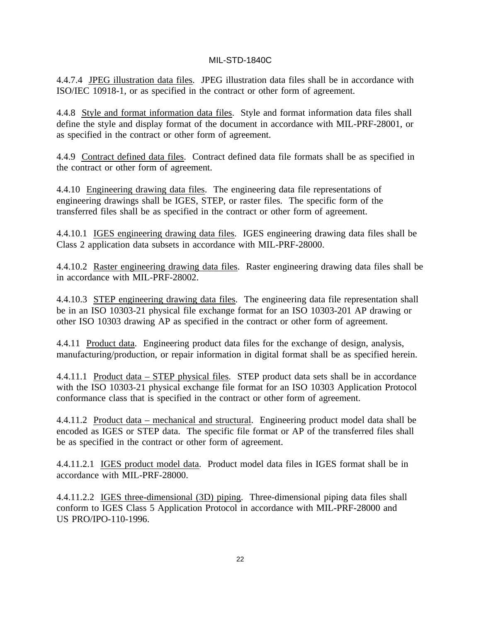4.4.7.4 JPEG illustration data files. JPEG illustration data files shall be in accordance with ISO/IEC 10918-1, or as specified in the contract or other form of agreement.

4.4.8 Style and format information data files. Style and format information data files shall define the style and display format of the document in accordance with MIL-PRF-28001, or as specified in the contract or other form of agreement.

4.4.9 Contract defined data files. Contract defined data file formats shall be as specified in the contract or other form of agreement.

4.4.10 Engineering drawing data files. The engineering data file representations of engineering drawings shall be IGES, STEP, or raster files. The specific form of the transferred files shall be as specified in the contract or other form of agreement.

4.4.10.1 IGES engineering drawing data files. IGES engineering drawing data files shall be Class 2 application data subsets in accordance with MIL-PRF-28000.

4.4.10.2 Raster engineering drawing data files. Raster engineering drawing data files shall be in accordance with MIL-PRF-28002.

4.4.10.3 STEP engineering drawing data files. The engineering data file representation shall be in an ISO 10303-21 physical file exchange format for an ISO 10303-201 AP drawing or other ISO 10303 drawing AP as specified in the contract or other form of agreement.

4.4.11 Product data. Engineering product data files for the exchange of design, analysis, manufacturing/production, or repair information in digital format shall be as specified herein.

4.4.11.1 Product data – STEP physical files. STEP product data sets shall be in accordance with the ISO 10303-21 physical exchange file format for an ISO 10303 Application Protocol conformance class that is specified in the contract or other form of agreement.

4.4.11.2 Product data – mechanical and structural. Engineering product model data shall be encoded as IGES or STEP data. The specific file format or AP of the transferred files shall be as specified in the contract or other form of agreement.

4.4.11.2.1 IGES product model data. Product model data files in IGES format shall be in accordance with MIL-PRF-28000.

4.4.11.2.2 IGES three-dimensional (3D) piping. Three-dimensional piping data files shall conform to IGES Class 5 Application Protocol in accordance with MIL-PRF-28000 and US PRO/IPO-110-1996.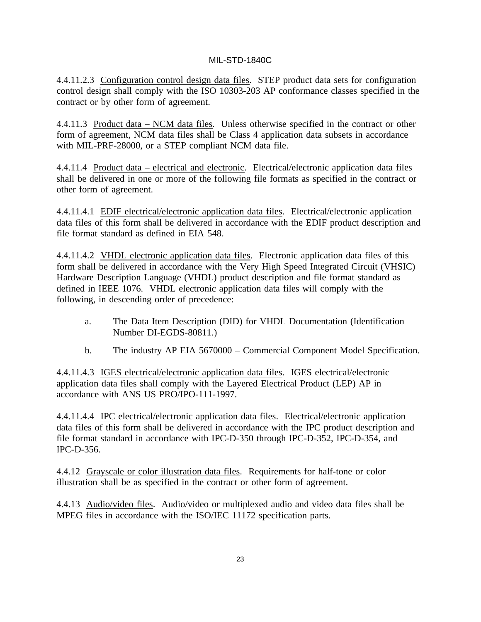4.4.11.2.3 Configuration control design data files. STEP product data sets for configuration control design shall comply with the ISO 10303-203 AP conformance classes specified in the contract or by other form of agreement.

4.4.11.3 Product data – NCM data files. Unless otherwise specified in the contract or other form of agreement, NCM data files shall be Class 4 application data subsets in accordance with MIL-PRF-28000, or a STEP compliant NCM data file.

4.4.11.4 Product data – electrical and electronic. Electrical/electronic application data files shall be delivered in one or more of the following file formats as specified in the contract or other form of agreement.

4.4.11.4.1 EDIF electrical/electronic application data files. Electrical/electronic application data files of this form shall be delivered in accordance with the EDIF product description and file format standard as defined in EIA 548.

4.4.11.4.2 VHDL electronic application data files. Electronic application data files of this form shall be delivered in accordance with the Very High Speed Integrated Circuit (VHSIC) Hardware Description Language (VHDL) product description and file format standard as defined in IEEE 1076. VHDL electronic application data files will comply with the following, in descending order of precedence:

- a. The Data Item Description (DID) for VHDL Documentation (Identification Number DI-EGDS-80811.)
- b. The industry AP EIA 5670000 Commercial Component Model Specification.

4.4.11.4.3 IGES electrical/electronic application data files. IGES electrical/electronic application data files shall comply with the Layered Electrical Product (LEP) AP in accordance with ANS US PRO/IPO-111-1997.

4.4.11.4.4 IPC electrical/electronic application data files. Electrical/electronic application data files of this form shall be delivered in accordance with the IPC product description and file format standard in accordance with IPC-D-350 through IPC-D-352, IPC-D-354, and IPC-D-356.

4.4.12 Grayscale or color illustration data files. Requirements for half-tone or color illustration shall be as specified in the contract or other form of agreement.

4.4.13 Audio/video files. Audio/video or multiplexed audio and video data files shall be MPEG files in accordance with the ISO/IEC 11172 specification parts.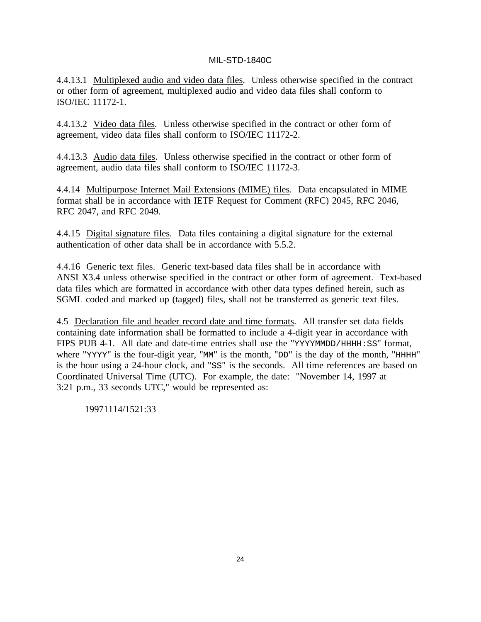4.4.13.1 Multiplexed audio and video data files. Unless otherwise specified in the contract or other form of agreement, multiplexed audio and video data files shall conform to ISO/IEC 11172-1.

4.4.13.2 Video data files. Unless otherwise specified in the contract or other form of agreement, video data files shall conform to ISO/IEC 11172-2.

4.4.13.3 Audio data files. Unless otherwise specified in the contract or other form of agreement, audio data files shall conform to ISO/IEC 11172-3.

4.4.14 Multipurpose Internet Mail Extensions (MIME) files. Data encapsulated in MIME format shall be in accordance with IETF Request for Comment (RFC) 2045, RFC 2046, RFC 2047, and RFC 2049.

4.4.15 Digital signature files. Data files containing a digital signature for the external authentication of other data shall be in accordance with 5.5.2.

4.4.16 Generic text files. Generic text-based data files shall be in accordance with ANSI X3.4 unless otherwise specified in the contract or other form of agreement. Text-based data files which are formatted in accordance with other data types defined herein, such as SGML coded and marked up (tagged) files, shall not be transferred as generic text files.

4.5 Declaration file and header record date and time formats. All transfer set data fields containing date information shall be formatted to include a 4-digit year in accordance with FIPS PUB 4-1. All date and date-time entries shall use the "YYYYMMDD/HHHH: SS" format, where "YYYY" is the four-digit year, "MM" is the month, "DD" is the day of the month, "HHHH" is the hour using a 24-hour clock, and "SS" is the seconds. All time references are based on Coordinated Universal Time (UTC). For example, the date: "November 14, 1997 at 3:21 p.m., 33 seconds UTC," would be represented as:

19971114/1521:33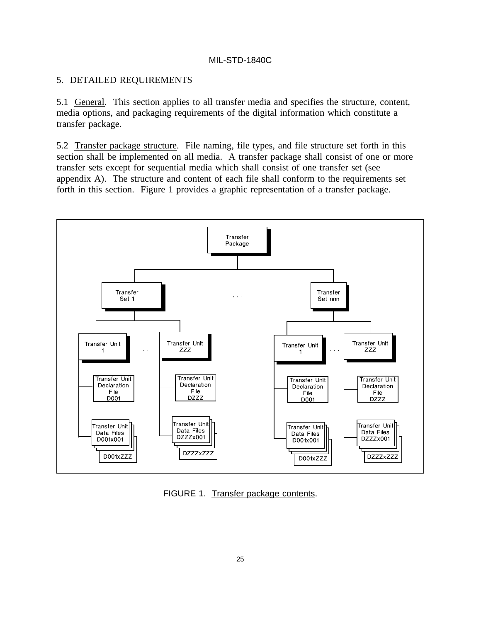### 5. DETAILED REQUIREMENTS

5.1 General. This section applies to all transfer media and specifies the structure, content, media options, and packaging requirements of the digital information which constitute a transfer package.

5.2 Transfer package structure. File naming, file types, and file structure set forth in this section shall be implemented on all media. A transfer package shall consist of one or more transfer sets except for sequential media which shall consist of one transfer set (see appendix A). The structure and content of each file shall conform to the requirements set forth in this section. Figure 1 provides a graphic representation of a transfer package.



FIGURE 1. Transfer package contents.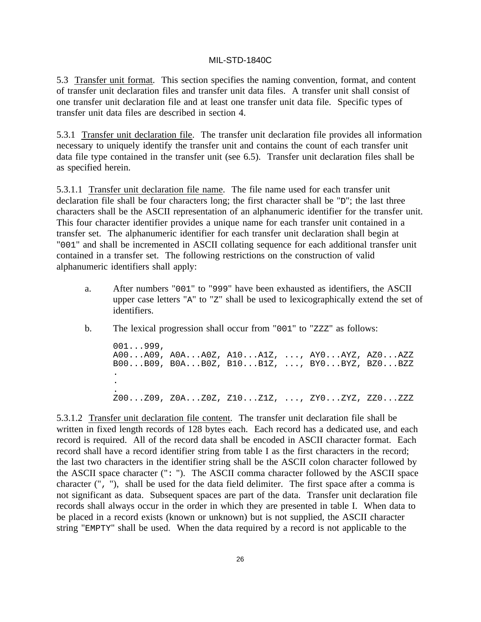5.3 Transfer unit format. This section specifies the naming convention, format, and content of transfer unit declaration files and transfer unit data files. A transfer unit shall consist of one transfer unit declaration file and at least one transfer unit data file. Specific types of transfer unit data files are described in section 4.

5.3.1 Transfer unit declaration file. The transfer unit declaration file provides all information necessary to uniquely identify the transfer unit and contains the count of each transfer unit data file type contained in the transfer unit (see 6.5). Transfer unit declaration files shall be as specified herein.

5.3.1.1 Transfer unit declaration file name. The file name used for each transfer unit declaration file shall be four characters long; the first character shall be "D"; the last three characters shall be the ASCII representation of an alphanumeric identifier for the transfer unit. This four character identifier provides a unique name for each transfer unit contained in a transfer set. The alphanumeric identifier for each transfer unit declaration shall begin at "001" and shall be incremented in ASCII collating sequence for each additional transfer unit contained in a transfer set. The following restrictions on the construction of valid alphanumeric identifiers shall apply:

- a. After numbers "001" to "999" have been exhausted as identifiers, the ASCII upper case letters "A" to "Z" shall be used to lexicographically extend the set of identifiers.
- b. The lexical progression shall occur from "001" to "zzz" as follows:

001...999, A00...A09, A0A...A0Z, A10...A1Z, ..., AY0...AYZ, AZ0...AZZ B00...B09, B0A...B0Z, B10...B1Z, ..., BY0...BYZ, BZ0...BZZ . . . Z00...Z09, Z0A...Z0Z, Z10...Z1Z, ..., ZY0...ZYZ, ZZ0...ZZZ

5.3.1.2 Transfer unit declaration file content. The transfer unit declaration file shall be written in fixed length records of 128 bytes each. Each record has a dedicated use, and each record is required. All of the record data shall be encoded in ASCII character format. Each record shall have a record identifier string from table I as the first characters in the record; the last two characters in the identifier string shall be the ASCII colon character followed by the ASCII space character (": "). The ASCII comma character followed by the ASCII space character (", "), shall be used for the data field delimiter. The first space after a comma is not significant as data. Subsequent spaces are part of the data. Transfer unit declaration file records shall always occur in the order in which they are presented in table I. When data to be placed in a record exists (known or unknown) but is not supplied, the ASCII character string "EMPTY" shall be used. When the data required by a record is not applicable to the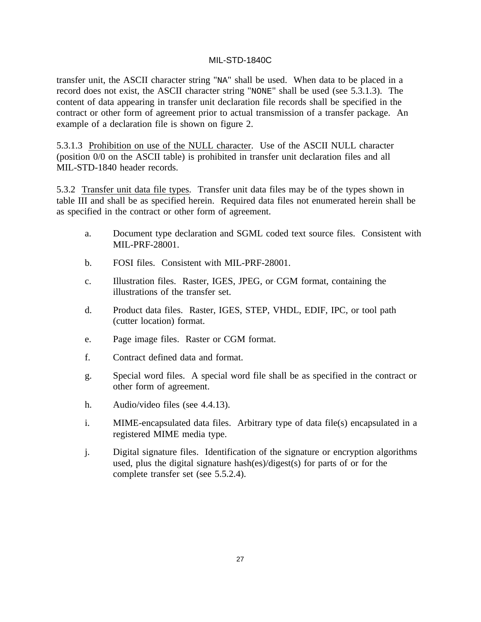transfer unit, the ASCII character string "NA" shall be used. When data to be placed in a record does not exist, the ASCII character string "NONE" shall be used (see 5.3.1.3). The content of data appearing in transfer unit declaration file records shall be specified in the contract or other form of agreement prior to actual transmission of a transfer package. An example of a declaration file is shown on figure 2.

5.3.1.3 Prohibition on use of the NULL character. Use of the ASCII NULL character (position 0/0 on the ASCII table) is prohibited in transfer unit declaration files and all MIL-STD-1840 header records.

5.3.2 Transfer unit data file types. Transfer unit data files may be of the types shown in table III and shall be as specified herein. Required data files not enumerated herein shall be as specified in the contract or other form of agreement.

- a. Document type declaration and SGML coded text source files. Consistent with MIL-PRF-28001.
- b. FOSI files. Consistent with MIL-PRF-28001.
- c. Illustration files. Raster, IGES, JPEG, or CGM format, containing the illustrations of the transfer set.
- d. Product data files. Raster, IGES, STEP, VHDL, EDIF, IPC, or tool path (cutter location) format.
- e. Page image files. Raster or CGM format.
- f. Contract defined data and format.
- g. Special word files. A special word file shall be as specified in the contract or other form of agreement.
- h. Audio/video files (see 4.4.13).
- i. MIME-encapsulated data files. Arbitrary type of data file(s) encapsulated in a registered MIME media type.
- j. Digital signature files. Identification of the signature or encryption algorithms used, plus the digital signature hash(es)/digest(s) for parts of or for the complete transfer set (see 5.5.2.4).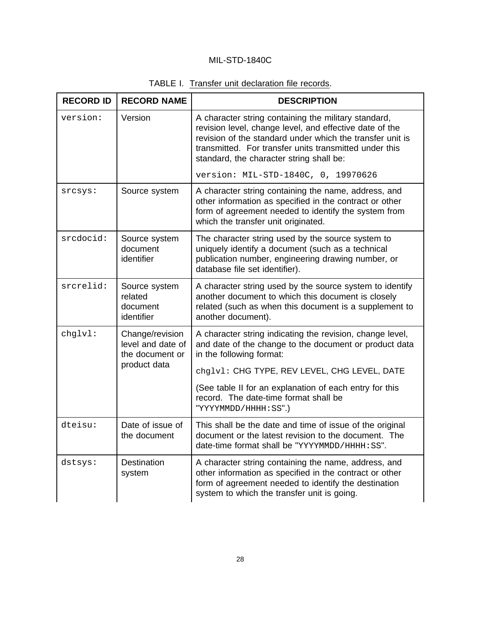| <b>RECORD ID</b> | <b>RECORD NAME</b>                                      | <b>DESCRIPTION</b>                                                                                                                                                                                                                                                                 |
|------------------|---------------------------------------------------------|------------------------------------------------------------------------------------------------------------------------------------------------------------------------------------------------------------------------------------------------------------------------------------|
| version:         | Version                                                 | A character string containing the military standard,<br>revision level, change level, and effective date of the<br>revision of the standard under which the transfer unit is<br>transmitted. For transfer units transmitted under this<br>standard, the character string shall be: |
|                  |                                                         | version: MIL-STD-1840C, 0, 19970626                                                                                                                                                                                                                                                |
| srcsys:          | Source system                                           | A character string containing the name, address, and<br>other information as specified in the contract or other<br>form of agreement needed to identify the system from<br>which the transfer unit originated.                                                                     |
| srcdocid:        | Source system<br>document<br>identifier                 | The character string used by the source system to<br>uniquely identify a document (such as a technical<br>publication number, engineering drawing number, or<br>database file set identifier).                                                                                     |
| srcrelid:        | Source system<br>related<br>document<br>identifier      | A character string used by the source system to identify<br>another document to which this document is closely<br>related (such as when this document is a supplement to<br>another document).                                                                                     |
| chglvl:          | Change/revision<br>level and date of<br>the document or | A character string indicating the revision, change level,<br>and date of the change to the document or product data<br>in the following format:                                                                                                                                    |
|                  | product data                                            | chglvl: CHG TYPE, REV LEVEL, CHG LEVEL, DATE                                                                                                                                                                                                                                       |
|                  |                                                         | (See table II for an explanation of each entry for this<br>record. The date-time format shall be<br>"YYYYMMDD/HHHH:SS".)                                                                                                                                                           |
| dteisu:          | Date of issue of<br>the document                        | This shall be the date and time of issue of the original<br>document or the latest revision to the document. The<br>date-time format shall be "YYYYMMDD/HHHH: SS".                                                                                                                 |
| dstsys:          | <b>Destination</b><br>system                            | A character string containing the name, address, and<br>other information as specified in the contract or other<br>form of agreement needed to identify the destination<br>system to which the transfer unit is going.                                                             |

# TABLE I. Transfer unit declaration file records.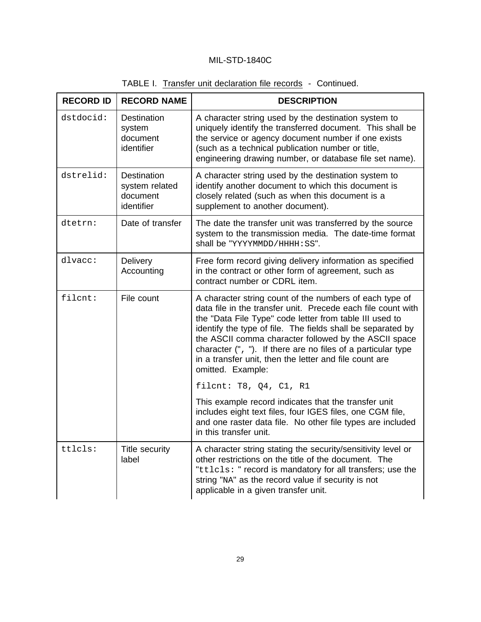| <b>RECORD ID</b> | <b>RECORD NAME</b>                                             | <b>DESCRIPTION</b>                                                                                                                                                                                                                                                                                                                                                                                                                                        |
|------------------|----------------------------------------------------------------|-----------------------------------------------------------------------------------------------------------------------------------------------------------------------------------------------------------------------------------------------------------------------------------------------------------------------------------------------------------------------------------------------------------------------------------------------------------|
| dstdocid:        | <b>Destination</b><br>system<br>document<br>identifier         | A character string used by the destination system to<br>uniquely identify the transferred document. This shall be<br>the service or agency document number if one exists<br>(such as a technical publication number or title,<br>engineering drawing number, or database file set name).                                                                                                                                                                  |
| dstrelid:        | <b>Destination</b><br>system related<br>document<br>identifier | A character string used by the destination system to<br>identify another document to which this document is<br>closely related (such as when this document is a<br>supplement to another document).                                                                                                                                                                                                                                                       |
| dtetrn:          | Date of transfer                                               | The date the transfer unit was transferred by the source<br>system to the transmission media. The date-time format<br>shall be "YYYYMMDD/HHHH: SS".                                                                                                                                                                                                                                                                                                       |
| dlvacc:          | Delivery<br>Accounting                                         | Free form record giving delivery information as specified<br>in the contract or other form of agreement, such as<br>contract number or CDRL item.                                                                                                                                                                                                                                                                                                         |
| filcnt:          | File count                                                     | A character string count of the numbers of each type of<br>data file in the transfer unit. Precede each file count with<br>the "Data File Type" code letter from table III used to<br>identify the type of file. The fields shall be separated by<br>the ASCII comma character followed by the ASCII space<br>character (", "). If there are no files of a particular type<br>in a transfer unit, then the letter and file count are<br>omitted. Example: |
|                  |                                                                | filcnt: T8, Q4, C1, R1                                                                                                                                                                                                                                                                                                                                                                                                                                    |
|                  |                                                                | This example record indicates that the transfer unit<br>includes eight text files, four IGES files, one CGM file,<br>and one raster data file. No other file types are included<br>in this transfer unit.                                                                                                                                                                                                                                                 |
| ttlcls:          | Title security<br>label                                        | A character string stating the security/sensitivity level or<br>other restrictions on the title of the document. The<br>"ttlcls: " record is mandatory for all transfers; use the<br>string "NA" as the record value if security is not<br>applicable in a given transfer unit.                                                                                                                                                                           |

# TABLE I. Transfer unit declaration file records - Continued.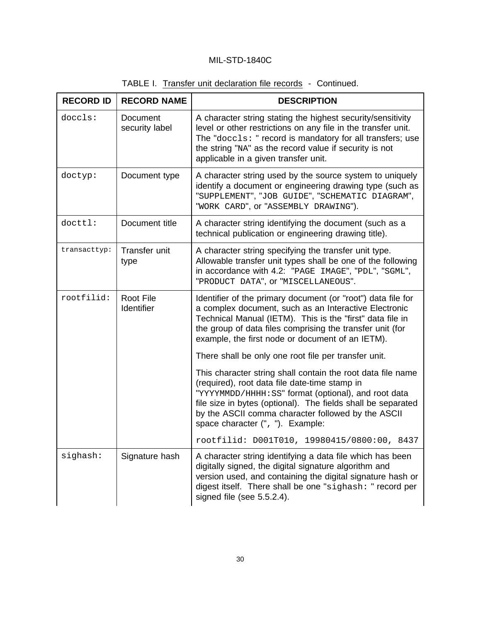| <b>RECORD ID</b> | <b>RECORD NAME</b>         | <b>DESCRIPTION</b>                                                                                                                                                                                                                                                                                                                                                                                                                                                          |
|------------------|----------------------------|-----------------------------------------------------------------------------------------------------------------------------------------------------------------------------------------------------------------------------------------------------------------------------------------------------------------------------------------------------------------------------------------------------------------------------------------------------------------------------|
| doccls:          | Document<br>security label | A character string stating the highest security/sensitivity<br>level or other restrictions on any file in the transfer unit.<br>The "doccls: " record is mandatory for all transfers; use<br>the string "NA" as the record value if security is not<br>applicable in a given transfer unit.                                                                                                                                                                                 |
| doctyp:          | Document type              | A character string used by the source system to uniquely<br>identify a document or engineering drawing type (such as<br>"SUPPLEMENT", "JOB GUIDE", "SCHEMATIC DIAGRAM",<br>"WORK CARD", Or "ASSEMBLY DRAWING").                                                                                                                                                                                                                                                             |
| docttl:          | Document title             | A character string identifying the document (such as a<br>technical publication or engineering drawing title).                                                                                                                                                                                                                                                                                                                                                              |
| transacttyp:     | Transfer unit<br>type      | A character string specifying the transfer unit type.<br>Allowable transfer unit types shall be one of the following<br>in accordance with 4.2: "PAGE IMAGE", "PDL", "SGML",<br>"PRODUCT DATA", OI "MISCELLANEOUS".                                                                                                                                                                                                                                                         |
| rootfilid:       | Root File<br>Identifier    | Identifier of the primary document (or "root") data file for<br>a complex document, such as an Interactive Electronic<br>Technical Manual (IETM). This is the "first" data file in<br>the group of data files comprising the transfer unit (for<br>example, the first node or document of an IETM).<br>There shall be only one root file per transfer unit.<br>This character string shall contain the root data file name<br>(required), root data file date-time stamp in |
|                  |                            | "YYYYMMDD/HHHH: SS" format (optional), and root data<br>file size in bytes (optional). The fields shall be separated<br>by the ASCII comma character followed by the ASCII<br>space character (", "). Example:                                                                                                                                                                                                                                                              |
|                  |                            | rootfilid: D001T010, 19980415/0800:00, 8437                                                                                                                                                                                                                                                                                                                                                                                                                                 |
| sighash:         | Signature hash             | A character string identifying a data file which has been<br>digitally signed, the digital signature algorithm and<br>version used, and containing the digital signature hash or<br>digest itself. There shall be one "sighash: " record per<br>signed file (see 5.5.2.4).                                                                                                                                                                                                  |

# TABLE I. Transfer unit declaration file records - Continued.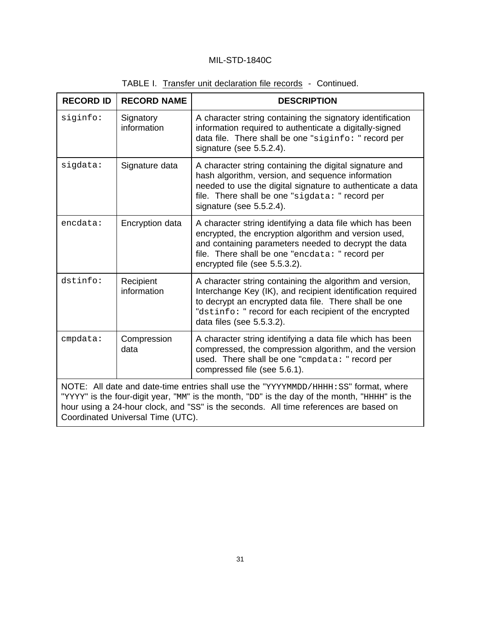| <b>RECORD ID</b>                                                                                                                                                                                                                                                                                                    | <b>RECORD NAME</b>       | <b>DESCRIPTION</b>                                                                                                                                                                                                                                                      |  |  |
|---------------------------------------------------------------------------------------------------------------------------------------------------------------------------------------------------------------------------------------------------------------------------------------------------------------------|--------------------------|-------------------------------------------------------------------------------------------------------------------------------------------------------------------------------------------------------------------------------------------------------------------------|--|--|
| siginfo:                                                                                                                                                                                                                                                                                                            | Signatory<br>information | A character string containing the signatory identification<br>information required to authenticate a digitally-signed<br>data file. There shall be one "siginfo: " record per<br>signature (see 5.5.2.4).                                                               |  |  |
| sigdata:                                                                                                                                                                                                                                                                                                            | Signature data           | A character string containing the digital signature and<br>hash algorithm, version, and sequence information<br>needed to use the digital signature to authenticate a data<br>file. There shall be one "sigdata: " record per<br>signature (see 5.5.2.4).               |  |  |
| encdata:                                                                                                                                                                                                                                                                                                            | Encryption data          | A character string identifying a data file which has been<br>encrypted, the encryption algorithm and version used,<br>and containing parameters needed to decrypt the data<br>file. There shall be one "encdata: " record per<br>encrypted file (see 5.5.3.2).          |  |  |
| dstinfo:                                                                                                                                                                                                                                                                                                            | Recipient<br>information | A character string containing the algorithm and version,<br>Interchange Key (IK), and recipient identification required<br>to decrypt an encrypted data file. There shall be one<br>"dstinfo: " record for each recipient of the encrypted<br>data files (see 5.5.3.2). |  |  |
| cmpdata:                                                                                                                                                                                                                                                                                                            | Compression<br>data      | A character string identifying a data file which has been<br>compressed, the compression algorithm, and the version<br>used. There shall be one "cmpdata: " record per<br>compressed file (see 5.6.1).                                                                  |  |  |
| NOTE: All date and date-time entries shall use the "YYYYMMDD/HHHH: SS" format, where<br>"YYYY" is the four-digit year, "MM" is the month, "DD" is the day of the month, "HHHH" is the<br>hour using a 24-hour clock, and "SS" is the seconds. All time references are based on<br>Coordinated Universal Time (UTC). |                          |                                                                                                                                                                                                                                                                         |  |  |

| TABLE I. Transfer unit declaration file records - Continued. |
|--------------------------------------------------------------|
|--------------------------------------------------------------|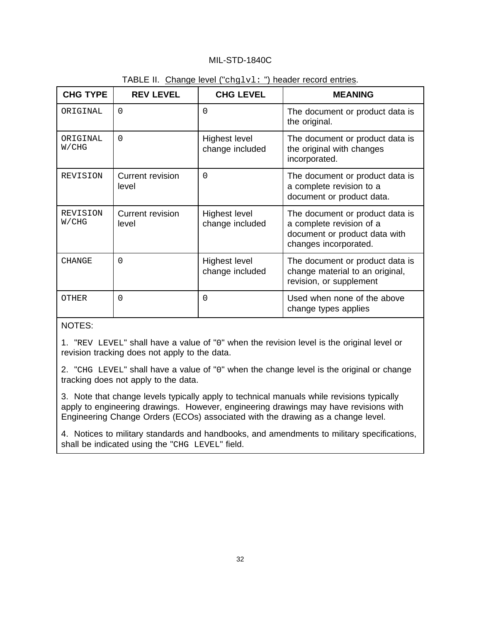| <b>CHG TYPE</b>   | <b>REV LEVEL</b>                 | <b>CHG LEVEL</b>                        | <b>MEANING</b>                                                                                                        |
|-------------------|----------------------------------|-----------------------------------------|-----------------------------------------------------------------------------------------------------------------------|
| ORIGINAL          | $\Omega$                         | $\Omega$                                | The document or product data is<br>the original.                                                                      |
| ORTGINAL<br>W/CHG | $\Omega$                         | Highest level<br>change included        | The document or product data is<br>the original with changes<br>incorporated.                                         |
| <b>REVISION</b>   | <b>Current revision</b><br>level | $\Omega$                                | The document or product data is<br>a complete revision to a<br>document or product data.                              |
| REVISION<br>W/CHG | <b>Current revision</b><br>level | Highest level<br>change included        | The document or product data is<br>a complete revision of a<br>document or product data with<br>changes incorporated. |
| <b>CHANGE</b>     | 0                                | <b>Highest level</b><br>change included | The document or product data is<br>change material to an original,<br>revision, or supplement                         |
| OTHER             | $\Omega$                         | $\Omega$                                | Used when none of the above<br>change types applies                                                                   |

### TABLE II. Change level ("chglvl: ") header record entries.

### NOTES:

1. "REV LEVEL" shall have a value of "0" when the revision level is the original level or revision tracking does not apply to the data.

2. "CHG LEVEL" shall have a value of "0" when the change level is the original or change tracking does not apply to the data.

3. Note that change levels typically apply to technical manuals while revisions typically apply to engineering drawings. However, engineering drawings may have revisions with Engineering Change Orders (ECOs) associated with the drawing as a change level.

4. Notices to military standards and handbooks, and amendments to military specifications, shall be indicated using the "CHG LEVEL" field.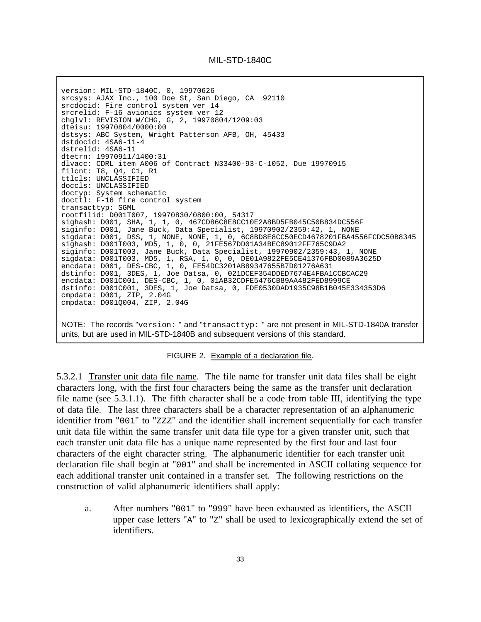version: MIL-STD-1840C, 0, 19970626 srcsys: AJAX Inc., 100 Doe St, San Diego, CA 92110 srcdocid: Fire control system ver 14 srcrelid: F-16 avionics system ver 12 chglvl: REVISION W/CHG, G, 2, 19970804/1209:03 dteisu: 19970804/0000:00 dstsys: ABC System, Wright Patterson AFB, OH, 45433 dstdocid: 4SA6-11-4 dstrelid: 4SA6-11 dtetrn: 19970911/1400:31 dlvacc: CDRL item A006 of Contract N33400-93-C-1052, Due 19970915 filcnt: T8, Q4, C1, R1 ttlcls: UNCLASSIFIED doccls: UNCLASSIFIED doctyp: System schematic docttl: F-16 fire control system transacttyp: SGML rootfilid: D001T007, 19970830/0800:00, 54317 sighash: D001, SHA, 1, 1, 0, 467CD86C8E8CC10E2A8BD5FB045C50B834DC556F siginfo: D001, Jane Buck, Data Specialist, 19970902/2359:42, 1, NONE sigdata: D001, DSS, 1, NONE, NONE, 1, 0, 6C8BD8E8CC50ECD4678201FBA4556FCDC50B8345 sighash: D001T003, MD5, 1, 0, 0, 21FE567DD01A34BEC89012FF765C9DA2 siginfo: D001T003, Jane Buck, Data Specialist, 19970902/2359:43, 1, NONE sigdata: D001T003, MD5, 1, RSA, 1, 0, 0, DE01A9822FE5CE41376FBD0089A3625D encdata: D001, DES-CBC, 1, 0, FE54DC3201AB89347655B7D01276A631 dstinfo: D001, 3DES, 1, Joe Datsa, 0, 021DCEF354DDED7674E4FBA1CCBCAC29 encdata: D001C001, DES-CBC, 1, 0, 01AB32CDFE5476CB89AA482FED8999CE dstinfo: D001C001, 3DES, 1, Joe Datsa, 0, FDE0530DAD1935C98B1B045E334353D6 cmpdata: D001, ZIP, 2.04G cmpdata: D001Q004, ZIP, 2.04G

NOTE: The records "version: " and "transacttyp: " are not present in MIL-STD-1840A transfer units, but are used in MIL-STD-1840B and subsequent versions of this standard.

FIGURE 2. Example of a declaration file.

5.3.2.1 Transfer unit data file name. The file name for transfer unit data files shall be eight characters long, with the first four characters being the same as the transfer unit declaration file name (see 5.3.1.1). The fifth character shall be a code from table III, identifying the type of data file. The last three characters shall be a character representation of an alphanumeric identifier from "001" to "ZZZ" and the identifier shall increment sequentially for each transfer unit data file within the same transfer unit data file type for a given transfer unit, such that each transfer unit data file has a unique name represented by the first four and last four characters of the eight character string. The alphanumeric identifier for each transfer unit declaration file shall begin at "001" and shall be incremented in ASCII collating sequence for each additional transfer unit contained in a transfer set. The following restrictions on the construction of valid alphanumeric identifiers shall apply:

a. After numbers "001" to "999" have been exhausted as identifiers, the ASCII upper case letters "A" to "Z" shall be used to lexicographically extend the set of identifiers.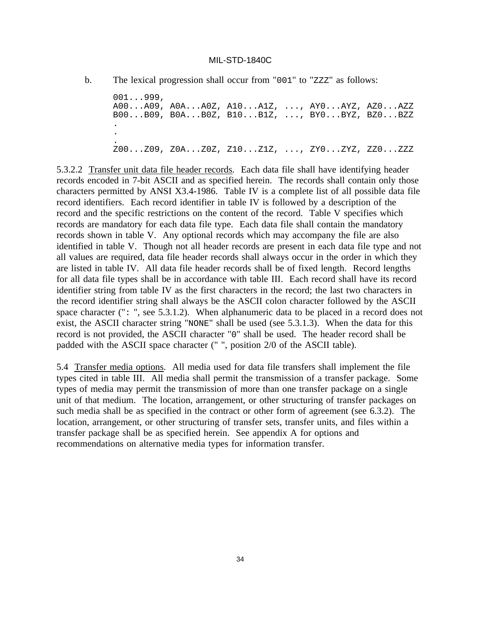b. The lexical progression shall occur from "001" to "zzz" as follows:

001...999, A00...A09, A0A...A0Z, A10...A1Z, ..., AY0...AYZ, AZ0...AZZ B00...B09, B0A...B0Z, B10...B1Z, ..., BY0...BYZ, BZ0...BZZ . . . Z00...Z09, Z0A...Z0Z, Z10...Z1Z, ..., ZY0...ZYZ, ZZ0...ZZZ

5.3.2.2 Transfer unit data file header records. Each data file shall have identifying header records encoded in 7-bit ASCII and as specified herein. The records shall contain only those characters permitted by ANSI X3.4-1986. Table IV is a complete list of all possible data file record identifiers. Each record identifier in table IV is followed by a description of the record and the specific restrictions on the content of the record. Table V specifies which records are mandatory for each data file type. Each data file shall contain the mandatory records shown in table V. Any optional records which may accompany the file are also identified in table V. Though not all header records are present in each data file type and not all values are required, data file header records shall always occur in the order in which they are listed in table IV. All data file header records shall be of fixed length. Record lengths for all data file types shall be in accordance with table III. Each record shall have its record identifier string from table IV as the first characters in the record; the last two characters in the record identifier string shall always be the ASCII colon character followed by the ASCII space character (": ", see 5.3.1.2). When alphanumeric data to be placed in a record does not exist, the ASCII character string "NONE" shall be used (see 5.3.1.3). When the data for this record is not provided, the ASCII character "0" shall be used. The header record shall be padded with the ASCII space character (" ", position 2/0 of the ASCII table).

5.4 Transfer media options. All media used for data file transfers shall implement the file types cited in table III. All media shall permit the transmission of a transfer package. Some types of media may permit the transmission of more than one transfer package on a single unit of that medium. The location, arrangement, or other structuring of transfer packages on such media shall be as specified in the contract or other form of agreement (see 6.3.2). The location, arrangement, or other structuring of transfer sets, transfer units, and files within a transfer package shall be as specified herein. See appendix A for options and recommendations on alternative media types for information transfer.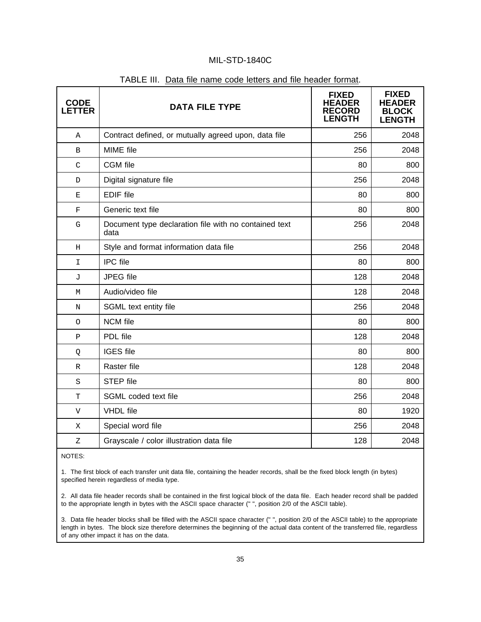| <b>CODE</b><br><b>LETTER</b> | <b>DATA FILE TYPE</b>                                         | <b>FIXED</b><br><b>HEADER</b><br><b>RECORD</b><br><b>ENGTH</b> | <b>FIXED</b><br><b>HEADER</b><br><b>BLOCK</b><br><b>LENGTH</b> |
|------------------------------|---------------------------------------------------------------|----------------------------------------------------------------|----------------------------------------------------------------|
| Α                            | Contract defined, or mutually agreed upon, data file          | 256                                                            | 2048                                                           |
| B                            | MIME file                                                     | 256                                                            | 2048                                                           |
| $\mathcal{C}$                | <b>CGM</b> file                                               | 80                                                             | 800                                                            |
| D                            | Digital signature file                                        | 256                                                            | 2048                                                           |
| Ε                            | <b>EDIF</b> file                                              | 80                                                             | 800                                                            |
| $\mathbf F$                  | Generic text file                                             | 80                                                             | 800                                                            |
| ${\mathsf G}$                | Document type declaration file with no contained text<br>data | 256                                                            | 2048                                                           |
| $\rm H$                      | Style and format information data file                        | 256                                                            | 2048                                                           |
| I                            | <b>IPC</b> file                                               | 80                                                             | 800                                                            |
| J                            | JPEG file                                                     | 128                                                            | 2048                                                           |
| М                            | Audio/video file                                              | 128                                                            | 2048                                                           |
| N                            | SGML text entity file                                         | 256                                                            | 2048                                                           |
| $\circ$                      | <b>NCM</b> file                                               | 80                                                             | 800                                                            |
| $\mathbf P$                  | PDL file                                                      | 128                                                            | 2048                                                           |
| Q                            | <b>IGES</b> file                                              | 80                                                             | 800                                                            |
| R                            | Raster file                                                   | 128                                                            | 2048                                                           |
| S                            | <b>STEP file</b>                                              | 80                                                             | 800                                                            |
| T                            | SGML coded text file                                          | 256                                                            | 2048                                                           |
| V                            | <b>VHDL</b> file                                              | 80                                                             | 1920                                                           |
| Χ                            | Special word file                                             | 256                                                            | 2048                                                           |
| $\overline{z}$               | Grayscale / color illustration data file                      | 128                                                            | 2048                                                           |

#### TABLE III. Data file name code letters and file header format.

NOTES:

1. The first block of each transfer unit data file, containing the header records, shall be the fixed block length (in bytes) specified herein regardless of media type.

2. All data file header records shall be contained in the first logical block of the data file. Each header record shall be padded to the appropriate length in bytes with the ASCII space character (" ", position 2/0 of the ASCII table).

3. Data file header blocks shall be filled with the ASCII space character (" ", position 2/0 of the ASCII table) to the appropriate length in bytes. The block size therefore determines the beginning of the actual data content of the transferred file, regardless of any other impact it has on the data.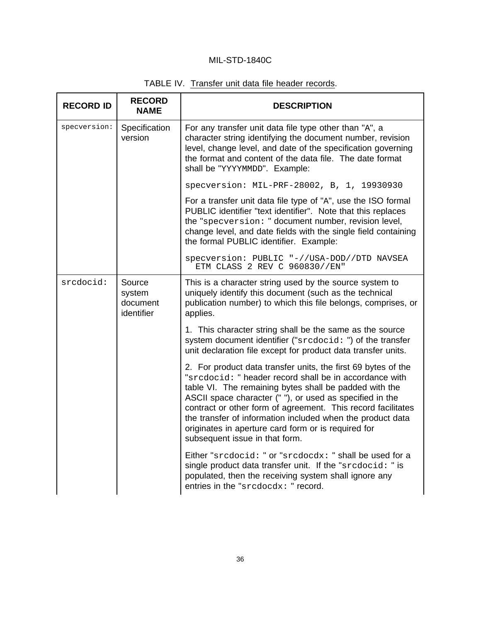# TABLE IV. Transfer unit data file header records.

| <b>RECORD ID</b> | <b>RECORD</b><br><b>NAME</b>               | <b>DESCRIPTION</b>                                                                                                                                                                                                                                                                                                                                                                                                                                                   |
|------------------|--------------------------------------------|----------------------------------------------------------------------------------------------------------------------------------------------------------------------------------------------------------------------------------------------------------------------------------------------------------------------------------------------------------------------------------------------------------------------------------------------------------------------|
| specversion:     | Specification<br>version                   | For any transfer unit data file type other than "A", a<br>character string identifying the document number, revision<br>level, change level, and date of the specification governing<br>the format and content of the data file. The date format<br>shall be "YYYYMMDD". Example:                                                                                                                                                                                    |
|                  |                                            | specversion: MIL-PRF-28002, B, 1, 19930930                                                                                                                                                                                                                                                                                                                                                                                                                           |
|                  |                                            | For a transfer unit data file type of "A", use the ISO formal<br>PUBLIC identifier "text identifier". Note that this replaces<br>the "specversion: " document number, revision level,<br>change level, and date fields with the single field containing<br>the formal PUBLIC identifier. Example:                                                                                                                                                                    |
|                  |                                            | specversion: PUBLIC "-//USA-DOD//DTD NAVSEA<br>ETM CLASS 2 REV C 960830//EN"                                                                                                                                                                                                                                                                                                                                                                                         |
| srcdocid:        | Source<br>system<br>document<br>identifier | This is a character string used by the source system to<br>uniquely identify this document (such as the technical<br>publication number) to which this file belongs, comprises, or<br>applies.                                                                                                                                                                                                                                                                       |
|                  |                                            | 1. This character string shall be the same as the source<br>system document identifier ("srcdocid: ") of the transfer<br>unit declaration file except for product data transfer units.                                                                                                                                                                                                                                                                               |
|                  |                                            | 2. For product data transfer units, the first 69 bytes of the<br>"srcdocid: " header record shall be in accordance with<br>table VI. The remaining bytes shall be padded with the<br>ASCII space character (" "), or used as specified in the<br>contract or other form of agreement. This record facilitates<br>the transfer of information included when the product data<br>originates in aperture card form or is required for<br>subsequent issue in that form. |
|                  |                                            | Either "srcdocid: " or "srcdocdx: " shall be used for a<br>single product data transfer unit. If the "srcdocid: " is<br>populated, then the receiving system shall ignore any<br>entries in the "srcdocdx: " record.                                                                                                                                                                                                                                                 |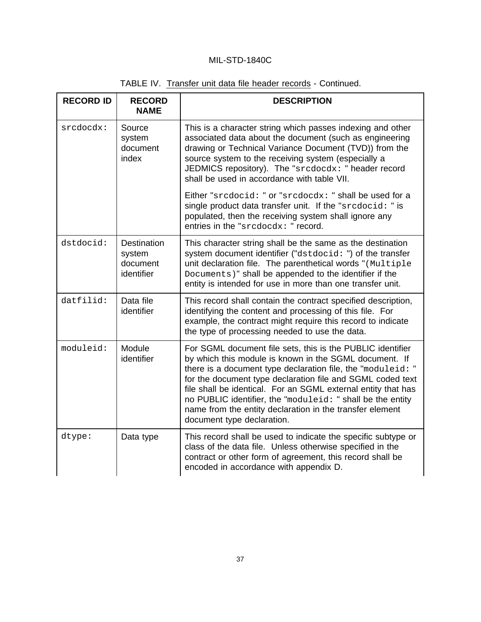| TABLE IV. Transfer unit data file header records - Continued. |  |  |  |  |  |  |
|---------------------------------------------------------------|--|--|--|--|--|--|
|---------------------------------------------------------------|--|--|--|--|--|--|

| <b>RECORD ID</b> | <b>RECORD</b><br><b>NAME</b>                           | <b>DESCRIPTION</b>                                                                                                                                                                                                                                                                                                                                                                                                                                                         |
|------------------|--------------------------------------------------------|----------------------------------------------------------------------------------------------------------------------------------------------------------------------------------------------------------------------------------------------------------------------------------------------------------------------------------------------------------------------------------------------------------------------------------------------------------------------------|
| srcdocdx:        | Source<br>system<br>document<br>index                  | This is a character string which passes indexing and other<br>associated data about the document (such as engineering<br>drawing or Technical Variance Document (TVD)) from the<br>source system to the receiving system (especially a<br>JEDMICS repository). The "srcdocdx: " header record<br>shall be used in accordance with table VII.                                                                                                                               |
|                  |                                                        | Either "srcdocid: " or "srcdocdx: " shall be used for a<br>single product data transfer unit. If the "srcdocid: " is<br>populated, then the receiving system shall ignore any<br>entries in the "srcdocdx: " record.                                                                                                                                                                                                                                                       |
| dstdocid:        | <b>Destination</b><br>system<br>document<br>identifier | This character string shall be the same as the destination<br>system document identifier ("dstdocid: ") of the transfer<br>unit declaration file. The parenthetical words "(Multiple<br>Documents)" shall be appended to the identifier if the<br>entity is intended for use in more than one transfer unit.                                                                                                                                                               |
| datfilid:        | Data file<br>identifier                                | This record shall contain the contract specified description,<br>identifying the content and processing of this file. For<br>example, the contract might require this record to indicate<br>the type of processing needed to use the data.                                                                                                                                                                                                                                 |
| moduleid:        | Module<br>identifier                                   | For SGML document file sets, this is the PUBLIC identifier<br>by which this module is known in the SGML document. If<br>there is a document type declaration file, the "moduleid: "<br>for the document type declaration file and SGML coded text<br>file shall be identical. For an SGML external entity that has<br>no PUBLIC identifier, the "moduleid: " shall be the entity<br>name from the entity declaration in the transfer element<br>document type declaration. |
| dtype:           | Data type                                              | This record shall be used to indicate the specific subtype or<br>class of the data file. Unless otherwise specified in the<br>contract or other form of agreement, this record shall be<br>encoded in accordance with appendix D.                                                                                                                                                                                                                                          |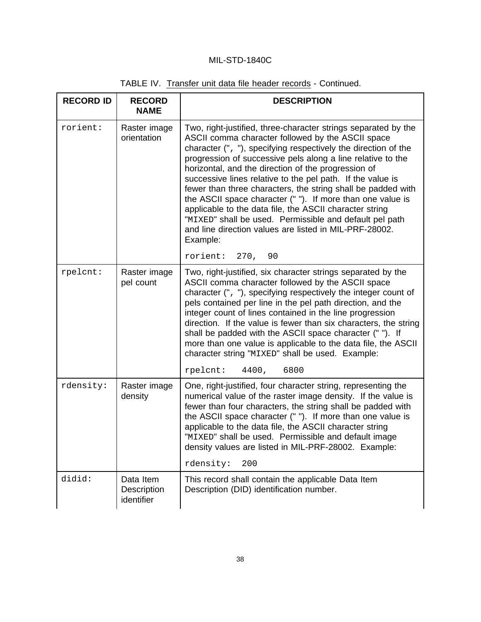|  |  | TABLE IV. Transfer unit data file header records - Continued. |
|--|--|---------------------------------------------------------------|
|--|--|---------------------------------------------------------------|

| <b>RECORD ID</b> | <b>RECORD</b><br><b>NAME</b>           | <b>DESCRIPTION</b>                                                                                                                                                                                                                                                                                                                                                                                                                                                                                                                                                                                                                                                                                                            |
|------------------|----------------------------------------|-------------------------------------------------------------------------------------------------------------------------------------------------------------------------------------------------------------------------------------------------------------------------------------------------------------------------------------------------------------------------------------------------------------------------------------------------------------------------------------------------------------------------------------------------------------------------------------------------------------------------------------------------------------------------------------------------------------------------------|
| rorient:         | Raster image<br>orientation            | Two, right-justified, three-character strings separated by the<br>ASCII comma character followed by the ASCII space<br>character (", "), specifying respectively the direction of the<br>progression of successive pels along a line relative to the<br>horizontal, and the direction of the progression of<br>successive lines relative to the pel path. If the value is<br>fewer than three characters, the string shall be padded with<br>the ASCII space character (" "). If more than one value is<br>applicable to the data file, the ASCII character string<br>"MIXED" shall be used. Permissible and default pel path<br>and line direction values are listed in MIL-PRF-28002.<br>Example:<br>rorient:<br>270,<br>90 |
| rpelcnt:         | Raster image<br>pel count              | Two, right-justified, six character strings separated by the<br>ASCII comma character followed by the ASCII space<br>character (", "), specifying respectively the integer count of<br>pels contained per line in the pel path direction, and the<br>integer count of lines contained in the line progression<br>direction. If the value is fewer than six characters, the string<br>shall be padded with the ASCII space character (""). If<br>more than one value is applicable to the data file, the ASCII<br>character string "MIXED" shall be used. Example:<br>rpelcnt:<br>4400,<br>6800                                                                                                                                |
| rdensity:        | Raster image<br>density                | One, right-justified, four character string, representing the<br>numerical value of the raster image density. If the value is<br>fewer than four characters, the string shall be padded with<br>the ASCII space character (" "). If more than one value is<br>applicable to the data file, the ASCII character string<br>"MIXED" shall be used. Permissible and default image<br>density values are listed in MIL-PRF-28002. Example:<br>rdensity:<br>200                                                                                                                                                                                                                                                                     |
| didid:           | Data Item<br>Description<br>identifier | This record shall contain the applicable Data Item<br>Description (DID) identification number.                                                                                                                                                                                                                                                                                                                                                                                                                                                                                                                                                                                                                                |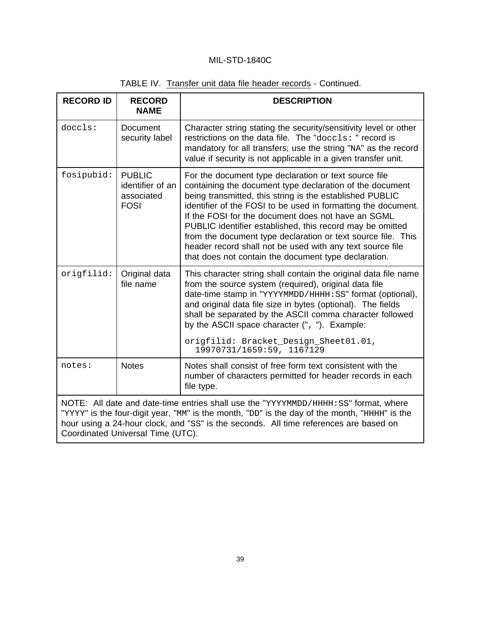|  | TABLE IV. Transfer unit data file header records - Continued. |
|--|---------------------------------------------------------------|
|  |                                                               |

| <b>RECORD ID</b>                                                                                                                                                                                                                                                                                                    | <b>RECORD</b><br><b>NAME</b>                                   | <b>DESCRIPTION</b>                                                                                                                                                                                                                                                                                                                                                                                                                                                                                                                                     |  |
|---------------------------------------------------------------------------------------------------------------------------------------------------------------------------------------------------------------------------------------------------------------------------------------------------------------------|----------------------------------------------------------------|--------------------------------------------------------------------------------------------------------------------------------------------------------------------------------------------------------------------------------------------------------------------------------------------------------------------------------------------------------------------------------------------------------------------------------------------------------------------------------------------------------------------------------------------------------|--|
| doccls:                                                                                                                                                                                                                                                                                                             | <b>Document</b><br>security label                              | Character string stating the security/sensitivity level or other<br>restrictions on the data file. The "doccls: " record is<br>mandatory for all transfers; use the string "NA" as the record<br>value if security is not applicable in a given transfer unit.                                                                                                                                                                                                                                                                                         |  |
| fosipubid:                                                                                                                                                                                                                                                                                                          | <b>PUBLIC</b><br>identifier of an<br>associated<br><b>FOSI</b> | For the document type declaration or text source file<br>containing the document type declaration of the document<br>being transmitted, this string is the established PUBLIC<br>identifier of the FOSI to be used in formatting the document.<br>If the FOSI for the document does not have an SGML<br>PUBLIC identifier established, this record may be omitted<br>from the document type declaration or text source file. This<br>header record shall not be used with any text source file<br>that does not contain the document type declaration. |  |
| origfilid:                                                                                                                                                                                                                                                                                                          | Original data<br>file name                                     | This character string shall contain the original data file name<br>from the source system (required), original data file<br>date-time stamp in "YYYYMMDD/HHHH: SS" format (optional),<br>and original data file size in bytes (optional). The fields<br>shall be separated by the ASCII comma character followed<br>by the ASCII space character (", "). Example:<br>origfilid: Bracket_Design_Sheet01.01,<br>19970731/1659:59, 1167129                                                                                                                |  |
| notes:                                                                                                                                                                                                                                                                                                              | <b>Notes</b>                                                   | Notes shall consist of free form text consistent with the<br>number of characters permitted for header records in each<br>file type.                                                                                                                                                                                                                                                                                                                                                                                                                   |  |
| NOTE: All date and date-time entries shall use the "YYYYMMDD/HHHH: SS" format, where<br>"YYYY" is the four-digit year, "MM" is the month, "DD" is the day of the month, "HHHH" is the<br>hour using a 24-hour clock, and "SS" is the seconds. All time references are based on<br>Coordinated Universal Time (UTC). |                                                                |                                                                                                                                                                                                                                                                                                                                                                                                                                                                                                                                                        |  |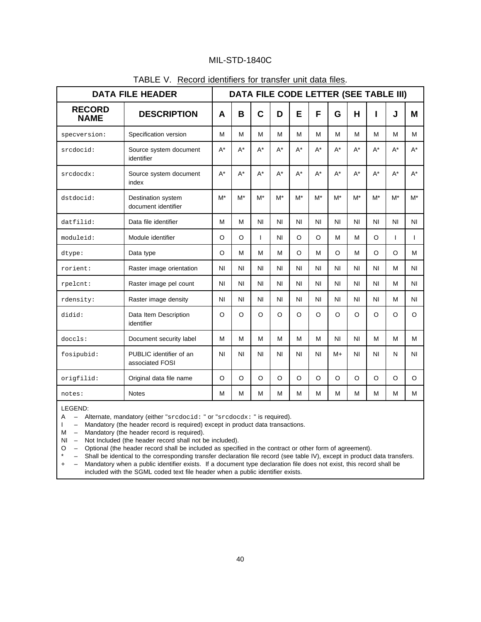| <b>DATA FILE HEADER</b>      |                                            |                | DATA FILE CODE LETTER (SEE TABLE III) |                |       |                |                |           |                |                |              |                |
|------------------------------|--------------------------------------------|----------------|---------------------------------------|----------------|-------|----------------|----------------|-----------|----------------|----------------|--------------|----------------|
| <b>RECORD</b><br><b>NAME</b> | <b>DESCRIPTION</b>                         |                | B                                     | $\mathbf C$    | D     | E              | F              | G         | н              |                | J            | M              |
| specversion:                 | Specification version                      | M              | M                                     | M              | м     | M              | M              | м         | м              | м              | м            | м              |
| srcdocid:                    | Source system document<br>identifier       |                | $A^*$                                 | $A^*$          | $A^*$ | $A^*$          | $A^*$          | $A^*$     | $A^*$          | $A^*$          | $A^*$        | $A^*$          |
| srcdocdx:                    | Source system document<br>index            |                | $A^*$                                 | $A^*$          | $A^*$ | $A^*$          | $A^*$          | $A^*$     | $A^*$          | $A^*$          | $A^*$        | $A^*$          |
| dst.docid:                   | Destination system<br>document identifier  | $M^*$          | $M^*$                                 | M*             | $M^*$ | $M^*$          | $M^*$          | $M^*$     | $M^*$          | $M^*$          | $M^*$        | $M^*$          |
| datfilid:                    | Data file identifier                       | M              | M                                     | N <sub>l</sub> | ΝI.   | ΝI             | N <sub>1</sub> | <b>NI</b> | N <sub>1</sub> | N <sub>1</sub> | NI           | N <sub>1</sub> |
| moduleid:                    | Module identifier                          |                | O                                     | $\mathbf{I}$   | ΝI.   | O              | O              | M         | м              | O              | $\mathsf{I}$ | $\mathbf{I}$   |
| dtype:                       | Data type                                  | O              | М                                     | M              | М     | O              | М              | O         | м              | O              | $\circ$      | м              |
| rorient:                     | Raster image orientation                   |                | N <sub>1</sub>                        | N <sub>l</sub> | ΝI.   | N <sub>1</sub> | N <sub>1</sub> | <b>NI</b> | N <sub>1</sub> | ΝI             | м            | <b>NI</b>      |
| rpelcnt:                     | Raster image pel count                     | <b>NI</b>      | N <sub>1</sub>                        | N <sub>l</sub> | ΝI.   | N <sub>1</sub> | N <sub>l</sub> | ΝI.       | N <sub>1</sub> | N <sub>l</sub> | м            | N <sub>1</sub> |
| rdensity:                    | Raster image density                       | N <sub>l</sub> | N <sub>1</sub>                        | N <sub>l</sub> | ΝI    | ΝI             | ΝI             | NI        | N <sub>1</sub> | ΝI             | м            | N <sub>1</sub> |
| didid:                       | Data Item Description<br>identifier        | $\circ$        | $\circ$                               | $\Omega$       | O     | $\Omega$       | $\Omega$       | O         | $\Omega$       | $\Omega$       | O            | O              |
| doccls:                      | Document security label                    | M              | M                                     | M              | M     | M              | M              | ΝI.       | N <sub>1</sub> | M              | M            | M              |
| fosipubid:                   | PUBLIC identifier of an<br>associated FOSI | ΝI             | ΝI                                    | NI             | ΝI    | ΝI             | ΝI             | M+        | ΝI             | ΝI             | N            | ΝI             |
| origfilid:                   | Original data file name                    | $\Omega$       | O                                     | $\Omega$       | O     | O              | O              | O         | O              | $\Omega$       | O            | O              |
| notes:                       | <b>Notes</b>                               | м              | M                                     | M              | м     | M              | м              | м         | м              | M              | M            | M              |

#### TABLE V. Record identifiers for transfer unit data files.

LEGEND:

A – Alternate, mandatory (either "srcdocid: " or "srcdocdx: " is required).<br>I – Mandatory (the header record is required) except in product data transacti

- Mandatory (the header record is required) except in product data transactions.

M – Mandatory (the header record is required).

NI – Not Included (the header record shall not be included).<br>  $O -$  Optional (the header record shall be included as specifity – Shall be identical to the corresponding transfer declaration

- Optional (the header record shall be included as specified in the contract or other form of agreement).

- Shall be identical to the corresponding transfer declaration file record (see table IV), except in product data transfers. + – Mandatory when a public identifier exists. If a document type declaration file does not exist, this record shall be

included with the SGML coded text file header when a public identifier exists.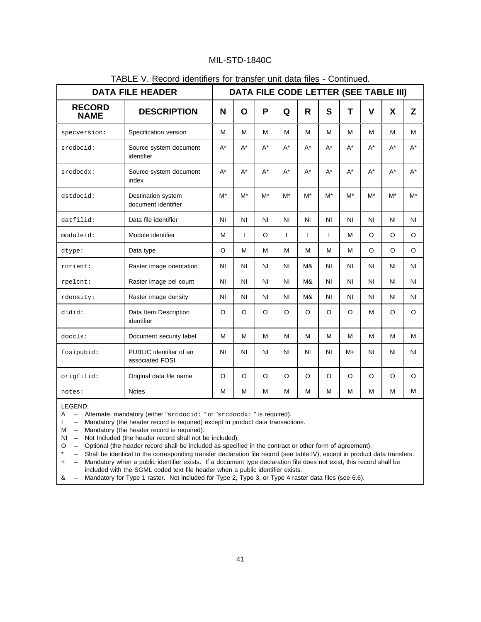| <b>DATA FILE HEADER</b>      |                                            |                |                      |                |                | DATA FILE CODE LETTER (SEE TABLE III) |                |                |                |                |                |
|------------------------------|--------------------------------------------|----------------|----------------------|----------------|----------------|---------------------------------------|----------------|----------------|----------------|----------------|----------------|
| <b>RECORD</b><br><b>NAME</b> | <b>DESCRIPTION</b>                         | N              | O                    | P              | Q              | $\mathsf{R}$                          | S              | T              | $\mathsf{V}$   | X              | Z              |
| specversion:                 | Specification version                      | M              | M                    | M              | M              | M                                     | M              | M              | M              | M              | M              |
| srcdocid:                    | Source system document<br>identifier       | $A^*$          | $\mathsf{A}^{\star}$ | $A^*$          | $A^*$          | $A^*$                                 | $A^*$          | $A^*$          | $A^*$          | $A^*$          | $A^*$          |
| srcdocdx:                    | Source system document<br>index            | $A^*$          | $\mathsf{A}^{\star}$ | $A^*$          | $A^*$          | $A^*$                                 | $A^*$          | $A^*$          | $A^*$          | $A^*$          | $A^*$          |
| dstdocid:                    | Destination system<br>document identifier  | $M^*$          | $M^*$                | $M^*$          | $M^*$          | $M^*$                                 | $M^*$          | $M^*$          | $M^*$          | $M^*$          | $M^*$          |
| datfilid:                    | Data file identifier                       | N <sub>1</sub> | N <sub>1</sub>       | N <sub>1</sub> | N <sub>1</sub> | N <sub>1</sub>                        | N <sub>l</sub> | N <sub>l</sub> | N <sub>1</sub> | N <sub>l</sub> | N <sub>1</sub> |
| moduleid:                    | Module identifier                          | M              | ı                    | $\circ$        | T              | ı                                     | T              | M              | $\circ$        | $\circ$        | $\circ$        |
| dtype:                       | Data type                                  | $\circ$        | M                    | M              | M              | M                                     | M              | M              | $\Omega$       | $\circ$        | $\circ$        |
| rorient:                     | Raster image orientation                   |                | N <sub>1</sub>       | N <sub>l</sub> | NI             | M&                                    | N <sub>l</sub> | N <sub>l</sub> | N <sub>l</sub> | N <sub>l</sub> | N <sub>1</sub> |
| rpelcnt:                     | Raster image pel count                     | N <sub>1</sub> | N <sub>1</sub>       | NI             | <b>NI</b>      | M&                                    | N <sub>l</sub> | <b>NI</b>      | <b>NI</b>      | N <sub>1</sub> | N <sub>1</sub> |
| rdensity:                    | Raster image density                       | N <sub>1</sub> | N <sub>1</sub>       | NI             | N <sub>1</sub> | M&                                    | N <sub>1</sub> | N <sub>1</sub> | N <sub>l</sub> | N <sub>l</sub> | N <sub>1</sub> |
| didid:                       | Data Item Description<br>identifier        | $\Omega$       | $\Omega$             | $\circ$        | $\circ$        | $\Omega$                              | $\circ$        | $\Omega$       | M              | $\circ$        | $\circ$        |
| doccls:                      | Document security label                    | M              | M                    | M              | M              | M                                     | M              | M              | M              | M              | M              |
| fosipubid:                   | PUBLIC identifier of an<br>associated FOSI | <b>NI</b>      | <b>NI</b>            | NI             | NI             | N <sub>1</sub>                        | N <sub>1</sub> | $M+$           | N <sub>l</sub> | N <sub>l</sub> | N <sub>1</sub> |
| origfilid:                   | Original data file name                    | $\circ$        | $\circ$              | $\circ$        | $\circ$        | $\circ$                               | $\Omega$       | $\circ$        | $\circ$        | $\circ$        | $\circ$        |
| notes:                       | <b>Notes</b>                               | M              | М                    | M              | M              | M                                     | M              | M              | M              | M              | M              |

### TABLE V. Record identifiers for transfer unit data files - Continued.

LEGEND:<br>A – Al<br>I – M

A – Alternate, mandatory (either "srcdocid: " or "srcdocdx: " is required).

I – Mandatory (the header record is required) except in product data transactions.

M – Mandatory (the header record is required).

NI – Not Included (the header record shall not be included).

O – Optional (the header record shall be included as specified in the contract or other form of agreement).

- Shall be identical to the corresponding transfer declaration file record (see table IV), except in product data transfers.

+ – Mandatory when a public identifier exists. If a document type declaration file does not exist, this record shall be included with the SGML coded text file header when a public identifier exists.

& – Mandatory for Type 1 raster. Not included for Type 2, Type 3, or Type 4 raster data files (see 6.6).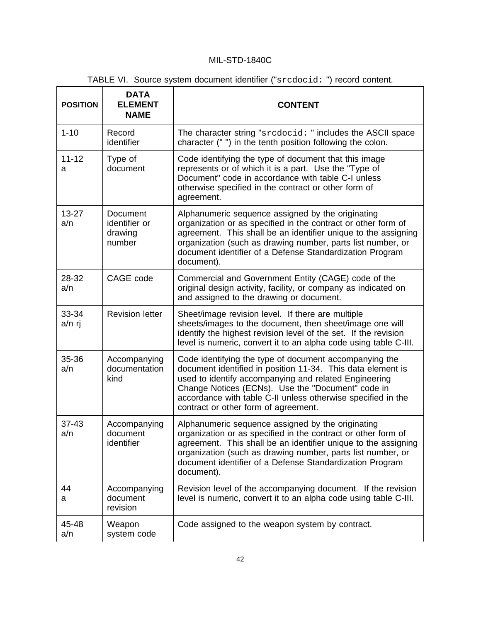| <b>POSITION</b>  | <b>DATA</b><br><b>ELEMENT</b><br><b>NAME</b>   | <b>CONTENT</b>                                                                                                                                                                                                                                                                                                                              |
|------------------|------------------------------------------------|---------------------------------------------------------------------------------------------------------------------------------------------------------------------------------------------------------------------------------------------------------------------------------------------------------------------------------------------|
| $1 - 10$         | Record<br>identifier                           | The character string "srcdocid: " includes the ASCII space<br>character (" ") in the tenth position following the colon.                                                                                                                                                                                                                    |
| $11 - 12$<br>а   | Type of<br>document                            | Code identifying the type of document that this image<br>represents or of which it is a part. Use the "Type of<br>Document" code in accordance with table C-I unless<br>otherwise specified in the contract or other form of<br>agreement.                                                                                                  |
| $13 - 27$<br>a/n | Document<br>identifier or<br>drawing<br>number | Alphanumeric sequence assigned by the originating<br>organization or as specified in the contract or other form of<br>agreement. This shall be an identifier unique to the assigning<br>organization (such as drawing number, parts list number, or<br>document identifier of a Defense Standardization Program<br>document).               |
| 28-32<br>a/n     | CAGE code                                      | Commercial and Government Entity (CAGE) code of the<br>original design activity, facility, or company as indicated on<br>and assigned to the drawing or document.                                                                                                                                                                           |
| 33-34<br>a/n rj  | <b>Revision letter</b>                         | Sheet/image revision level. If there are multiple<br>sheets/images to the document, then sheet/image one will<br>identify the highest revision level of the set. If the revision<br>level is numeric, convert it to an alpha code using table C-III.                                                                                        |
| 35-36<br>a/n     | Accompanying<br>documentation<br>kind          | Code identifying the type of document accompanying the<br>document identified in position 11-34. This data element is<br>used to identify accompanying and related Engineering<br>Change Notices (ECNs). Use the "Document" code in<br>accordance with table C-II unless otherwise specified in the<br>contract or other form of agreement. |
| $37 - 43$<br>a/n | Accompanying<br>document<br>identifier         | Alphanumeric sequence assigned by the originating<br>organization or as specified in the contract or other form of<br>agreement. This shall be an identifier unique to the assigning<br>organization (such as drawing number, parts list number, or<br>document identifier of a Defense Standardization Program<br>document).               |
| 44<br>а          | Accompanying<br>document<br>revision           | Revision level of the accompanying document. If the revision<br>level is numeric, convert it to an alpha code using table C-III.                                                                                                                                                                                                            |
| 45-48<br>a/n     | Weapon<br>system code                          | Code assigned to the weapon system by contract.                                                                                                                                                                                                                                                                                             |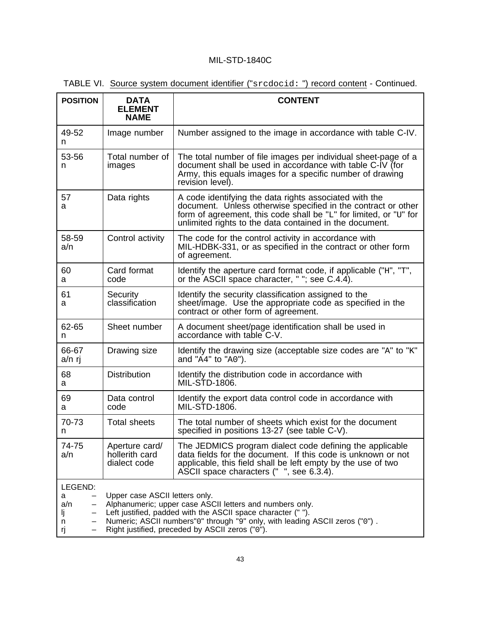| TABLE VI. Source system document identifier ("srcdocid: ") record content - Continued. |  |  |
|----------------------------------------------------------------------------------------|--|--|
|----------------------------------------------------------------------------------------|--|--|

| <b>POSITION</b>                      | <b>DATA</b><br><b>ELEMENT</b><br><b>NAME</b>     | <b>CONTENT</b>                                                                                                                                                                                                                                             |
|--------------------------------------|--------------------------------------------------|------------------------------------------------------------------------------------------------------------------------------------------------------------------------------------------------------------------------------------------------------------|
| 49-52<br>n                           | Image number                                     | Number assigned to the image in accordance with table C-IV.                                                                                                                                                                                                |
| 53-56<br>n                           | Total number of<br>images                        | The total number of file images per individual sheet-page of a<br>document shall be used in accordance with table C-IV (for<br>Army, this equals images for a specific number of drawing<br>revision level).                                               |
| 57<br>a                              | Data rights                                      | A code identifying the data rights associated with the<br>document. Unless otherwise specified in the contract or other<br>form of agreement, this code shall be "L" for limited, or "U" for<br>unlimited rights to the data contained in the document.    |
| 58-59<br>a/n                         | Control activity                                 | The code for the control activity in accordance with<br>MIL-HDBK-331, or as specified in the contract or other form<br>of agreement.                                                                                                                       |
| 60<br>a                              | Card format<br>code                              | Identify the aperture card format code, if applicable $("H", "T",$<br>or the ASCII space character, " "; see C.4.4).                                                                                                                                       |
| 61<br>а                              | Security<br>classification                       | Identify the security classification assigned to the<br>sheet/image. Use the appropriate code as specified in the<br>contract or other form of agreement.                                                                                                  |
| 62-65<br>n                           | Sheet number                                     | A document sheet/page identification shall be used in<br>accordance with table C-V.                                                                                                                                                                        |
| 66-67<br>a/n rj                      | Drawing size                                     | ldentify the drawing size (acceptable size codes are "A" to "K"<br>and " $\overline{A4}$ " to " $\overline{A0}$ ").                                                                                                                                        |
| 68<br>a                              | <b>Distribution</b>                              | Identify the distribution code in accordance with<br>MIL-STD-1806.                                                                                                                                                                                         |
| 69<br>а                              | Data control<br>code                             | Identify the export data control code in accordance with<br>MIL-STD-1806.                                                                                                                                                                                  |
| 70-73<br>n                           | <b>Total sheets</b>                              | The total number of sheets which exist for the document<br>specified in positions 13-27 (see table C-V).                                                                                                                                                   |
| 74-75<br>a/n                         | Aperture card/<br>hollerith card<br>dialect code | The JEDMICS program dialect code defining the applicable<br>data fields for the document. If this code is unknown or not<br>applicable, this field shall be left empty by the use of two<br>ASCII space characters (", see 6.3.4).                         |
| LEGEND:<br>a<br>a/n<br>ij<br>n<br>rj | Upper case ASCII letters only.                   | Alphanumeric; upper case ASCII letters and numbers only.<br>Left justified, padded with the ASCII space character (" ").<br>Numeric; ASCII numbers"0" through "9" only, with leading ASCII zeros ("0").<br>Right justified, preceded by ASCII zeros ("0"). |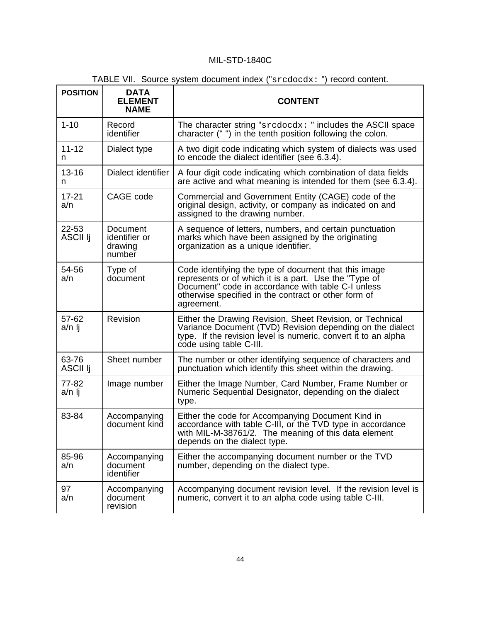| <b>POSITION</b>          | <b>DATA</b><br><b>ELEMENT</b><br><b>NAME</b>   | <b>CONTENT</b>                                                                                                                                                                                                                             |
|--------------------------|------------------------------------------------|--------------------------------------------------------------------------------------------------------------------------------------------------------------------------------------------------------------------------------------------|
| $1 - 10$                 | Record<br>identifier                           | The character string " $\text{sredock}:$ " includes the ASCII space<br>character (" ") in the tenth position following the colon.                                                                                                          |
| $11 - 12$<br>n           | Dialect type                                   | A two digit code indicating which system of dialects was used<br>to encode the dialect identifier (see 6.3.4).                                                                                                                             |
| $13 - 16$<br>n.          | Dialect identifier                             | A four digit code indicating which combination of data fields<br>are active and what meaning is intended for them (see 6.3.4).                                                                                                             |
| $17 - 21$<br>a/n         | CAGE code                                      | Commercial and Government Entity (CAGE) code of the<br>original design, activity, or company as indicated on and<br>assigned to the drawing number.                                                                                        |
| 22-53<br><b>ASCII Ii</b> | Document<br>identifier or<br>drawing<br>number | A sequence of letters, numbers, and certain punctuation<br>marks which have been assigned by the originating<br>organization as a unique identifier.                                                                                       |
| 54-56<br>a/n             | Type of<br>document                            | Code identifying the type of document that this image<br>represents or of which it is a part. Use the "Type of<br>Document" code in accordance with table C-I unless<br>otherwise specified in the contract or other form of<br>agreement. |
| 57-62<br>a/n lj          | Revision                                       | Either the Drawing Revision, Sheet Revision, or Technical<br>Variance Document (TVD) Revision depending on the dialect<br>type. If the revision level is numeric, convert it to an alpha<br>code using table C-III.                        |
| 63-76<br>ASCII Ij        | Sheet number                                   | The number or other identifying sequence of characters and<br>punctuation which identify this sheet within the drawing.                                                                                                                    |
| 77-82<br>a/n lj          | Image number                                   | Either the Image Number, Card Number, Frame Number or<br>Numeric Sequential Designator, depending on the dialect<br>type.                                                                                                                  |
| 83-84                    | Accompanying<br>document kind                  | Either the code for Accompanying Document Kind in<br>accordance with table C-III, or the TVD type in accordance<br>with MIL-M-38761/2. The meaning of this data element<br>depends on the dialect type.                                    |
| 85-96<br>a/n             | Accompanying<br>document<br>identifier         | Either the accompanying document number or the TVD<br>number, depending on the dialect type.                                                                                                                                               |
| 97<br>a/n                | Accompanying<br>document<br>revision           | Accompanying document revision level. If the revision level is<br>numeric, convert it to an alpha code using table C-III.                                                                                                                  |

TABLE VII. Source system document index ("srcdocdx: ") record content.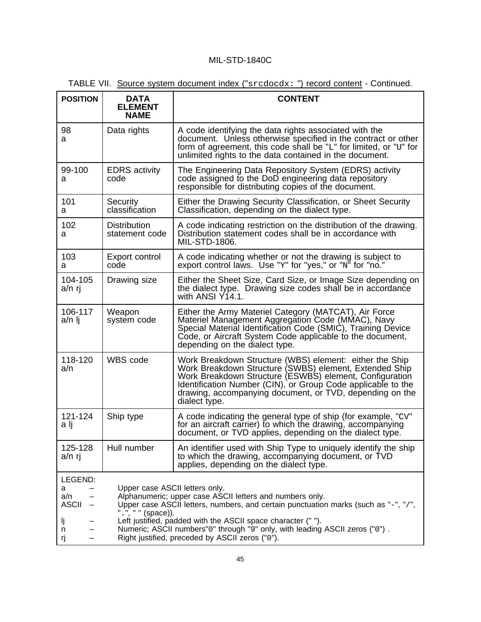| <b>POSITION</b>                                                | <b>DATA</b><br><b>ELEMENT</b><br><b>NAME</b>                                                                                                                                                                                                                                                                                                                                                             | <b>CONTENT</b>                                                                                                                                                                                                                                                                                                            |  |  |
|----------------------------------------------------------------|----------------------------------------------------------------------------------------------------------------------------------------------------------------------------------------------------------------------------------------------------------------------------------------------------------------------------------------------------------------------------------------------------------|---------------------------------------------------------------------------------------------------------------------------------------------------------------------------------------------------------------------------------------------------------------------------------------------------------------------------|--|--|
| 98<br>а                                                        | Data rights                                                                                                                                                                                                                                                                                                                                                                                              | A code identifying the data rights associated with the<br>document. Unless otherwise specified in the contract or other<br>form of agreement, this code shall be "L" for limited, or "U" for<br>unlimited rights to the data contained in the document.                                                                   |  |  |
| 99-100<br>а                                                    | <b>EDRS</b> activity<br>code                                                                                                                                                                                                                                                                                                                                                                             | The Engineering Data Repository System (EDRS) activity<br>code assigned to the DoD engineering data repository<br>responsible for distributing copies of the document.                                                                                                                                                    |  |  |
| 101<br>а                                                       | Security<br>classification                                                                                                                                                                                                                                                                                                                                                                               | Either the Drawing Security Classification, or Sheet Security<br>Classification, depending on the dialect type.                                                                                                                                                                                                           |  |  |
| 102<br>а                                                       | <b>Distribution</b><br>statement code                                                                                                                                                                                                                                                                                                                                                                    | A code indicating restriction on the distribution of the drawing.<br>Distribution statement codes shall be in accordance with<br>MIL-STD-1806.                                                                                                                                                                            |  |  |
| 103<br>a                                                       | Export control<br>code                                                                                                                                                                                                                                                                                                                                                                                   | A code indicating whether or not the drawing is subject to<br>export control laws. Use "Y" for "yes," or "N" for "no."                                                                                                                                                                                                    |  |  |
| 104-105<br>a/n rj                                              | Drawing size                                                                                                                                                                                                                                                                                                                                                                                             | Either the Sheet Size, Card Size, or Image Size depending on<br>the dialect type. Drawing size codes shall be in accordance<br>with ANSI $Y$ 14.1.                                                                                                                                                                        |  |  |
| 106-117<br>a/n lj                                              | Weapon<br>system code                                                                                                                                                                                                                                                                                                                                                                                    | Either the Army Materiel Category (MATCAT), Air Force<br>Materiel Management Aggregation Code (MMAC), Navy<br>Special Material Identification Code (SMIC), Training Device<br>Code, or Aircraft System Code applicable to the document,<br>depending on the dialect type.                                                 |  |  |
| 118-120<br>a/n                                                 | <b>WBS</b> code                                                                                                                                                                                                                                                                                                                                                                                          | Work Breakdown Structure (WBS) element: either the Ship<br>Work Breakdown Structure (SWBS) element, Extended Ship<br>Work Breakdown Structure (ESWBS) element, Configuration<br>Identification Number (CIN), or Group Code applicable to the<br>drawing, accompanying document, or TVD, depending on the<br>dialect type. |  |  |
| 121-124<br>a lj                                                | Ship type                                                                                                                                                                                                                                                                                                                                                                                                | A code indicating the general type of ship (for example, "CV"<br>for an aircraft carrier) to which the drawing, accompanying<br>document, or TVD applies, depending on the dialect type.                                                                                                                                  |  |  |
| 125-128<br>a/n rj                                              | Hull number                                                                                                                                                                                                                                                                                                                                                                                              | An identifier used with Ship Type to uniquely identify the ship<br>to which the drawing, accompanying document, or TVD<br>applies, depending on the dialect type.                                                                                                                                                         |  |  |
| LEGEND:<br>a<br>a/n<br><b>ASCII</b><br>-<br>IJ<br>n<br>rj<br>- | Upper case ASCII letters only.<br>Alphanumeric; upper case ASCII letters and numbers only.<br>Upper case ASCII letters, numbers, and certain punctuation marks (such as "-", "/",<br>".", " " (space)).<br>Left justified, padded with the ASCII space character ("").<br>Numeric; ASCII numbers"0" through "9" only, with leading ASCII zeros ("0").<br>Right justified, preceded by ASCII zeros ("0"). |                                                                                                                                                                                                                                                                                                                           |  |  |

| TABLE VII. Source system document index ("srcdocdx: ") record content - Continued. |  |  |
|------------------------------------------------------------------------------------|--|--|
|------------------------------------------------------------------------------------|--|--|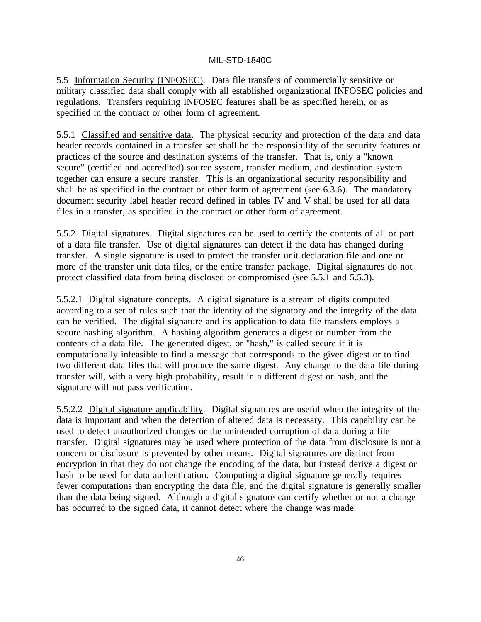5.5 Information Security (INFOSEC). Data file transfers of commercially sensitive or military classified data shall comply with all established organizational INFOSEC policies and regulations. Transfers requiring INFOSEC features shall be as specified herein, or as specified in the contract or other form of agreement.

5.5.1 Classified and sensitive data. The physical security and protection of the data and data header records contained in a transfer set shall be the responsibility of the security features or practices of the source and destination systems of the transfer. That is, only a "known secure" (certified and accredited) source system, transfer medium, and destination system together can ensure a secure transfer. This is an organizational security responsibility and shall be as specified in the contract or other form of agreement (see 6.3.6). The mandatory document security label header record defined in tables IV and V shall be used for all data files in a transfer, as specified in the contract or other form of agreement.

5.5.2 Digital signatures. Digital signatures can be used to certify the contents of all or part of a data file transfer. Use of digital signatures can detect if the data has changed during transfer. A single signature is used to protect the transfer unit declaration file and one or more of the transfer unit data files, or the entire transfer package. Digital signatures do not protect classified data from being disclosed or compromised (see 5.5.1 and 5.5.3).

5.5.2.1 Digital signature concepts. A digital signature is a stream of digits computed according to a set of rules such that the identity of the signatory and the integrity of the data can be verified. The digital signature and its application to data file transfers employs a secure hashing algorithm. A hashing algorithm generates a digest or number from the contents of a data file. The generated digest, or "hash," is called secure if it is computationally infeasible to find a message that corresponds to the given digest or to find two different data files that will produce the same digest. Any change to the data file during transfer will, with a very high probability, result in a different digest or hash, and the signature will not pass verification.

5.5.2.2 Digital signature applicability. Digital signatures are useful when the integrity of the data is important and when the detection of altered data is necessary. This capability can be used to detect unauthorized changes or the unintended corruption of data during a file transfer. Digital signatures may be used where protection of the data from disclosure is not a concern or disclosure is prevented by other means. Digital signatures are distinct from encryption in that they do not change the encoding of the data, but instead derive a digest or hash to be used for data authentication. Computing a digital signature generally requires fewer computations than encrypting the data file, and the digital signature is generally smaller than the data being signed. Although a digital signature can certify whether or not a change has occurred to the signed data, it cannot detect where the change was made.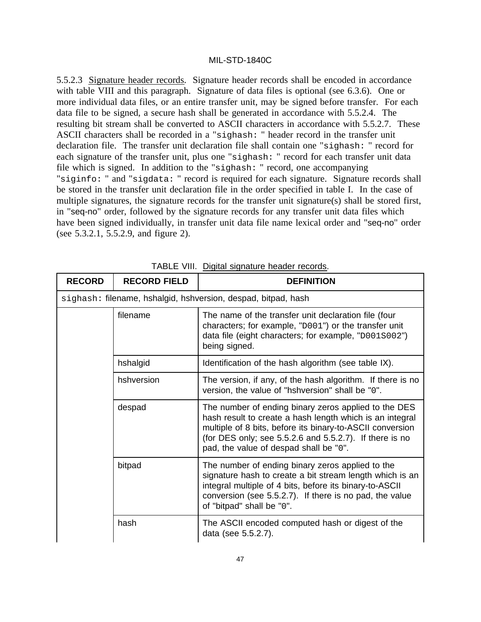5.5.2.3 Signature header records. Signature header records shall be encoded in accordance with table VIII and this paragraph. Signature of data files is optional (see 6.3.6). One or more individual data files, or an entire transfer unit, may be signed before transfer. For each data file to be signed, a secure hash shall be generated in accordance with 5.5.2.4. The resulting bit stream shall be converted to ASCII characters in accordance with 5.5.2.7. These ASCII characters shall be recorded in a "sighash: " header record in the transfer unit declaration file. The transfer unit declaration file shall contain one "sighash: " record for each signature of the transfer unit, plus one "sighash: " record for each transfer unit data file which is signed. In addition to the "sighash: " record, one accompanying "siginfo: " and "sigdata: " record is required for each signature. Signature records shall be stored in the transfer unit declaration file in the order specified in table I. In the case of multiple signatures, the signature records for the transfer unit signature(s) shall be stored first, in "seq-no" order, followed by the signature records for any transfer unit data files which have been signed individually, in transfer unit data file name lexical order and "seq-no" order (see 5.3.2.1, 5.5.2.9, and figure 2).

| <b>RECORD</b> | <b>RECORD FIELD</b> | <b>DEFINITION</b>                                                                                                                                                                                                                                                                  |
|---------------|---------------------|------------------------------------------------------------------------------------------------------------------------------------------------------------------------------------------------------------------------------------------------------------------------------------|
|               |                     | sighash: filename, hshalgid, hshversion, despad, bitpad, hash                                                                                                                                                                                                                      |
|               | filename            | The name of the transfer unit declaration file (four<br>characters; for example, "D001") or the transfer unit<br>data file (eight characters; for example, "D001S002")<br>being signed.                                                                                            |
|               | hshalgid            | Identification of the hash algorithm (see table IX).                                                                                                                                                                                                                               |
|               | hshversion          | The version, if any, of the hash algorithm. If there is no<br>version, the value of "hshversion" shall be "0".                                                                                                                                                                     |
|               | despad              | The number of ending binary zeros applied to the DES<br>hash result to create a hash length which is an integral<br>multiple of 8 bits, before its binary-to-ASCII conversion<br>(for DES only; see 5.5.2.6 and 5.5.2.7). If there is no<br>pad, the value of despad shall be "0". |
|               | bitpad              | The number of ending binary zeros applied to the<br>signature hash to create a bit stream length which is an<br>integral multiple of 4 bits, before its binary-to-ASCII<br>conversion (see 5.5.2.7). If there is no pad, the value<br>of "bitpad" shall be "0".                    |
|               | hash                | The ASCII encoded computed hash or digest of the<br>data (see 5.5.2.7).                                                                                                                                                                                                            |

TABLE VIII. Digital signature header records.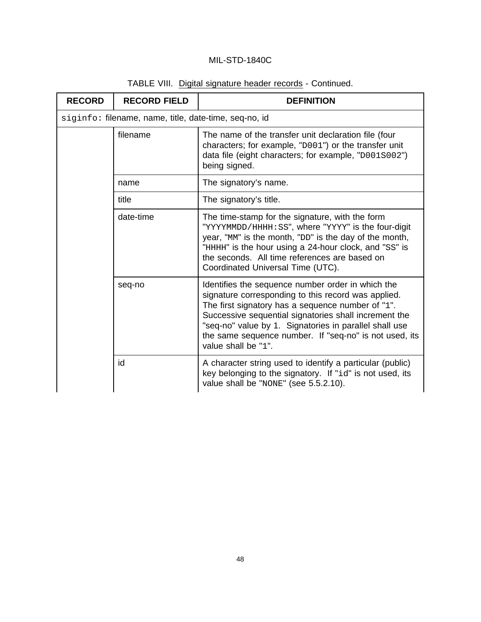| <b>RECORD</b> | <b>RECORD FIELD</b>                                   | <b>DEFINITION</b>                                                                                                                                                                                                                                                                                                                                                 |  |
|---------------|-------------------------------------------------------|-------------------------------------------------------------------------------------------------------------------------------------------------------------------------------------------------------------------------------------------------------------------------------------------------------------------------------------------------------------------|--|
|               | siginfo: filename, name, title, date-time, seq-no, id |                                                                                                                                                                                                                                                                                                                                                                   |  |
|               | filename                                              | The name of the transfer unit declaration file (four<br>characters; for example, "D001") or the transfer unit<br>data file (eight characters; for example, "D001S002")<br>being signed.                                                                                                                                                                           |  |
|               | name                                                  | The signatory's name.                                                                                                                                                                                                                                                                                                                                             |  |
|               | title                                                 | The signatory's title.                                                                                                                                                                                                                                                                                                                                            |  |
|               | date-time                                             | The time-stamp for the signature, with the form<br>"YYYYMMDD/HHHH: SS", where "YYYY" is the four-digit<br>year, "MM" is the month, "DD" is the day of the month,<br>"HHHH" is the hour using a 24-hour clock, and "SS" is<br>the seconds. All time references are based on<br>Coordinated Universal Time (UTC).                                                   |  |
|               | seq-no                                                | Identifies the sequence number order in which the<br>signature corresponding to this record was applied.<br>The first signatory has a sequence number of "1".<br>Successive sequential signatories shall increment the<br>"seq-no" value by 1. Signatories in parallel shall use<br>the same sequence number. If "seq-no" is not used, its<br>value shall be "1". |  |
|               | id                                                    | A character string used to identify a particular (public)<br>key belonging to the signatory. If "id" is not used, its<br>value shall be "NONE" (see 5.5.2.10).                                                                                                                                                                                                    |  |

## TABLE VIII. Digital signature header records - Continued.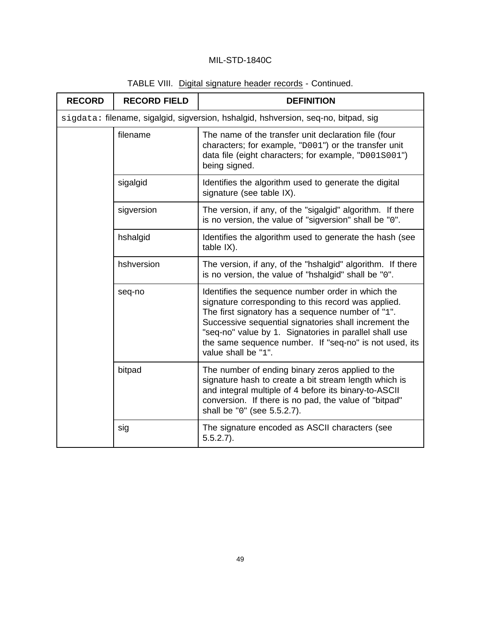| <b>RECORD</b>                                                                      | <b>RECORD FIELD</b> | <b>DEFINITION</b>                                                                                                                                                                                                                                                                                                                                                 |
|------------------------------------------------------------------------------------|---------------------|-------------------------------------------------------------------------------------------------------------------------------------------------------------------------------------------------------------------------------------------------------------------------------------------------------------------------------------------------------------------|
| sigdata: filename, sigalgid, sigversion, hshalgid, hshversion, seq-no, bitpad, sig |                     |                                                                                                                                                                                                                                                                                                                                                                   |
|                                                                                    | filename            | The name of the transfer unit declaration file (four<br>characters; for example, "D001") or the transfer unit<br>data file (eight characters; for example, "D001S001")<br>being signed.                                                                                                                                                                           |
|                                                                                    | sigalgid            | Identifies the algorithm used to generate the digital<br>signature (see table IX).                                                                                                                                                                                                                                                                                |
|                                                                                    | sigversion          | The version, if any, of the "sigalgid" algorithm. If there<br>is no version, the value of "sigversion" shall be "0".                                                                                                                                                                                                                                              |
|                                                                                    | hshalgid            | Identifies the algorithm used to generate the hash (see<br>table IX).                                                                                                                                                                                                                                                                                             |
|                                                                                    | hshversion          | The version, if any, of the "hshalgid" algorithm. If there<br>is no version, the value of "hshalgid" shall be "0".                                                                                                                                                                                                                                                |
|                                                                                    | seq-no              | Identifies the sequence number order in which the<br>signature corresponding to this record was applied.<br>The first signatory has a sequence number of "1".<br>Successive sequential signatories shall increment the<br>"seq-no" value by 1. Signatories in parallel shall use<br>the same sequence number. If "seq-no" is not used, its<br>value shall be "1". |
|                                                                                    | bitpad              | The number of ending binary zeros applied to the<br>signature hash to create a bit stream length which is<br>and integral multiple of 4 before its binary-to-ASCII<br>conversion. If there is no pad, the value of "bitpad"<br>shall be "0" (see 5.5.2.7).                                                                                                        |
|                                                                                    | sig                 | The signature encoded as ASCII characters (see<br>$5.5.2.7$ ).                                                                                                                                                                                                                                                                                                    |

# TABLE VIII. Digital signature header records - Continued.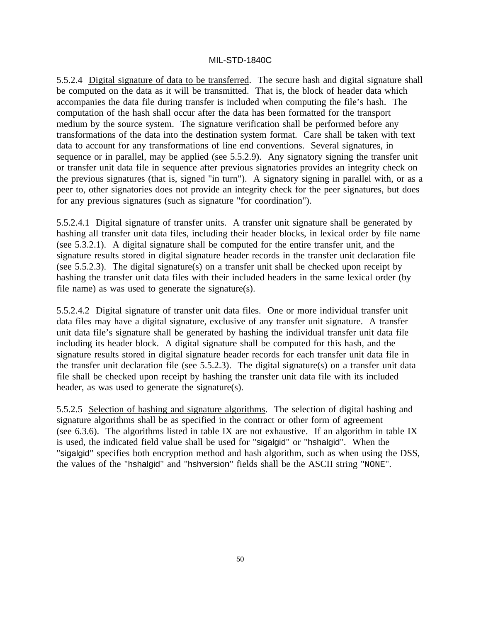5.5.2.4 Digital signature of data to be transferred. The secure hash and digital signature shall be computed on the data as it will be transmitted. That is, the block of header data which accompanies the data file during transfer is included when computing the file's hash. The computation of the hash shall occur after the data has been formatted for the transport medium by the source system. The signature verification shall be performed before any transformations of the data into the destination system format. Care shall be taken with text data to account for any transformations of line end conventions. Several signatures, in sequence or in parallel, may be applied (see 5.5.2.9). Any signatory signing the transfer unit or transfer unit data file in sequence after previous signatories provides an integrity check on the previous signatures (that is, signed "in turn"). A signatory signing in parallel with, or as a peer to, other signatories does not provide an integrity check for the peer signatures, but does for any previous signatures (such as signature "for coordination").

5.5.2.4.1 Digital signature of transfer units. A transfer unit signature shall be generated by hashing all transfer unit data files, including their header blocks, in lexical order by file name (see 5.3.2.1). A digital signature shall be computed for the entire transfer unit, and the signature results stored in digital signature header records in the transfer unit declaration file (see 5.5.2.3). The digital signature(s) on a transfer unit shall be checked upon receipt by hashing the transfer unit data files with their included headers in the same lexical order (by file name) as was used to generate the signature(s).

5.5.2.4.2 Digital signature of transfer unit data files. One or more individual transfer unit data files may have a digital signature, exclusive of any transfer unit signature. A transfer unit data file's signature shall be generated by hashing the individual transfer unit data file including its header block. A digital signature shall be computed for this hash, and the signature results stored in digital signature header records for each transfer unit data file in the transfer unit declaration file (see 5.5.2.3). The digital signature(s) on a transfer unit data file shall be checked upon receipt by hashing the transfer unit data file with its included header, as was used to generate the signature(s).

5.5.2.5 Selection of hashing and signature algorithms. The selection of digital hashing and signature algorithms shall be as specified in the contract or other form of agreement (see 6.3.6). The algorithms listed in table IX are not exhaustive. If an algorithm in table IX is used, the indicated field value shall be used for "sigalgid" or "hshalgid". When the "sigalgid" specifies both encryption method and hash algorithm, such as when using the DSS, the values of the "hshalgid" and "hshversion" fields shall be the ASCII string "NONE".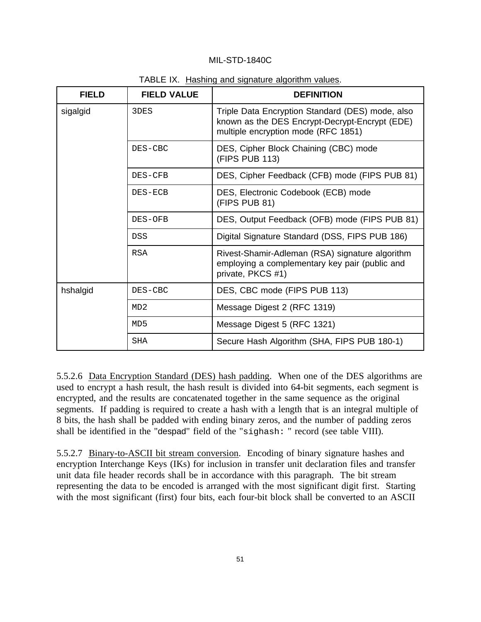| <b>FIELD</b> | <b>FIELD VALUE</b> | <b>DEFINITION</b>                                                                                                                         |
|--------------|--------------------|-------------------------------------------------------------------------------------------------------------------------------------------|
| sigalgid     | 3DES               | Triple Data Encryption Standard (DES) mode, also<br>known as the DES Encrypt-Decrypt-Encrypt (EDE)<br>multiple encryption mode (RFC 1851) |
|              | DES-CBC            | DES, Cipher Block Chaining (CBC) mode<br>(FIPS PUB 113)                                                                                   |
|              | DES-CFB            | DES, Cipher Feedback (CFB) mode (FIPS PUB 81)                                                                                             |
|              | DES-ECB            | DES, Electronic Codebook (ECB) mode<br>(FIPS PUB 81)                                                                                      |
|              | DES-OFB            | DES, Output Feedback (OFB) mode (FIPS PUB 81)                                                                                             |
|              | <b>DSS</b>         | Digital Signature Standard (DSS, FIPS PUB 186)                                                                                            |
|              | <b>RSA</b>         | Rivest-Shamir-Adleman (RSA) signature algorithm<br>employing a complementary key pair (public and<br>private, PKCS #1)                    |
| hshalgid     | DES-CBC            | DES, CBC mode (FIPS PUB 113)                                                                                                              |
|              | MD2                | Message Digest 2 (RFC 1319)                                                                                                               |
|              | MD <sub>5</sub>    | Message Digest 5 (RFC 1321)                                                                                                               |
|              | <b>SHA</b>         | Secure Hash Algorithm (SHA, FIPS PUB 180-1)                                                                                               |

TABLE IX. Hashing and signature algorithm values.

5.5.2.6 Data Encryption Standard (DES) hash padding. When one of the DES algorithms are used to encrypt a hash result, the hash result is divided into 64-bit segments, each segment is encrypted, and the results are concatenated together in the same sequence as the original segments. If padding is required to create a hash with a length that is an integral multiple of 8 bits, the hash shall be padded with ending binary zeros, and the number of padding zeros shall be identified in the "despad" field of the "sighash: " record (see table VIII).

5.5.2.7 Binary-to-ASCII bit stream conversion. Encoding of binary signature hashes and encryption Interchange Keys (IKs) for inclusion in transfer unit declaration files and transfer unit data file header records shall be in accordance with this paragraph. The bit stream representing the data to be encoded is arranged with the most significant digit first. Starting with the most significant (first) four bits, each four-bit block shall be converted to an ASCII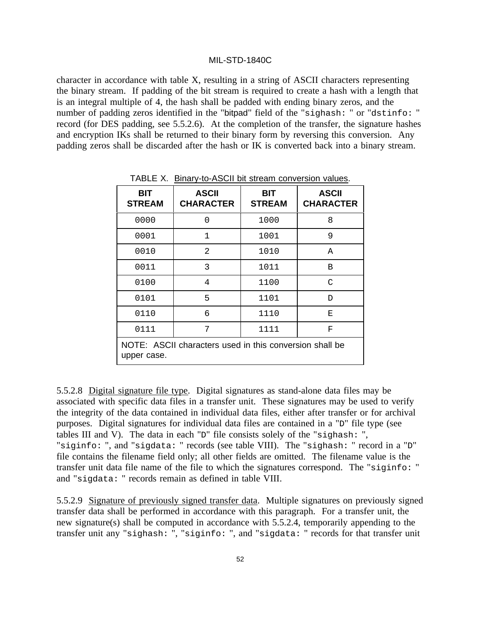character in accordance with table X, resulting in a string of ASCII characters representing the binary stream. If padding of the bit stream is required to create a hash with a length that is an integral multiple of 4, the hash shall be padded with ending binary zeros, and the number of padding zeros identified in the "bitpad" field of the "sighash: " or "dstinfo: " record (for DES padding, see 5.5.2.6). At the completion of the transfer, the signature hashes and encryption IKs shall be returned to their binary form by reversing this conversion. Any padding zeros shall be discarded after the hash or IK is converted back into a binary stream.

| BIT<br><b>STREAM</b>                                                   | <b>ASCII</b><br><b>CHARACTER</b> | <b>BIT</b><br><b>STREAM</b> | <b>ASCII</b><br><b>CHARACTER</b> |
|------------------------------------------------------------------------|----------------------------------|-----------------------------|----------------------------------|
| 0000                                                                   | 0                                | 1000                        | 8                                |
| 0001                                                                   | 1                                | 1001                        | 9                                |
| 0010                                                                   | 2                                | 1010                        | $\mathsf{A}$                     |
| 0011                                                                   | 3                                | 1011                        | B                                |
| 0100                                                                   | 4                                | 1100                        | C                                |
| 0101                                                                   | 5                                | 1101                        | D                                |
| 0110                                                                   | б                                | 1110                        | Е                                |
| 0111                                                                   | 7                                | 1111                        | F                                |
| NOTE: ASCII characters used in this conversion shall be<br>upper case. |                                  |                             |                                  |

TABLE X. Binary-to-ASCII bit stream conversion values.

5.5.2.8 Digital signature file type. Digital signatures as stand-alone data files may be associated with specific data files in a transfer unit. These signatures may be used to verify the integrity of the data contained in individual data files, either after transfer or for archival purposes. Digital signatures for individual data files are contained in a "D" file type (see tables III and V). The data in each "D" file consists solely of the "sighash: ", "siginfo: ", and "sigdata: " records (see table VIII). The "sighash: " record in a "D" file contains the filename field only; all other fields are omitted. The filename value is the transfer unit data file name of the file to which the signatures correspond. The "siginfo: " and "sigdata: " records remain as defined in table VIII.

5.5.2.9 Signature of previously signed transfer data. Multiple signatures on previously signed transfer data shall be performed in accordance with this paragraph. For a transfer unit, the new signature(s) shall be computed in accordance with 5.5.2.4, temporarily appending to the transfer unit any "sighash: ", "siginfo: ", and "sigdata: " records for that transfer unit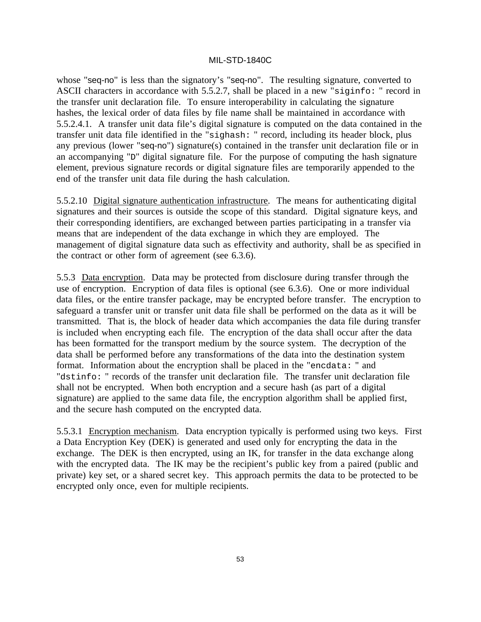whose "seq-no" is less than the signatory's "seq-no". The resulting signature, converted to ASCII characters in accordance with 5.5.2.7, shall be placed in a new "siginfo: " record in the transfer unit declaration file. To ensure interoperability in calculating the signature hashes, the lexical order of data files by file name shall be maintained in accordance with 5.5.2.4.1. A transfer unit data file's digital signature is computed on the data contained in the transfer unit data file identified in the "sighash: " record, including its header block, plus any previous (lower "seq-no") signature(s) contained in the transfer unit declaration file or in an accompanying "D" digital signature file. For the purpose of computing the hash signature element, previous signature records or digital signature files are temporarily appended to the end of the transfer unit data file during the hash calculation.

5.5.2.10 Digital signature authentication infrastructure. The means for authenticating digital signatures and their sources is outside the scope of this standard. Digital signature keys, and their corresponding identifiers, are exchanged between parties participating in a transfer via means that are independent of the data exchange in which they are employed. The management of digital signature data such as effectivity and authority, shall be as specified in the contract or other form of agreement (see 6.3.6).

5.5.3 Data encryption. Data may be protected from disclosure during transfer through the use of encryption. Encryption of data files is optional (see 6.3.6). One or more individual data files, or the entire transfer package, may be encrypted before transfer. The encryption to safeguard a transfer unit or transfer unit data file shall be performed on the data as it will be transmitted. That is, the block of header data which accompanies the data file during transfer is included when encrypting each file. The encryption of the data shall occur after the data has been formatted for the transport medium by the source system. The decryption of the data shall be performed before any transformations of the data into the destination system format. Information about the encryption shall be placed in the "encdata: " and "dstinfo: " records of the transfer unit declaration file. The transfer unit declaration file shall not be encrypted. When both encryption and a secure hash (as part of a digital signature) are applied to the same data file, the encryption algorithm shall be applied first, and the secure hash computed on the encrypted data.

5.5.3.1 Encryption mechanism. Data encryption typically is performed using two keys. First a Data Encryption Key (DEK) is generated and used only for encrypting the data in the exchange. The DEK is then encrypted, using an IK, for transfer in the data exchange along with the encrypted data. The IK may be the recipient's public key from a paired (public and private) key set, or a shared secret key. This approach permits the data to be protected to be encrypted only once, even for multiple recipients.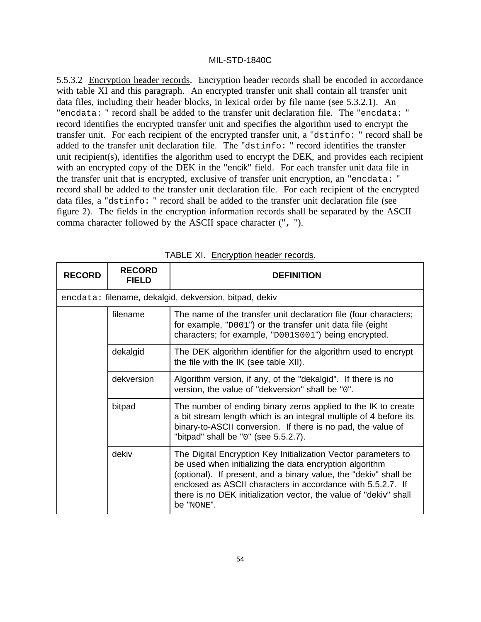5.5.3.2 Encryption header records. Encryption header records shall be encoded in accordance with table XI and this paragraph. An encrypted transfer unit shall contain all transfer unit data files, including their header blocks, in lexical order by file name (see 5.3.2.1). An "encdata: " record shall be added to the transfer unit declaration file. The "encdata: " record identifies the encrypted transfer unit and specifies the algorithm used to encrypt the transfer unit. For each recipient of the encrypted transfer unit, a "dstinfo: " record shall be added to the transfer unit declaration file. The "dstinfo: " record identifies the transfer unit recipient(s), identifies the algorithm used to encrypt the DEK, and provides each recipient with an encrypted copy of the DEK in the "encik" field. For each transfer unit data file in the transfer unit that is encrypted, exclusive of transfer unit encryption, an "encdata: " record shall be added to the transfer unit declaration file. For each recipient of the encrypted data files, a "dstinfo: " record shall be added to the transfer unit declaration file (see figure 2). The fields in the encryption information records shall be separated by the ASCII comma character followed by the ASCII space character (", ").

| <b>RECORD</b> | <b>RECORD</b><br><b>FIELD</b> | <b>DEFINITION</b>                                                                                                                                                                                                                                                                                                                               |
|---------------|-------------------------------|-------------------------------------------------------------------------------------------------------------------------------------------------------------------------------------------------------------------------------------------------------------------------------------------------------------------------------------------------|
|               |                               | encdata: filename, dekalgid, dekversion, bitpad, dekiv                                                                                                                                                                                                                                                                                          |
|               | filename                      | The name of the transfer unit declaration file (four characters;<br>for example, "D001") or the transfer unit data file (eight<br>characters; for example, "D001S001") being encrypted.                                                                                                                                                         |
|               | dekalgid                      | The DEK algorithm identifier for the algorithm used to encrypt<br>the file with the IK (see table XII).                                                                                                                                                                                                                                         |
|               | dekversion                    | Algorithm version, if any, of the "dekalgid". If there is no<br>version, the value of "dekversion" shall be "0".                                                                                                                                                                                                                                |
|               | bitpad                        | The number of ending binary zeros applied to the IK to create<br>a bit stream length which is an integral multiple of 4 before its<br>binary-to-ASCII conversion. If there is no pad, the value of<br>"bitpad" shall be "0" (see 5.5.2.7).                                                                                                      |
|               | dekiv                         | The Digital Encryption Key Initialization Vector parameters to<br>be used when initializing the data encryption algorithm<br>(optional). If present, and a binary value, the "dekiv" shall be<br>enclosed as ASCII characters in accordance with 5.5.2.7. If<br>there is no DEK initialization vector, the value of "dekiv" shall<br>be "NONE". |

TABLE XI. Encryption header records.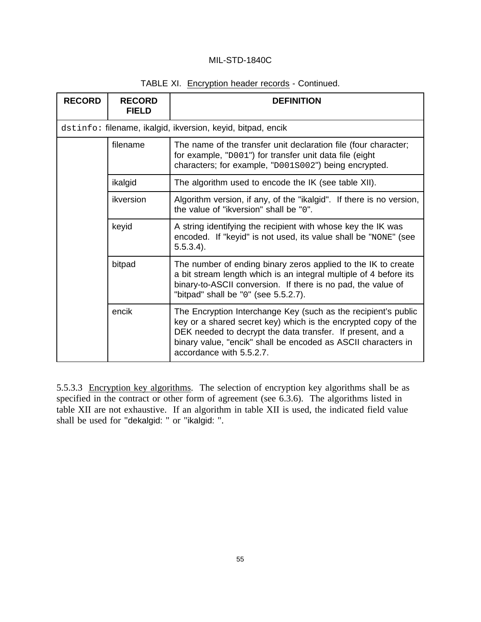| <b>RECORD</b>   | <b>RECORD</b><br><b>FIELD</b>                                                                                                                   | <b>DEFINITION</b>                                                                                                                                                                                                                                                                           |
|-----------------|-------------------------------------------------------------------------------------------------------------------------------------------------|---------------------------------------------------------------------------------------------------------------------------------------------------------------------------------------------------------------------------------------------------------------------------------------------|
|                 |                                                                                                                                                 | dstinfo: filename, ikalgid, ikversion, keyid, bitpad, encik                                                                                                                                                                                                                                 |
|                 | filename                                                                                                                                        | The name of the transfer unit declaration file (four character;<br>for example, "D001") for transfer unit data file (eight<br>characters; for example, "D001S002") being encrypted.                                                                                                         |
|                 | ikalgid                                                                                                                                         | The algorithm used to encode the IK (see table XII).                                                                                                                                                                                                                                        |
|                 | ikversion                                                                                                                                       | Algorithm version, if any, of the "ikalgid". If there is no version,<br>the value of "ikversion" shall be "0".                                                                                                                                                                              |
| keyid<br>bitpad | A string identifying the recipient with whose key the IK was<br>encoded. If "keyid" is not used, its value shall be "NONE" (see<br>$5.5.3.4$ ). |                                                                                                                                                                                                                                                                                             |
|                 |                                                                                                                                                 | The number of ending binary zeros applied to the IK to create<br>a bit stream length which is an integral multiple of 4 before its<br>binary-to-ASCII conversion. If there is no pad, the value of<br>"bitpad" shall be "0" (see 5.5.2.7).                                                  |
|                 | encik                                                                                                                                           | The Encryption Interchange Key (such as the recipient's public<br>key or a shared secret key) which is the encrypted copy of the<br>DEK needed to decrypt the data transfer. If present, and a<br>binary value, "encik" shall be encoded as ASCII characters in<br>accordance with 5.5.2.7. |

### TABLE XI. Encryption header records - Continued.

5.5.3.3 Encryption key algorithms. The selection of encryption key algorithms shall be as specified in the contract or other form of agreement (see 6.3.6). The algorithms listed in table XII are not exhaustive. If an algorithm in table XII is used, the indicated field value shall be used for "dekalgid: " or "ikalgid: ".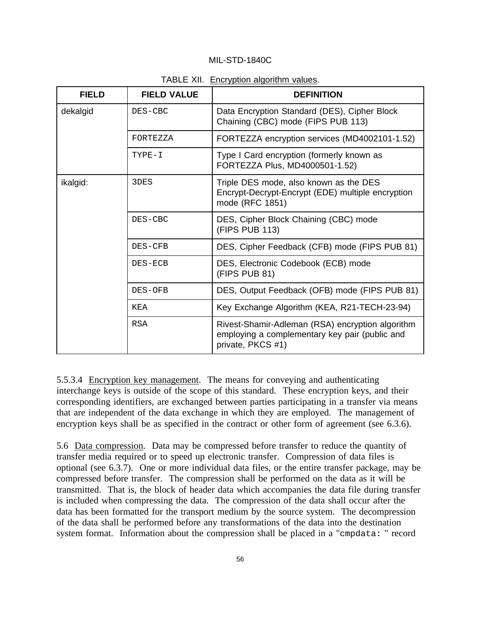| <b>FIELD</b> | <b>FIELD VALUE</b> | <b>DEFINITION</b>                                                                                                       |
|--------------|--------------------|-------------------------------------------------------------------------------------------------------------------------|
| dekalgid     | DES-CBC            | Data Encryption Standard (DES), Cipher Block<br>Chaining (CBC) mode (FIPS PUB 113)                                      |
|              | FORTEZZA           | FORTEZZA encryption services (MD4002101-1.52)                                                                           |
|              | TYPE-I             | Type I Card encryption (formerly known as<br>FORTEZZA Plus, MD4000501-1.52)                                             |
| ikalgid:     | 3DES               | Triple DES mode, also known as the DES<br>Encrypt-Decrypt-Encrypt (EDE) multiple encryption<br>mode (RFC 1851)          |
|              | DES-CBC            | DES, Cipher Block Chaining (CBC) mode<br>(FIPS PUB 113)                                                                 |
|              | DES-CFB            | DES, Cipher Feedback (CFB) mode (FIPS PUB 81)                                                                           |
|              | DES-ECB            | DES, Electronic Codebook (ECB) mode<br>(FIPS PUB 81)                                                                    |
|              | DES-OFB            | DES, Output Feedback (OFB) mode (FIPS PUB 81)                                                                           |
|              | KEA                | Key Exchange Algorithm (KEA, R21-TECH-23-94)                                                                            |
|              | <b>RSA</b>         | Rivest-Shamir-Adleman (RSA) encryption algorithm<br>employing a complementary key pair (public and<br>private, PKCS #1) |

TABLE XII. Encryption algorithm values.

5.5.3.4 Encryption key management. The means for conveying and authenticating interchange keys is outside of the scope of this standard. These encryption keys, and their corresponding identifiers, are exchanged between parties participating in a transfer via means that are independent of the data exchange in which they are employed. The management of encryption keys shall be as specified in the contract or other form of agreement (see 6.3.6).

5.6 Data compression. Data may be compressed before transfer to reduce the quantity of transfer media required or to speed up electronic transfer. Compression of data files is optional (see 6.3.7). One or more individual data files, or the entire transfer package, may be compressed before transfer. The compression shall be performed on the data as it will be transmitted. That is, the block of header data which accompanies the data file during transfer is included when compressing the data. The compression of the data shall occur after the data has been formatted for the transport medium by the source system. The decompression of the data shall be performed before any transformations of the data into the destination system format. Information about the compression shall be placed in a "cmpdata: " record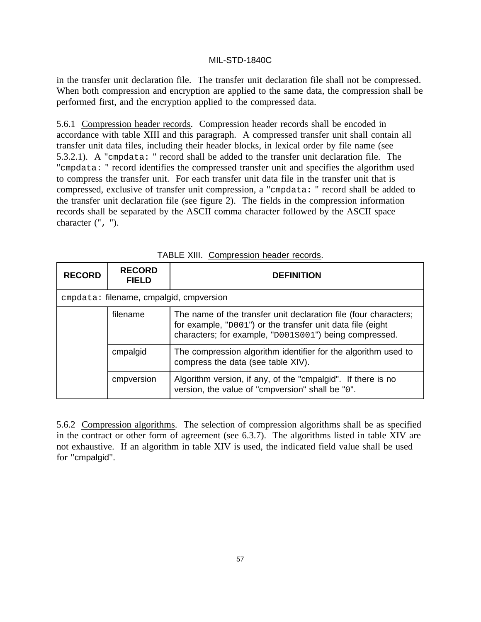in the transfer unit declaration file. The transfer unit declaration file shall not be compressed. When both compression and encryption are applied to the same data, the compression shall be performed first, and the encryption applied to the compressed data.

5.6.1 Compression header records. Compression header records shall be encoded in accordance with table XIII and this paragraph. A compressed transfer unit shall contain all transfer unit data files, including their header blocks, in lexical order by file name (see 5.3.2.1). A "cmpdata: " record shall be added to the transfer unit declaration file. The "cmpdata: " record identifies the compressed transfer unit and specifies the algorithm used to compress the transfer unit. For each transfer unit data file in the transfer unit that is compressed, exclusive of transfer unit compression, a "cmpdata: " record shall be added to the transfer unit declaration file (see figure 2). The fields in the compression information records shall be separated by the ASCII comma character followed by the ASCII space character (", ").

| <b>RECORD</b> | <b>RECORD</b><br><b>FIELD</b>           | <b>DEFINITION</b>                                                                                                                                                                        |
|---------------|-----------------------------------------|------------------------------------------------------------------------------------------------------------------------------------------------------------------------------------------|
|               | empdata: filename, cmpalgid, empversion |                                                                                                                                                                                          |
|               | filename                                | The name of the transfer unit declaration file (four characters;<br>for example, "D001") or the transfer unit data file (eight<br>characters; for example, "D001S001") being compressed. |
|               | cmpalgid                                | The compression algorithm identifier for the algorithm used to<br>compress the data (see table XIV).                                                                                     |
|               | cmpversion                              | Algorithm version, if any, of the "cmpalgid". If there is no<br>version, the value of "cmpversion" shall be "0".                                                                         |

| TABLE XIII. Compression header records. |  |  |  |
|-----------------------------------------|--|--|--|
|-----------------------------------------|--|--|--|

5.6.2 Compression algorithms. The selection of compression algorithms shall be as specified in the contract or other form of agreement (see 6.3.7). The algorithms listed in table XIV are not exhaustive. If an algorithm in table XIV is used, the indicated field value shall be used for "cmpalgid".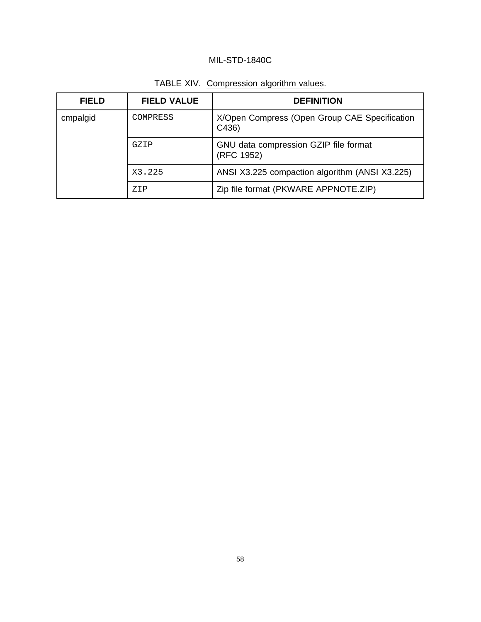| <b>FIELD</b> | <b>FIELD VALUE</b> | <b>DEFINITION</b>                                     |
|--------------|--------------------|-------------------------------------------------------|
| cmpalgid     | COMPRESS           | X/Open Compress (Open Group CAE Specification<br>C436 |
|              | GZIP               | GNU data compression GZIP file format<br>(RFC 1952)   |
|              | X3.225             | ANSI X3.225 compaction algorithm (ANSI X3.225)        |
|              | Z <sub>T</sub> P   | Zip file format (PKWARE APPNOTE.ZIP)                  |

TABLE XIV. Compression algorithm values.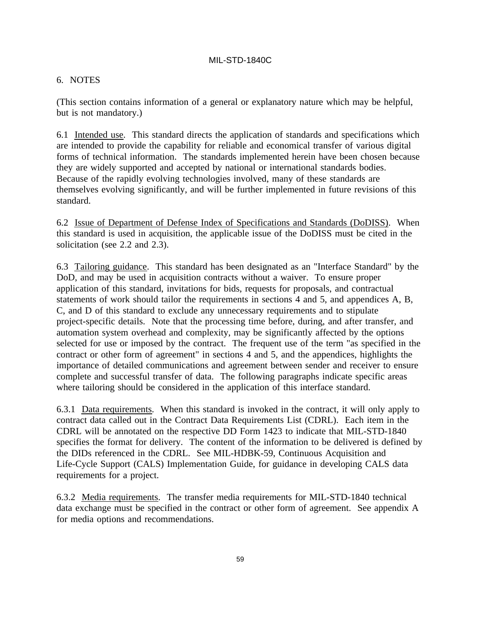## 6. NOTES

(This section contains information of a general or explanatory nature which may be helpful, but is not mandatory.)

6.1 Intended use. This standard directs the application of standards and specifications which are intended to provide the capability for reliable and economical transfer of various digital forms of technical information. The standards implemented herein have been chosen because they are widely supported and accepted by national or international standards bodies. Because of the rapidly evolving technologies involved, many of these standards are themselves evolving significantly, and will be further implemented in future revisions of this standard.

6.2 Issue of Department of Defense Index of Specifications and Standards (DoDISS). When this standard is used in acquisition, the applicable issue of the DoDISS must be cited in the solicitation (see 2.2 and 2.3).

6.3 Tailoring guidance. This standard has been designated as an "Interface Standard" by the DoD, and may be used in acquisition contracts without a waiver. To ensure proper application of this standard, invitations for bids, requests for proposals, and contractual statements of work should tailor the requirements in sections 4 and 5, and appendices A, B, C, and D of this standard to exclude any unnecessary requirements and to stipulate project-specific details. Note that the processing time before, during, and after transfer, and automation system overhead and complexity, may be significantly affected by the options selected for use or imposed by the contract. The frequent use of the term "as specified in the contract or other form of agreement" in sections 4 and 5, and the appendices, highlights the importance of detailed communications and agreement between sender and receiver to ensure complete and successful transfer of data. The following paragraphs indicate specific areas where tailoring should be considered in the application of this interface standard.

6.3.1 Data requirements. When this standard is invoked in the contract, it will only apply to contract data called out in the Contract Data Requirements List (CDRL). Each item in the CDRL will be annotated on the respective DD Form 1423 to indicate that MIL-STD-1840 specifies the format for delivery. The content of the information to be delivered is defined by the DIDs referenced in the CDRL. See MIL-HDBK-59, Continuous Acquisition and Life-Cycle Support (CALS) Implementation Guide, for guidance in developing CALS data requirements for a project.

6.3.2 Media requirements. The transfer media requirements for MIL-STD-1840 technical data exchange must be specified in the contract or other form of agreement. See appendix A for media options and recommendations.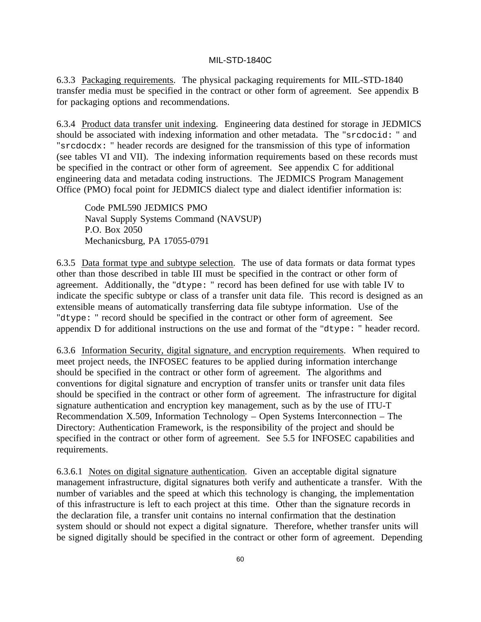6.3.3 Packaging requirements. The physical packaging requirements for MIL-STD-1840 transfer media must be specified in the contract or other form of agreement. See appendix B for packaging options and recommendations.

6.3.4 Product data transfer unit indexing. Engineering data destined for storage in JEDMICS should be associated with indexing information and other metadata. The "srcdocid: " and "srcdocdx: " header records are designed for the transmission of this type of information (see tables VI and VII). The indexing information requirements based on these records must be specified in the contract or other form of agreement. See appendix C for additional engineering data and metadata coding instructions. The JEDMICS Program Management Office (PMO) focal point for JEDMICS dialect type and dialect identifier information is:

Code PML590 JEDMICS PMO Naval Supply Systems Command (NAVSUP) P.O. Box 2050 Mechanicsburg, PA 17055-0791

6.3.5 Data format type and subtype selection. The use of data formats or data format types other than those described in table III must be specified in the contract or other form of agreement. Additionally, the "dtype: " record has been defined for use with table IV to indicate the specific subtype or class of a transfer unit data file. This record is designed as an extensible means of automatically transferring data file subtype information. Use of the "dtype: " record should be specified in the contract or other form of agreement. See appendix D for additional instructions on the use and format of the "dtype: " header record.

6.3.6 Information Security, digital signature, and encryption requirements. When required to meet project needs, the INFOSEC features to be applied during information interchange should be specified in the contract or other form of agreement. The algorithms and conventions for digital signature and encryption of transfer units or transfer unit data files should be specified in the contract or other form of agreement. The infrastructure for digital signature authentication and encryption key management, such as by the use of ITU-T Recommendation X.509, Information Technology – Open Systems Interconnection – The Directory: Authentication Framework, is the responsibility of the project and should be specified in the contract or other form of agreement. See 5.5 for INFOSEC capabilities and requirements.

6.3.6.1 Notes on digital signature authentication. Given an acceptable digital signature management infrastructure, digital signatures both verify and authenticate a transfer. With the number of variables and the speed at which this technology is changing, the implementation of this infrastructure is left to each project at this time. Other than the signature records in the declaration file, a transfer unit contains no internal confirmation that the destination system should or should not expect a digital signature. Therefore, whether transfer units will be signed digitally should be specified in the contract or other form of agreement. Depending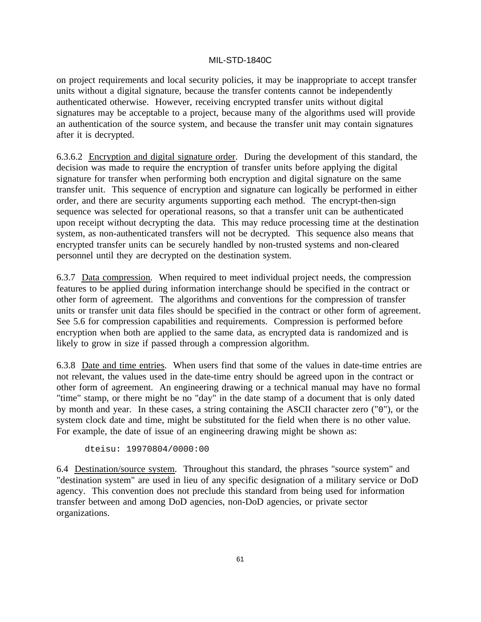on project requirements and local security policies, it may be inappropriate to accept transfer units without a digital signature, because the transfer contents cannot be independently authenticated otherwise. However, receiving encrypted transfer units without digital signatures may be acceptable to a project, because many of the algorithms used will provide an authentication of the source system, and because the transfer unit may contain signatures after it is decrypted.

6.3.6.2 Encryption and digital signature order. During the development of this standard, the decision was made to require the encryption of transfer units before applying the digital signature for transfer when performing both encryption and digital signature on the same transfer unit. This sequence of encryption and signature can logically be performed in either order, and there are security arguments supporting each method. The encrypt-then-sign sequence was selected for operational reasons, so that a transfer unit can be authenticated upon receipt without decrypting the data. This may reduce processing time at the destination system, as non-authenticated transfers will not be decrypted. This sequence also means that encrypted transfer units can be securely handled by non-trusted systems and non-cleared personnel until they are decrypted on the destination system.

6.3.7 Data compression. When required to meet individual project needs, the compression features to be applied during information interchange should be specified in the contract or other form of agreement. The algorithms and conventions for the compression of transfer units or transfer unit data files should be specified in the contract or other form of agreement. See 5.6 for compression capabilities and requirements. Compression is performed before encryption when both are applied to the same data, as encrypted data is randomized and is likely to grow in size if passed through a compression algorithm.

6.3.8 Date and time entries. When users find that some of the values in date-time entries are not relevant, the values used in the date-time entry should be agreed upon in the contract or other form of agreement. An engineering drawing or a technical manual may have no formal "time" stamp, or there might be no "day" in the date stamp of a document that is only dated by month and year. In these cases, a string containing the ASCII character zero ("0"), or the system clock date and time, might be substituted for the field when there is no other value. For example, the date of issue of an engineering drawing might be shown as:

dteisu: 19970804/0000:00

6.4 Destination/source system. Throughout this standard, the phrases "source system" and "destination system" are used in lieu of any specific designation of a military service or DoD agency. This convention does not preclude this standard from being used for information transfer between and among DoD agencies, non-DoD agencies, or private sector organizations.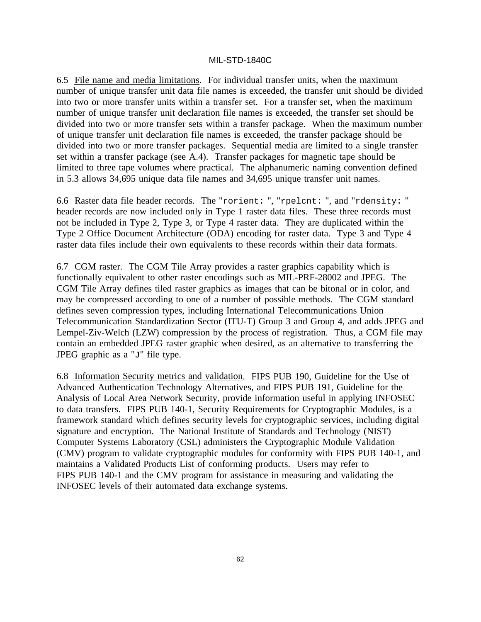6.5 File name and media limitations. For individual transfer units, when the maximum number of unique transfer unit data file names is exceeded, the transfer unit should be divided into two or more transfer units within a transfer set. For a transfer set, when the maximum number of unique transfer unit declaration file names is exceeded, the transfer set should be divided into two or more transfer sets within a transfer package. When the maximum number of unique transfer unit declaration file names is exceeded, the transfer package should be divided into two or more transfer packages. Sequential media are limited to a single transfer set within a transfer package (see A.4). Transfer packages for magnetic tape should be limited to three tape volumes where practical. The alphanumeric naming convention defined in 5.3 allows 34,695 unique data file names and 34,695 unique transfer unit names.

6.6 Raster data file header records. The "rorient: ", "rpelcnt: ", and "rdensity: " header records are now included only in Type 1 raster data files. These three records must not be included in Type 2, Type 3, or Type 4 raster data. They are duplicated within the Type 2 Office Document Architecture (ODA) encoding for raster data. Type 3 and Type 4 raster data files include their own equivalents to these records within their data formats.

6.7 CGM raster. The CGM Tile Array provides a raster graphics capability which is functionally equivalent to other raster encodings such as MIL-PRF-28002 and JPEG. The CGM Tile Array defines tiled raster graphics as images that can be bitonal or in color, and may be compressed according to one of a number of possible methods. The CGM standard defines seven compression types, including International Telecommunications Union Telecommunication Standardization Sector (ITU-T) Group 3 and Group 4, and adds JPEG and Lempel-Ziv-Welch (LZW) compression by the process of registration. Thus, a CGM file may contain an embedded JPEG raster graphic when desired, as an alternative to transferring the JPEG graphic as a "J" file type.

6.8 Information Security metrics and validation. FIPS PUB 190, Guideline for the Use of Advanced Authentication Technology Alternatives, and FIPS PUB 191, Guideline for the Analysis of Local Area Network Security, provide information useful in applying INFOSEC to data transfers. FIPS PUB 140-1, Security Requirements for Cryptographic Modules, is a framework standard which defines security levels for cryptographic services, including digital signature and encryption. The National Institute of Standards and Technology (NIST) Computer Systems Laboratory (CSL) administers the Cryptographic Module Validation (CMV) program to validate cryptographic modules for conformity with FIPS PUB 140-1, and maintains a Validated Products List of conforming products. Users may refer to FIPS PUB 140-1 and the CMV program for assistance in measuring and validating the INFOSEC levels of their automated data exchange systems.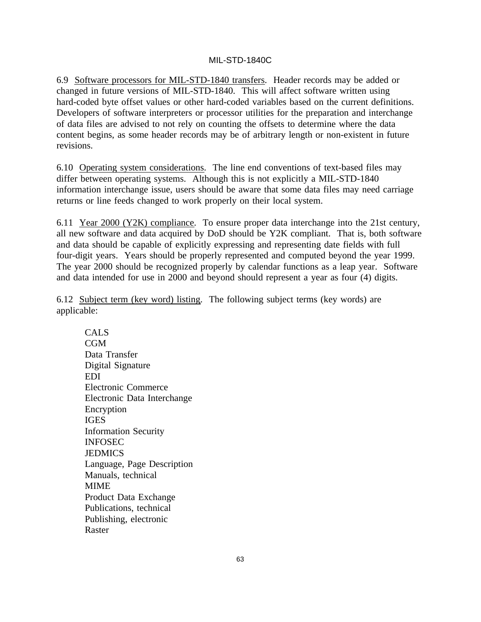6.9 Software processors for MIL-STD-1840 transfers. Header records may be added or changed in future versions of MIL-STD-1840. This will affect software written using hard-coded byte offset values or other hard-coded variables based on the current definitions. Developers of software interpreters or processor utilities for the preparation and interchange of data files are advised to not rely on counting the offsets to determine where the data content begins, as some header records may be of arbitrary length or non-existent in future revisions.

6.10 Operating system considerations. The line end conventions of text-based files may differ between operating systems. Although this is not explicitly a MIL-STD-1840 information interchange issue, users should be aware that some data files may need carriage returns or line feeds changed to work properly on their local system.

6.11 Year 2000 (Y2K) compliance. To ensure proper data interchange into the 21st century, all new software and data acquired by DoD should be Y2K compliant. That is, both software and data should be capable of explicitly expressing and representing date fields with full four-digit years. Years should be properly represented and computed beyond the year 1999. The year 2000 should be recognized properly by calendar functions as a leap year. Software and data intended for use in 2000 and beyond should represent a year as four (4) digits.

6.12 Subject term (key word) listing. The following subject terms (key words) are applicable:

CALS  $CGM$ Data Transfer Digital Signature EDI Electronic Commerce Electronic Data Interchange Encryption IGES Information Security INFOSEC JEDMICS Language, Page Description Manuals, technical MIME Product Data Exchange Publications, technical Publishing, electronic Raster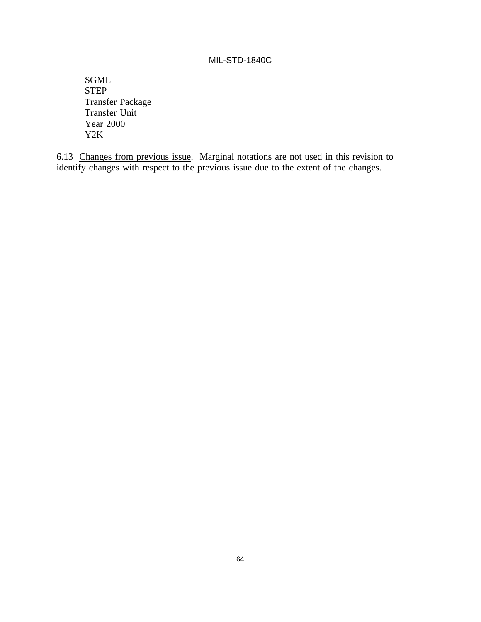SGML STEP Transfer Package Transfer Unit Year 2000 Y2K

6.13 Changes from previous issue. Marginal notations are not used in this revision to identify changes with respect to the previous issue due to the extent of the changes.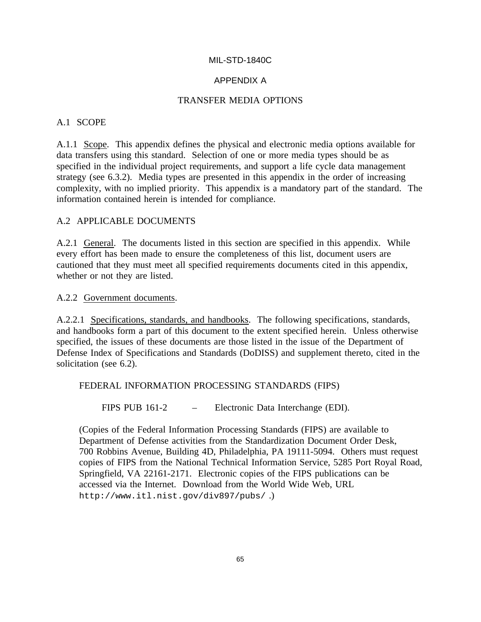## APPENDIX A

### TRANSFER MEDIA OPTIONS

## A.1 SCOPE

A.1.1 Scope. This appendix defines the physical and electronic media options available for data transfers using this standard. Selection of one or more media types should be as specified in the individual project requirements, and support a life cycle data management strategy (see 6.3.2). Media types are presented in this appendix in the order of increasing complexity, with no implied priority. This appendix is a mandatory part of the standard. The information contained herein is intended for compliance.

## A.2 APPLICABLE DOCUMENTS

A.2.1 General. The documents listed in this section are specified in this appendix. While every effort has been made to ensure the completeness of this list, document users are cautioned that they must meet all specified requirements documents cited in this appendix, whether or not they are listed.

#### A.2.2 Government documents.

A.2.2.1 Specifications, standards, and handbooks. The following specifications, standards, and handbooks form a part of this document to the extent specified herein. Unless otherwise specified, the issues of these documents are those listed in the issue of the Department of Defense Index of Specifications and Standards (DoDISS) and supplement thereto, cited in the solicitation (see 6.2).

#### FEDERAL INFORMATION PROCESSING STANDARDS (FIPS)

FIPS PUB 161-2 – Electronic Data Interchange (EDI).

(Copies of the Federal Information Processing Standards (FIPS) are available to Department of Defense activities from the Standardization Document Order Desk, 700 Robbins Avenue, Building 4D, Philadelphia, PA 19111-5094. Others must request copies of FIPS from the National Technical Information Service, 5285 Port Royal Road, Springfield, VA 22161-2171. Electronic copies of the FIPS publications can be accessed via the Internet. Download from the World Wide Web, URL http://www.itl.nist.gov/div897/pubs/ .)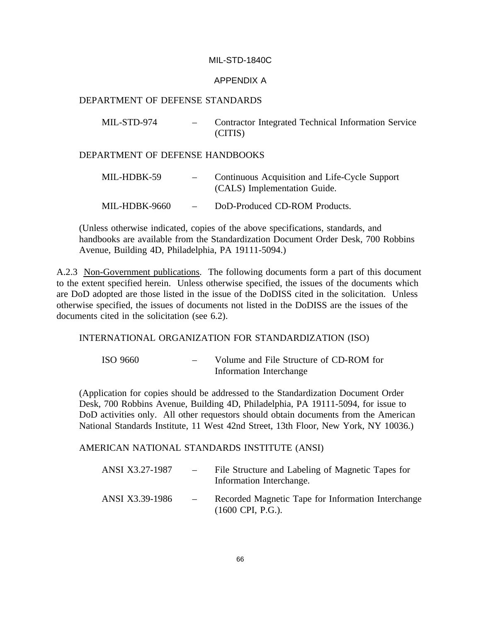#### APPENDIX A

#### DEPARTMENT OF DEFENSE STANDARDS

| MIL-STD-974 | Contractor Integrated Technical Information Service |
|-------------|-----------------------------------------------------|
|             | (CITIS)                                             |

#### DEPARTMENT OF DEFENSE HANDBOOKS

| MIL-HDBK-59   | $\overline{\phantom{m}}$ | Continuous Acquisition and Life-Cycle Support<br>(CALS) Implementation Guide. |
|---------------|--------------------------|-------------------------------------------------------------------------------|
| MIL-HDBK-9660 | $\overline{\phantom{a}}$ | DoD-Produced CD-ROM Products.                                                 |

(Unless otherwise indicated, copies of the above specifications, standards, and handbooks are available from the Standardization Document Order Desk, 700 Robbins Avenue, Building 4D, Philadelphia, PA 19111-5094.)

A.2.3 Non-Government publications. The following documents form a part of this document to the extent specified herein. Unless otherwise specified, the issues of the documents which are DoD adopted are those listed in the issue of the DoDISS cited in the solicitation. Unless otherwise specified, the issues of documents not listed in the DoDISS are the issues of the documents cited in the solicitation (see 6.2).

#### INTERNATIONAL ORGANIZATION FOR STANDARDIZATION (ISO)

ISO 9660 – Volume and File Structure of CD-ROM for Information Interchange

(Application for copies should be addressed to the Standardization Document Order Desk, 700 Robbins Avenue, Building 4D, Philadelphia, PA 19111-5094, for issue to DoD activities only. All other requestors should obtain documents from the American National Standards Institute, 11 West 42nd Street, 13th Floor, New York, NY 10036.)

#### AMERICAN NATIONAL STANDARDS INSTITUTE (ANSI)

| ANSI X3.27-1987 | $\overline{\phantom{a}}$ | File Structure and Labeling of Magnetic Tapes for<br>Information Interchange.            |
|-----------------|--------------------------|------------------------------------------------------------------------------------------|
| ANSI X3.39-1986 | $\sim$                   | Recorded Magnetic Tape for Information Interchange<br>$(1600 \text{ CPI}, \text{P.G.}).$ |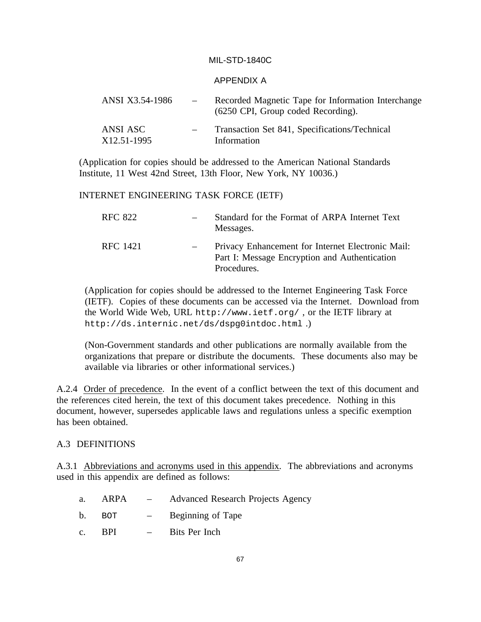#### APPENDIX A

| ANSI X3.54-1986         | $\sim$ | Recorded Magnetic Tape for Information Interchange<br>(6250 CPI, Group coded Recording). |
|-------------------------|--------|------------------------------------------------------------------------------------------|
| ANSI ASC<br>X12.51-1995 |        | Transaction Set 841, Specifications/Technical<br>Information                             |

(Application for copies should be addressed to the American National Standards Institute, 11 West 42nd Street, 13th Floor, New York, NY 10036.)

#### INTERNET ENGINEERING TASK FORCE (IETF)

| RFC 822  | Standard for the Format of ARPA Internet Text<br>Messages.                                                        |
|----------|-------------------------------------------------------------------------------------------------------------------|
| RFC 1421 | Privacy Enhancement for Internet Electronic Mail:<br>Part I: Message Encryption and Authentication<br>Procedures. |

(Application for copies should be addressed to the Internet Engineering Task Force (IETF). Copies of these documents can be accessed via the Internet. Download from the World Wide Web, URL http://www.ietf.org/ , or the IETF library at http://ds.internic.net/ds/dspg0intdoc.html .)

(Non-Government standards and other publications are normally available from the organizations that prepare or distribute the documents. These documents also may be available via libraries or other informational services.)

A.2.4 Order of precedence. In the event of a conflict between the text of this document and the references cited herein, the text of this document takes precedence. Nothing in this document, however, supersedes applicable laws and regulations unless a specific exemption has been obtained.

#### A.3 DEFINITIONS

A.3.1 Abbreviations and acronyms used in this appendix. The abbreviations and acronyms used in this appendix are defined as follows:

| a.             | ARPA | $\mathcal{L} = \mathcal{L}$     | <b>Advanced Research Projects Agency</b> |
|----------------|------|---------------------------------|------------------------------------------|
| b.             | BOT. | $\frac{1}{2}$ and $\frac{1}{2}$ | Beginning of Tape                        |
| $\mathbf{c}$ . | -RPI | $\sim$ 100 $\sim$               | Bits Per Inch                            |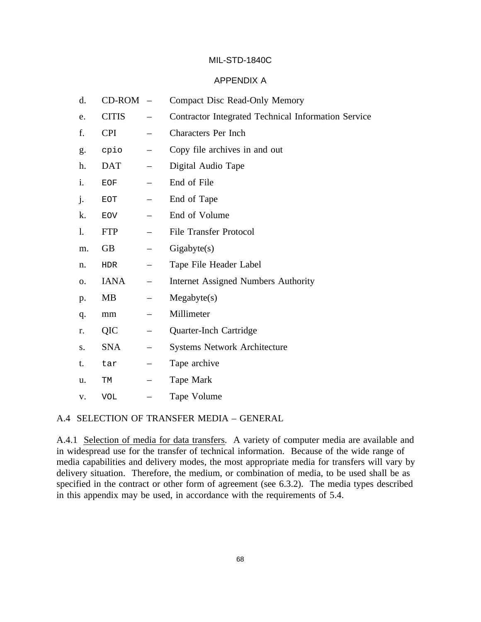## APPENDIX A

| d. | CD-ROM       | $\overline{\phantom{a}}$ | <b>Compact Disc Read-Only Memory</b>                |  |
|----|--------------|--------------------------|-----------------------------------------------------|--|
| e. | <b>CITIS</b> |                          | Contractor Integrated Technical Information Service |  |
| f. | <b>CPI</b>   |                          | <b>Characters Per Inch</b>                          |  |
| g. | cpio         | $\qquad \qquad -$        | Copy file archives in and out                       |  |
| h. | <b>DAT</b>   |                          | Digital Audio Tape                                  |  |
| i. | <b>EOF</b>   |                          | End of File                                         |  |
| j. | <b>EOT</b>   |                          | End of Tape                                         |  |
| k. | <b>EOV</b>   |                          | End of Volume                                       |  |
| 1. | <b>FTP</b>   | $\qquad \qquad -$        | <b>File Transfer Protocol</b>                       |  |
| m. | <b>GB</b>    |                          | Gigabyte(s)                                         |  |
| n. | HDR          |                          | Tape File Header Label                              |  |
| Ο. | <b>IANA</b>  | $\overline{\phantom{m}}$ | <b>Internet Assigned Numbers Authority</b>          |  |
| p. | <b>MB</b>    | $\qquad \qquad -$        | Megabyte(s)                                         |  |
| q. | mm           | —                        | Millimeter                                          |  |
| r. | QIC          |                          | Quarter-Inch Cartridge                              |  |
| S. | <b>SNA</b>   | —                        | <b>Systems Network Architecture</b>                 |  |
| t. | tar          | —                        | Tape archive                                        |  |
| u. | TM           | $\overline{\phantom{0}}$ | Tape Mark                                           |  |
| V. | <b>VOL</b>   |                          | Tape Volume                                         |  |

#### A.4 SELECTION OF TRANSFER MEDIA – GENERAL

A.4.1 Selection of media for data transfers. A variety of computer media are available and in widespread use for the transfer of technical information. Because of the wide range of media capabilities and delivery modes, the most appropriate media for transfers will vary by delivery situation. Therefore, the medium, or combination of media, to be used shall be as specified in the contract or other form of agreement (see 6.3.2). The media types described in this appendix may be used, in accordance with the requirements of 5.4.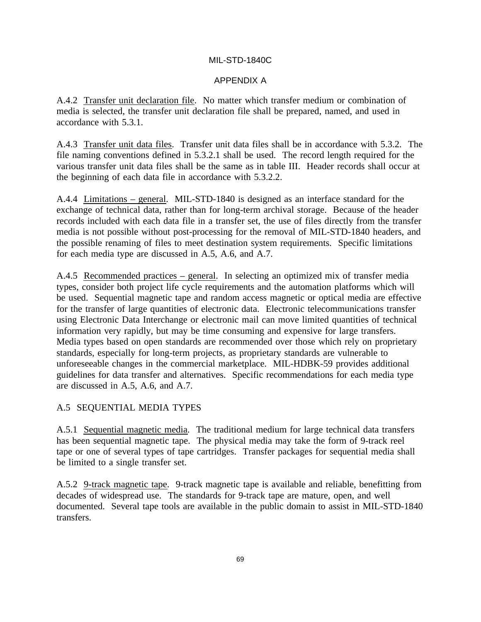### APPENDIX A

A.4.2 Transfer unit declaration file. No matter which transfer medium or combination of media is selected, the transfer unit declaration file shall be prepared, named, and used in accordance with 5.3.1.

A.4.3 Transfer unit data files. Transfer unit data files shall be in accordance with 5.3.2. The file naming conventions defined in 5.3.2.1 shall be used. The record length required for the various transfer unit data files shall be the same as in table III. Header records shall occur at the beginning of each data file in accordance with 5.3.2.2.

A.4.4 Limitations – general. MIL-STD-1840 is designed as an interface standard for the exchange of technical data, rather than for long-term archival storage. Because of the header records included with each data file in a transfer set, the use of files directly from the transfer media is not possible without post-processing for the removal of MIL-STD-1840 headers, and the possible renaming of files to meet destination system requirements. Specific limitations for each media type are discussed in A.5, A.6, and A.7.

A.4.5 Recommended practices – general. In selecting an optimized mix of transfer media types, consider both project life cycle requirements and the automation platforms which will be used. Sequential magnetic tape and random access magnetic or optical media are effective for the transfer of large quantities of electronic data. Electronic telecommunications transfer using Electronic Data Interchange or electronic mail can move limited quantities of technical information very rapidly, but may be time consuming and expensive for large transfers. Media types based on open standards are recommended over those which rely on proprietary standards, especially for long-term projects, as proprietary standards are vulnerable to unforeseeable changes in the commercial marketplace. MIL-HDBK-59 provides additional guidelines for data transfer and alternatives. Specific recommendations for each media type are discussed in A.5, A.6, and A.7.

## A.5 SEQUENTIAL MEDIA TYPES

A.5.1 Sequential magnetic media. The traditional medium for large technical data transfers has been sequential magnetic tape. The physical media may take the form of 9-track reel tape or one of several types of tape cartridges. Transfer packages for sequential media shall be limited to a single transfer set.

A.5.2 9-track magnetic tape. 9-track magnetic tape is available and reliable, benefitting from decades of widespread use. The standards for 9-track tape are mature, open, and well documented. Several tape tools are available in the public domain to assist in MIL-STD-1840 transfers.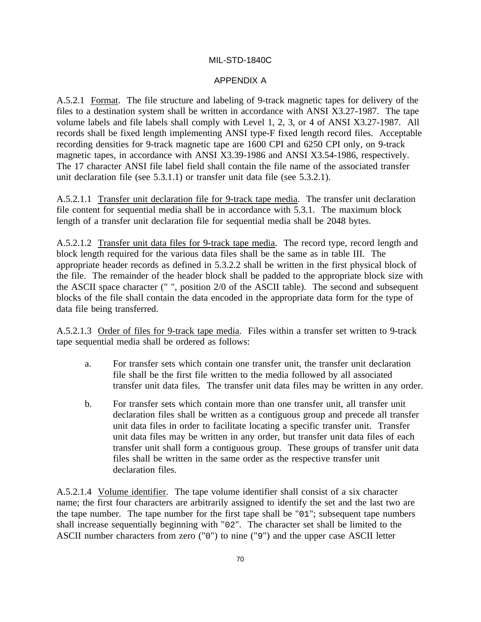### APPENDIX A

A.5.2.1 Format. The file structure and labeling of 9-track magnetic tapes for delivery of the files to a destination system shall be written in accordance with ANSI X3.27-1987. The tape volume labels and file labels shall comply with Level 1, 2, 3, or 4 of ANSI X3.27-1987. All records shall be fixed length implementing ANSI type-F fixed length record files. Acceptable recording densities for 9-track magnetic tape are 1600 CPI and 6250 CPI only, on 9-track magnetic tapes, in accordance with ANSI X3.39-1986 and ANSI X3.54-1986, respectively. The 17 character ANSI file label field shall contain the file name of the associated transfer unit declaration file (see 5.3.1.1) or transfer unit data file (see 5.3.2.1).

A.5.2.1.1 Transfer unit declaration file for 9-track tape media. The transfer unit declaration file content for sequential media shall be in accordance with 5.3.1. The maximum block length of a transfer unit declaration file for sequential media shall be 2048 bytes.

A.5.2.1.2 Transfer unit data files for 9-track tape media. The record type, record length and block length required for the various data files shall be the same as in table III. The appropriate header records as defined in 5.3.2.2 shall be written in the first physical block of the file. The remainder of the header block shall be padded to the appropriate block size with the ASCII space character (" ", position 2/0 of the ASCII table). The second and subsequent blocks of the file shall contain the data encoded in the appropriate data form for the type of data file being transferred.

A.5.2.1.3 Order of files for 9-track tape media. Files within a transfer set written to 9-track tape sequential media shall be ordered as follows:

- a. For transfer sets which contain one transfer unit, the transfer unit declaration file shall be the first file written to the media followed by all associated transfer unit data files. The transfer unit data files may be written in any order.
- b. For transfer sets which contain more than one transfer unit, all transfer unit declaration files shall be written as a contiguous group and precede all transfer unit data files in order to facilitate locating a specific transfer unit. Transfer unit data files may be written in any order, but transfer unit data files of each transfer unit shall form a contiguous group. These groups of transfer unit data files shall be written in the same order as the respective transfer unit declaration files.

A.5.2.1.4 Volume identifier. The tape volume identifier shall consist of a six character name; the first four characters are arbitrarily assigned to identify the set and the last two are the tape number. The tape number for the first tape shall be "01"; subsequent tape numbers shall increase sequentially beginning with "02". The character set shall be limited to the ASCII number characters from zero ("0") to nine ("9") and the upper case ASCII letter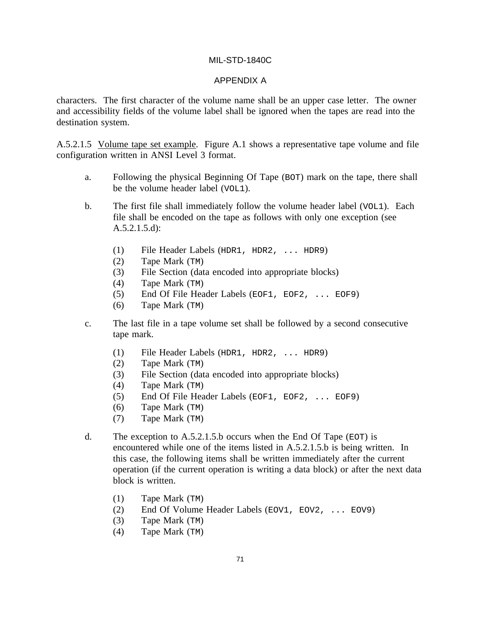#### APPENDIX A

characters. The first character of the volume name shall be an upper case letter. The owner and accessibility fields of the volume label shall be ignored when the tapes are read into the destination system.

A.5.2.1.5 Volume tape set example. Figure A.1 shows a representative tape volume and file configuration written in ANSI Level 3 format.

- a. Following the physical Beginning Of Tape (BOT) mark on the tape, there shall be the volume header label (VOL1).
- b. The first file shall immediately follow the volume header label (VOL1). Each file shall be encoded on the tape as follows with only one exception (see A.5.2.1.5.d):
	- (1) File Header Labels (HDR1, HDR2, ... HDR9)
	- (2) Tape Mark (TM)
	- (3) File Section (data encoded into appropriate blocks)
	- (4) Tape Mark (TM)
	- (5) End Of File Header Labels (EOF1, EOF2, ... EOF9)
	- (6) Tape Mark (TM)
- c. The last file in a tape volume set shall be followed by a second consecutive tape mark.
	- (1) File Header Labels (HDR1, HDR2, ... HDR9)
	- (2) Tape Mark (TM)
	- (3) File Section (data encoded into appropriate blocks)
	- (4) Tape Mark (TM)
	- (5) End Of File Header Labels (EOF1, EOF2, ... EOF9)
	- (6) Tape Mark (TM)
	- (7) Tape Mark (TM)
- d. The exception to A.5.2.1.5.b occurs when the End Of Tape ( $EOT$ ) is encountered while one of the items listed in A.5.2.1.5.b is being written. In this case, the following items shall be written immediately after the current operation (if the current operation is writing a data block) or after the next data block is written.
	- (1) Tape Mark (TM)
	- (2) End Of Volume Header Labels (EOV1, EOV2, ... EOV9)
	- (3) Tape Mark (TM)
	- (4) Tape Mark (TM)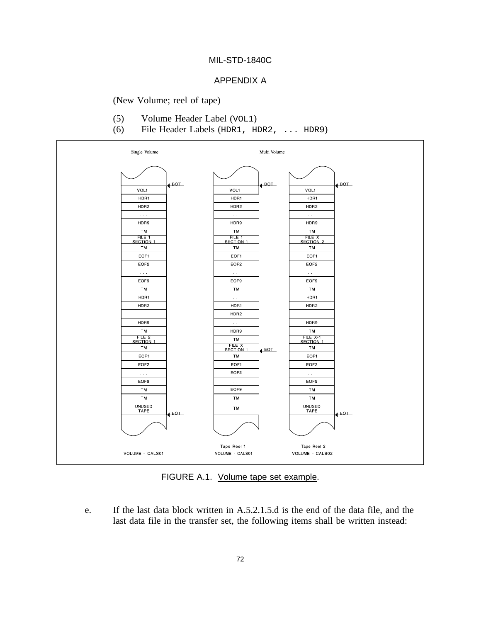#### APPENDIX A

(New Volume; reel of tape)

- (5) Volume Header Label (VOL1)
- (6) File Header Labels (HDR1, HDR2, ... HDR9)



FIGURE A.1. Volume tape set example.

e. If the last data block written in A.5.2.1.5.d is the end of the data file, and the last data file in the transfer set, the following items shall be written instead: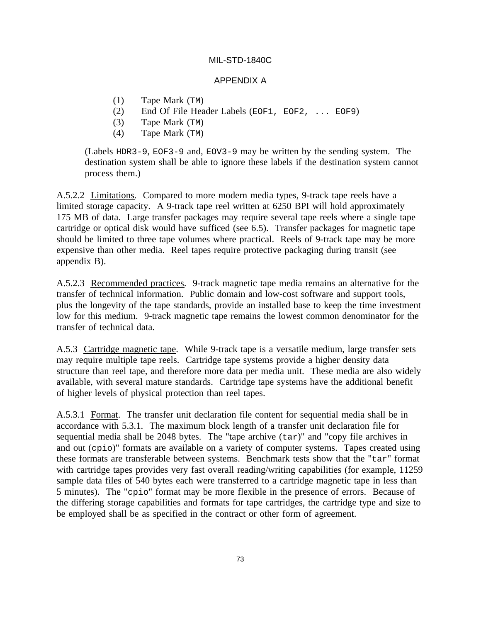#### APPENDIX A

- (1) Tape Mark (TM)
- (2) End Of File Header Labels (EOF1, EOF2, ... EOF9)
- (3) Tape Mark (TM)
- (4) Tape Mark (TM)

(Labels HDR3-9, EOF3-9 and, EOV3-9 may be written by the sending system. The destination system shall be able to ignore these labels if the destination system cannot process them.)

A.5.2.2 Limitations. Compared to more modern media types, 9-track tape reels have a limited storage capacity. A 9-track tape reel written at 6250 BPI will hold approximately 175 MB of data. Large transfer packages may require several tape reels where a single tape cartridge or optical disk would have sufficed (see 6.5). Transfer packages for magnetic tape should be limited to three tape volumes where practical. Reels of 9-track tape may be more expensive than other media. Reel tapes require protective packaging during transit (see appendix B).

A.5.2.3 Recommended practices. 9-track magnetic tape media remains an alternative for the transfer of technical information. Public domain and low-cost software and support tools, plus the longevity of the tape standards, provide an installed base to keep the time investment low for this medium. 9-track magnetic tape remains the lowest common denominator for the transfer of technical data.

A.5.3 Cartridge magnetic tape. While 9-track tape is a versatile medium, large transfer sets may require multiple tape reels. Cartridge tape systems provide a higher density data structure than reel tape, and therefore more data per media unit. These media are also widely available, with several mature standards. Cartridge tape systems have the additional benefit of higher levels of physical protection than reel tapes.

A.5.3.1 Format. The transfer unit declaration file content for sequential media shall be in accordance with 5.3.1. The maximum block length of a transfer unit declaration file for sequential media shall be 2048 bytes. The "tape archive (tar)" and "copy file archives in and out (cpio)" formats are available on a variety of computer systems. Tapes created using these formats are transferable between systems. Benchmark tests show that the "tar" format with cartridge tapes provides very fast overall reading/writing capabilities (for example, 11259 sample data files of 540 bytes each were transferred to a cartridge magnetic tape in less than 5 minutes). The "cpio" format may be more flexible in the presence of errors. Because of the differing storage capabilities and formats for tape cartridges, the cartridge type and size to be employed shall be as specified in the contract or other form of agreement.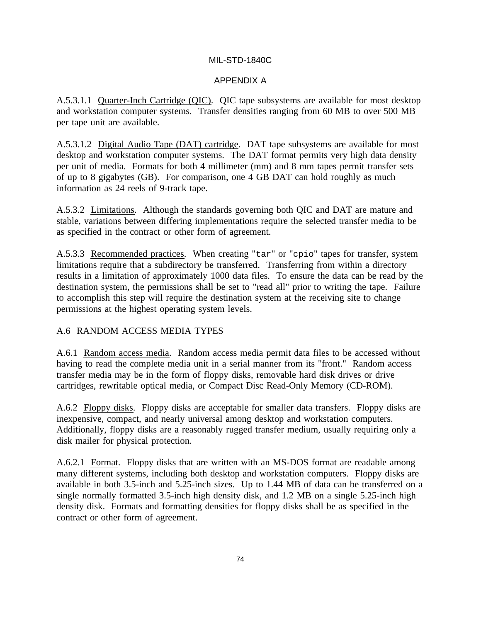## APPENDIX A

A.5.3.1.1 Quarter-Inch Cartridge (QIC). QIC tape subsystems are available for most desktop and workstation computer systems. Transfer densities ranging from 60 MB to over 500 MB per tape unit are available.

A.5.3.1.2 Digital Audio Tape (DAT) cartridge. DAT tape subsystems are available for most desktop and workstation computer systems. The DAT format permits very high data density per unit of media. Formats for both 4 millimeter (mm) and 8 mm tapes permit transfer sets of up to 8 gigabytes (GB). For comparison, one 4 GB DAT can hold roughly as much information as 24 reels of 9-track tape.

A.5.3.2 Limitations. Although the standards governing both QIC and DAT are mature and stable, variations between differing implementations require the selected transfer media to be as specified in the contract or other form of agreement.

A.5.3.3 Recommended practices. When creating "tar" or "cpio" tapes for transfer, system limitations require that a subdirectory be transferred. Transferring from within a directory results in a limitation of approximately 1000 data files. To ensure the data can be read by the destination system, the permissions shall be set to "read all" prior to writing the tape. Failure to accomplish this step will require the destination system at the receiving site to change permissions at the highest operating system levels.

## A.6 RANDOM ACCESS MEDIA TYPES

A.6.1 Random access media. Random access media permit data files to be accessed without having to read the complete media unit in a serial manner from its "front." Random access transfer media may be in the form of floppy disks, removable hard disk drives or drive cartridges, rewritable optical media, or Compact Disc Read-Only Memory (CD-ROM).

A.6.2 Floppy disks. Floppy disks are acceptable for smaller data transfers. Floppy disks are inexpensive, compact, and nearly universal among desktop and workstation computers. Additionally, floppy disks are a reasonably rugged transfer medium, usually requiring only a disk mailer for physical protection.

A.6.2.1 Format. Floppy disks that are written with an MS-DOS format are readable among many different systems, including both desktop and workstation computers. Floppy disks are available in both 3.5-inch and 5.25-inch sizes. Up to 1.44 MB of data can be transferred on a single normally formatted 3.5-inch high density disk, and 1.2 MB on a single 5.25-inch high density disk. Formats and formatting densities for floppy disks shall be as specified in the contract or other form of agreement.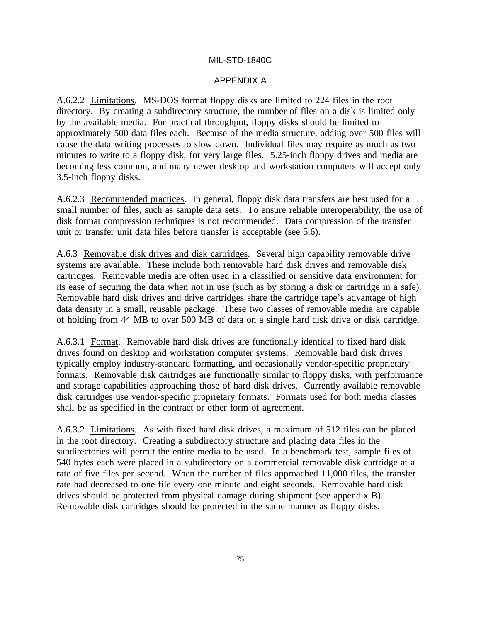#### APPENDIX A

A.6.2.2 Limitations. MS-DOS format floppy disks are limited to 224 files in the root directory. By creating a subdirectory structure, the number of files on a disk is limited only by the available media. For practical throughput, floppy disks should be limited to approximately 500 data files each. Because of the media structure, adding over 500 files will cause the data writing processes to slow down. Individual files may require as much as two minutes to write to a floppy disk, for very large files. 5.25-inch floppy drives and media are becoming less common, and many newer desktop and workstation computers will accept only 3.5-inch floppy disks.

A.6.2.3 Recommended practices. In general, floppy disk data transfers are best used for a small number of files, such as sample data sets. To ensure reliable interoperability, the use of disk format compression techniques is not recommended. Data compression of the transfer unit or transfer unit data files before transfer is acceptable (see 5.6).

A.6.3 Removable disk drives and disk cartridges. Several high capability removable drive systems are available. These include both removable hard disk drives and removable disk cartridges. Removable media are often used in a classified or sensitive data environment for its ease of securing the data when not in use (such as by storing a disk or cartridge in a safe). Removable hard disk drives and drive cartridges share the cartridge tape's advantage of high data density in a small, reusable package. These two classes of removable media are capable of holding from 44 MB to over 500 MB of data on a single hard disk drive or disk cartridge.

A.6.3.1 Format. Removable hard disk drives are functionally identical to fixed hard disk drives found on desktop and workstation computer systems. Removable hard disk drives typically employ industry-standard formatting, and occasionally vendor-specific proprietary formats. Removable disk cartridges are functionally similar to floppy disks, with performance and storage capabilities approaching those of hard disk drives. Currently available removable disk cartridges use vendor-specific proprietary formats. Formats used for both media classes shall be as specified in the contract or other form of agreement.

A.6.3.2 Limitations. As with fixed hard disk drives, a maximum of 512 files can be placed in the root directory. Creating a subdirectory structure and placing data files in the subdirectories will permit the entire media to be used. In a benchmark test, sample files of 540 bytes each were placed in a subdirectory on a commercial removable disk cartridge at a rate of five files per second. When the number of files approached 11,000 files, the transfer rate had decreased to one file every one minute and eight seconds. Removable hard disk drives should be protected from physical damage during shipment (see appendix B). Removable disk cartridges should be protected in the same manner as floppy disks.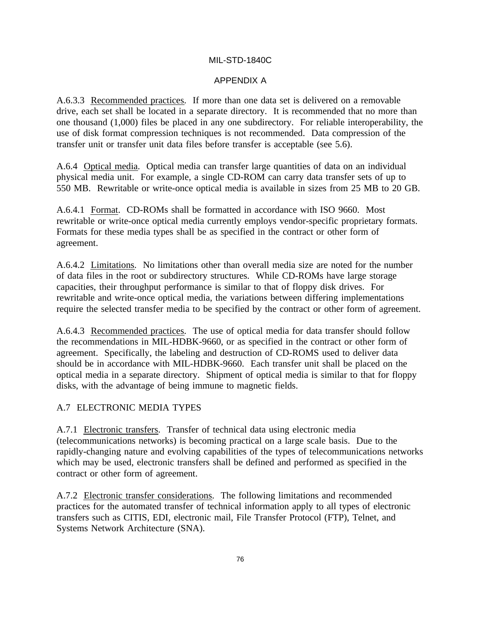## APPENDIX A

A.6.3.3 Recommended practices. If more than one data set is delivered on a removable drive, each set shall be located in a separate directory. It is recommended that no more than one thousand (1,000) files be placed in any one subdirectory. For reliable interoperability, the use of disk format compression techniques is not recommended. Data compression of the transfer unit or transfer unit data files before transfer is acceptable (see 5.6).

A.6.4 Optical media. Optical media can transfer large quantities of data on an individual physical media unit. For example, a single CD-ROM can carry data transfer sets of up to 550 MB. Rewritable or write-once optical media is available in sizes from 25 MB to 20 GB.

A.6.4.1 Format. CD-ROMs shall be formatted in accordance with ISO 9660. Most rewritable or write-once optical media currently employs vendor-specific proprietary formats. Formats for these media types shall be as specified in the contract or other form of agreement.

A.6.4.2 Limitations. No limitations other than overall media size are noted for the number of data files in the root or subdirectory structures. While CD-ROMs have large storage capacities, their throughput performance is similar to that of floppy disk drives. For rewritable and write-once optical media, the variations between differing implementations require the selected transfer media to be specified by the contract or other form of agreement.

A.6.4.3 Recommended practices. The use of optical media for data transfer should follow the recommendations in MIL-HDBK-9660, or as specified in the contract or other form of agreement. Specifically, the labeling and destruction of CD-ROMS used to deliver data should be in accordance with MIL-HDBK-9660. Each transfer unit shall be placed on the optical media in a separate directory. Shipment of optical media is similar to that for floppy disks, with the advantage of being immune to magnetic fields.

# A.7 ELECTRONIC MEDIA TYPES

A.7.1 Electronic transfers. Transfer of technical data using electronic media (telecommunications networks) is becoming practical on a large scale basis. Due to the rapidly-changing nature and evolving capabilities of the types of telecommunications networks which may be used, electronic transfers shall be defined and performed as specified in the contract or other form of agreement.

A.7.2 Electronic transfer considerations. The following limitations and recommended practices for the automated transfer of technical information apply to all types of electronic transfers such as CITIS, EDI, electronic mail, File Transfer Protocol (FTP), Telnet, and Systems Network Architecture (SNA).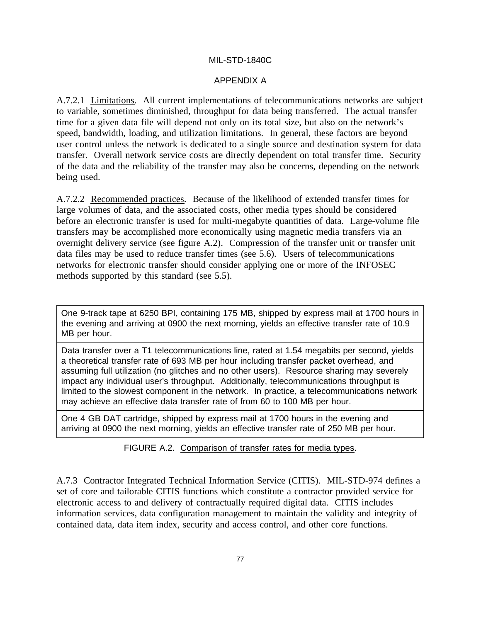### APPENDIX A

A.7.2.1 Limitations. All current implementations of telecommunications networks are subject to variable, sometimes diminished, throughput for data being transferred. The actual transfer time for a given data file will depend not only on its total size, but also on the network's speed, bandwidth, loading, and utilization limitations. In general, these factors are beyond user control unless the network is dedicated to a single source and destination system for data transfer. Overall network service costs are directly dependent on total transfer time. Security of the data and the reliability of the transfer may also be concerns, depending on the network being used.

A.7.2.2 Recommended practices. Because of the likelihood of extended transfer times for large volumes of data, and the associated costs, other media types should be considered before an electronic transfer is used for multi-megabyte quantities of data. Large-volume file transfers may be accomplished more economically using magnetic media transfers via an overnight delivery service (see figure A.2). Compression of the transfer unit or transfer unit data files may be used to reduce transfer times (see 5.6). Users of telecommunications networks for electronic transfer should consider applying one or more of the INFOSEC methods supported by this standard (see 5.5).

One 9-track tape at 6250 BPI, containing 175 MB, shipped by express mail at 1700 hours in the evening and arriving at 0900 the next morning, yields an effective transfer rate of 10.9 MB per hour.

Data transfer over a T1 telecommunications line, rated at 1.54 megabits per second, yields a theoretical transfer rate of 693 MB per hour including transfer packet overhead, and assuming full utilization (no glitches and no other users). Resource sharing may severely impact any individual user's throughput. Additionally, telecommunications throughput is limited to the slowest component in the network. In practice, a telecommunications network may achieve an effective data transfer rate of from 60 to 100 MB per hour.

One 4 GB DAT cartridge, shipped by express mail at 1700 hours in the evening and arriving at 0900 the next morning, yields an effective transfer rate of 250 MB per hour.

FIGURE A.2. Comparison of transfer rates for media types.

A.7.3 Contractor Integrated Technical Information Service (CITIS). MIL-STD-974 defines a set of core and tailorable CITIS functions which constitute a contractor provided service for electronic access to and delivery of contractually required digital data. CITIS includes information services, data configuration management to maintain the validity and integrity of contained data, data item index, security and access control, and other core functions.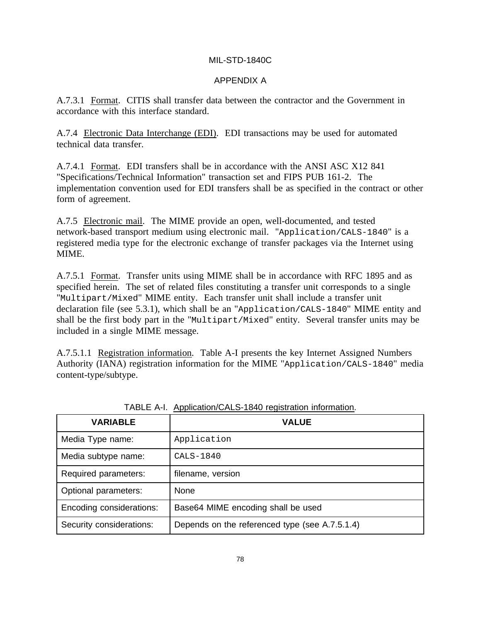## APPENDIX A

A.7.3.1 Format. CITIS shall transfer data between the contractor and the Government in accordance with this interface standard.

A.7.4 Electronic Data Interchange (EDI). EDI transactions may be used for automated technical data transfer.

A.7.4.1 Format. EDI transfers shall be in accordance with the ANSI ASC X12 841 "Specifications/Technical Information" transaction set and FIPS PUB 161-2. The implementation convention used for EDI transfers shall be as specified in the contract or other form of agreement.

A.7.5 Electronic mail. The MIME provide an open, well-documented, and tested network-based transport medium using electronic mail. "Application/CALS-1840" is a registered media type for the electronic exchange of transfer packages via the Internet using MIME.

A.7.5.1 Format. Transfer units using MIME shall be in accordance with RFC 1895 and as specified herein. The set of related files constituting a transfer unit corresponds to a single "Multipart/Mixed" MIME entity. Each transfer unit shall include a transfer unit declaration file (see 5.3.1), which shall be an "Application/CALS-1840" MIME entity and shall be the first body part in the "Multipart/Mixed" entity. Several transfer units may be included in a single MIME message.

A.7.5.1.1 Registration information. Table A-I presents the key Internet Assigned Numbers Authority (IANA) registration information for the MIME "Application/CALS-1840" media content-type/subtype.

| <b>VARIABLE</b>          | <b>VALUE</b>                                   |  |
|--------------------------|------------------------------------------------|--|
| Media Type name:         | Application                                    |  |
| Media subtype name:      | CALS-1840                                      |  |
| Required parameters:     | filename, version                              |  |
| Optional parameters:     | None                                           |  |
| Encoding considerations: | Base64 MIME encoding shall be used             |  |
| Security considerations: | Depends on the referenced type (see A.7.5.1.4) |  |

TABLE A-I. Application/CALS-1840 registration information.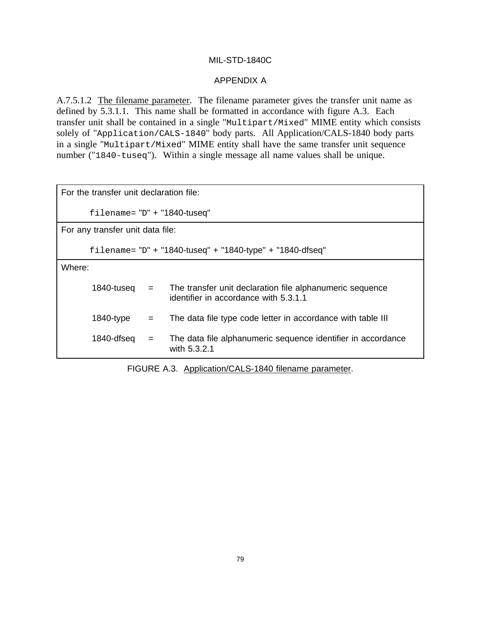### APPENDIX A

A.7.5.1.2 The filename parameter. The filename parameter gives the transfer unit name as defined by 5.3.1.1. This name shall be formatted in accordance with figure A.3. Each transfer unit shall be contained in a single "Multipart/Mixed" MIME entity which consists solely of "Application/CALS-1840" body parts. All Application/CALS-1840 body parts in a single "Multipart/Mixed" MIME entity shall have the same transfer unit sequence number ("1840-tuseq"). Within a single message all name values shall be unique.

FIGURE A.3. Application/CALS-1840 filename parameter.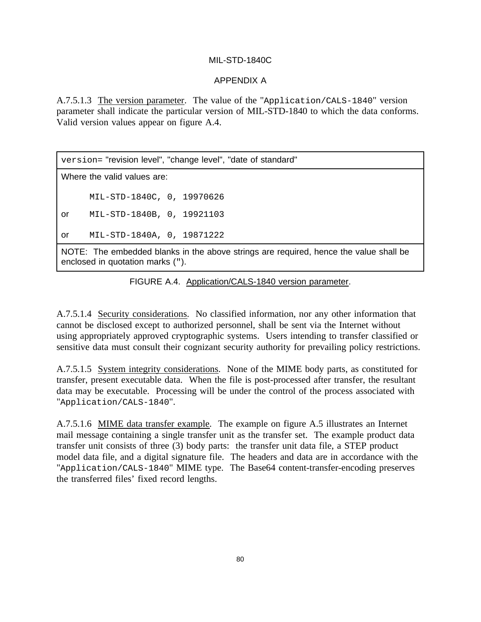## APPENDIX A

A.7.5.1.3 The version parameter. The value of the "Application/CALS-1840" version parameter shall indicate the particular version of MIL-STD-1840 to which the data conforms. Valid version values appear on figure A.4.

version= "revision level", "change level", "date of standard" Where the valid values are: MIL-STD-1840C, 0, 19970626 or MIL-STD-1840B, 0, 19921103 or MIL-STD-1840A, 0, 19871222 NOTE: The embedded blanks in the above strings are required, hence the value shall be enclosed in quotation marks (").

FIGURE A.4. Application/CALS-1840 version parameter.

A.7.5.1.4 Security considerations. No classified information, nor any other information that cannot be disclosed except to authorized personnel, shall be sent via the Internet without using appropriately approved cryptographic systems. Users intending to transfer classified or sensitive data must consult their cognizant security authority for prevailing policy restrictions.

A.7.5.1.5 System integrity considerations. None of the MIME body parts, as constituted for transfer, present executable data. When the file is post-processed after transfer, the resultant data may be executable. Processing will be under the control of the process associated with "Application/CALS-1840".

A.7.5.1.6 MIME data transfer example. The example on figure A.5 illustrates an Internet mail message containing a single transfer unit as the transfer set. The example product data transfer unit consists of three (3) body parts: the transfer unit data file, a STEP product model data file, and a digital signature file. The headers and data are in accordance with the "Application/CALS-1840" MIME type. The Base64 content-transfer-encoding preserves the transferred files' fixed record lengths.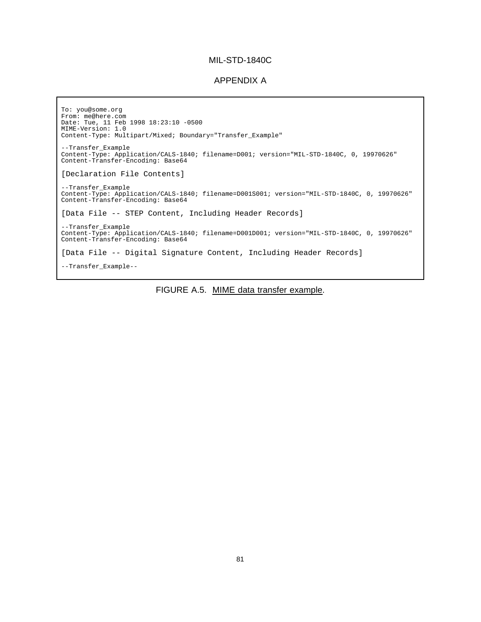#### APPENDIX A

To: you@some.org From: me@here.com Date: Tue, 11 Feb 1998 18:23:10 -0500 MIME-Version: 1.0 Content-Type: Multipart/Mixed; Boundary="Transfer\_Example" --Transfer\_Example Content-Type: Application/CALS-1840; filename=D001; version="MIL-STD-1840C, 0, 19970626" Content-Transfer-Encoding: Base64 [Declaration File Contents] --Transfer\_Example Content-Type: Application/CALS-1840; filename=D001S001; version="MIL-STD-1840C, 0, 19970626" Content-Transfer-Encoding: Base64 [Data File -- STEP Content, Including Header Records] --Transfer\_Example Content-Type: Application/CALS-1840; filename=D001D001; version="MIL-STD-1840C, 0, 19970626" Content-Transfer-Encoding: Base64 [Data File -- Digital Signature Content, Including Header Records] --Transfer\_Example--

FIGURE A.5. MIME data transfer example.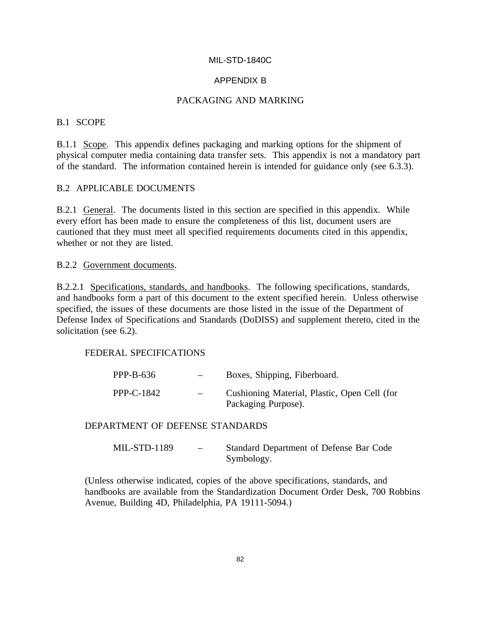## APPENDIX B

## PACKAGING AND MARKING

#### B.1 SCOPE

B.1.1 Scope. This appendix defines packaging and marking options for the shipment of physical computer media containing data transfer sets. This appendix is not a mandatory part of the standard. The information contained herein is intended for guidance only (see 6.3.3).

## B.2 APPLICABLE DOCUMENTS

B.2.1 General. The documents listed in this section are specified in this appendix. While every effort has been made to ensure the completeness of this list, document users are cautioned that they must meet all specified requirements documents cited in this appendix, whether or not they are listed.

#### B.2.2 Government documents.

B.2.2.1 Specifications, standards, and handbooks. The following specifications, standards, and handbooks form a part of this document to the extent specified herein. Unless otherwise specified, the issues of these documents are those listed in the issue of the Department of Defense Index of Specifications and Standards (DoDISS) and supplement thereto, cited in the solicitation (see 6.2).

#### FEDERAL SPECIFICATIONS

| PPP-B-636  | $-$ | Boxes, Shipping, Fiberboard.                                        |
|------------|-----|---------------------------------------------------------------------|
| PPP-C-1842 | $-$ | Cushioning Material, Plastic, Open Cell (for<br>Packaging Purpose). |

DEPARTMENT OF DEFENSE STANDARDS

| MIL-STD-1189 | $\overline{\phantom{0}}$ | Standard Department of Defense Bar Code |
|--------------|--------------------------|-----------------------------------------|
|              |                          | Symbology.                              |

(Unless otherwise indicated, copies of the above specifications, standards, and handbooks are available from the Standardization Document Order Desk, 700 Robbins Avenue, Building 4D, Philadelphia, PA 19111-5094.)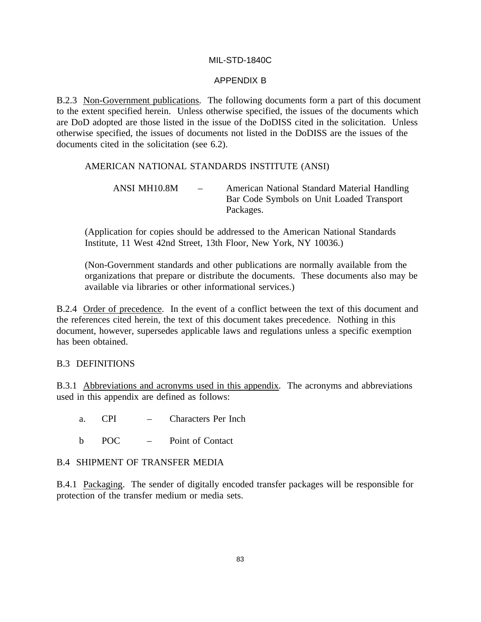### APPENDIX B

B.2.3 Non-Government publications. The following documents form a part of this document to the extent specified herein. Unless otherwise specified, the issues of the documents which are DoD adopted are those listed in the issue of the DoDISS cited in the solicitation. Unless otherwise specified, the issues of documents not listed in the DoDISS are the issues of the documents cited in the solicitation (see 6.2).

## AMERICAN NATIONAL STANDARDS INSTITUTE (ANSI)

(Application for copies should be addressed to the American National Standards Institute, 11 West 42nd Street, 13th Floor, New York, NY 10036.)

(Non-Government standards and other publications are normally available from the organizations that prepare or distribute the documents. These documents also may be available via libraries or other informational services.)

B.2.4 Order of precedence. In the event of a conflict between the text of this document and the references cited herein, the text of this document takes precedence. Nothing in this document, however, supersedes applicable laws and regulations unless a specific exemption has been obtained.

#### B.3 DEFINITIONS

B.3.1 Abbreviations and acronyms used in this appendix. The acronyms and abbreviations used in this appendix are defined as follows:

- a. CPI Characters Per Inch
- b POC Point of Contact

#### B.4 SHIPMENT OF TRANSFER MEDIA

B.4.1 Packaging. The sender of digitally encoded transfer packages will be responsible for protection of the transfer medium or media sets.

ANSI MH10.8M – American National Standard Material Handling Bar Code Symbols on Unit Loaded Transport Packages.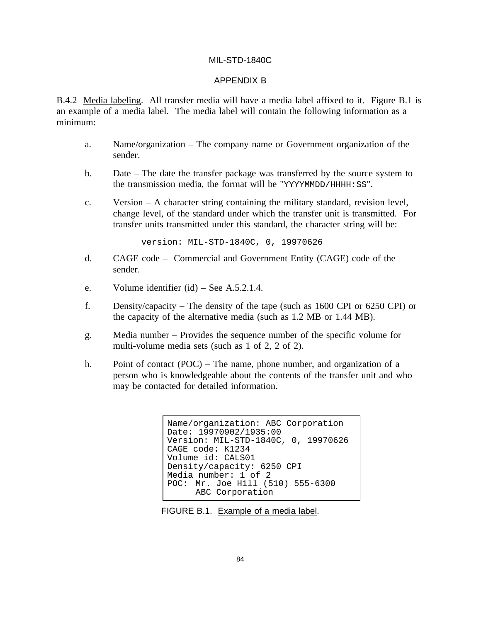#### APPENDIX B

B.4.2 Media labeling. All transfer media will have a media label affixed to it. Figure B.1 is an example of a media label. The media label will contain the following information as a minimum:

- a. Name/organization The company name or Government organization of the sender.
- b. Date The date the transfer package was transferred by the source system to the transmission media, the format will be "YYYYMMDD/HHHH:SS".
- c. Version A character string containing the military standard, revision level, change level, of the standard under which the transfer unit is transmitted. For transfer units transmitted under this standard, the character string will be:

version: MIL-STD-1840C, 0, 19970626

- d. CAGE code Commercial and Government Entity (CAGE) code of the sender.
- e. Volume identifier (id) See A.5.2.1.4.
- f. Density/capacity The density of the tape (such as 1600 CPI or 6250 CPI) or the capacity of the alternative media (such as 1.2 MB or 1.44 MB).
- g. Media number Provides the sequence number of the specific volume for multi-volume media sets (such as 1 of 2, 2 of 2).
- h. Point of contact (POC) The name, phone number, and organization of a person who is knowledgeable about the contents of the transfer unit and who may be contacted for detailed information.

```
Name/organization: ABC Corporation
Date: 19970902/1935:00
Version: MIL-STD-1840C, 0, 19970626
CAGE code: K1234
Volume id: CALS01
Density/capacity: 6250 CPI
Media number: 1 of 2
POC: Mr. Joe Hill (510) 555-6300
     ABC Corporation
```
FIGURE B.1. Example of a media label.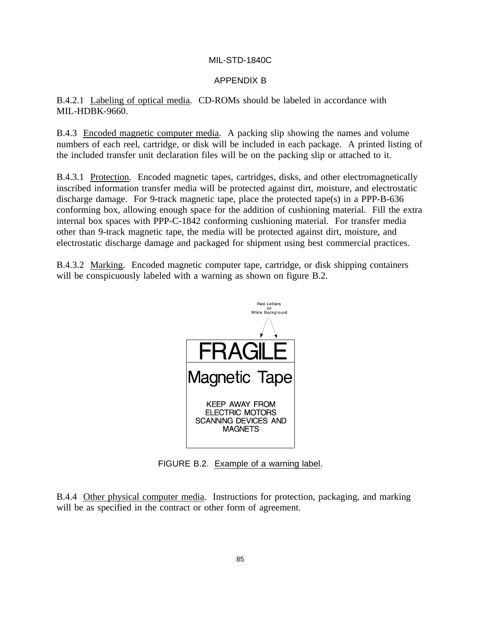## APPENDIX B

B.4.2.1 Labeling of optical media. CD-ROMs should be labeled in accordance with MIL-HDBK-9660.

B.4.3 Encoded magnetic computer media. A packing slip showing the names and volume numbers of each reel, cartridge, or disk will be included in each package. A printed listing of the included transfer unit declaration files will be on the packing slip or attached to it.

B.4.3.1 Protection. Encoded magnetic tapes, cartridges, disks, and other electromagnetically inscribed information transfer media will be protected against dirt, moisture, and electrostatic discharge damage. For 9-track magnetic tape, place the protected tape(s) in a PPP-B-636 conforming box, allowing enough space for the addition of cushioning material. Fill the extra internal box spaces with PPP-C-1842 conforming cushioning material. For transfer media other than 9-track magnetic tape, the media will be protected against dirt, moisture, and electrostatic discharge damage and packaged for shipment using best commercial practices.

B.4.3.2 Marking. Encoded magnetic computer tape, cartridge, or disk shipping containers will be conspicuously labeled with a warning as shown on figure B.2.



FIGURE B.2. Example of a warning label.

B.4.4 Other physical computer media. Instructions for protection, packaging, and marking will be as specified in the contract or other form of agreement.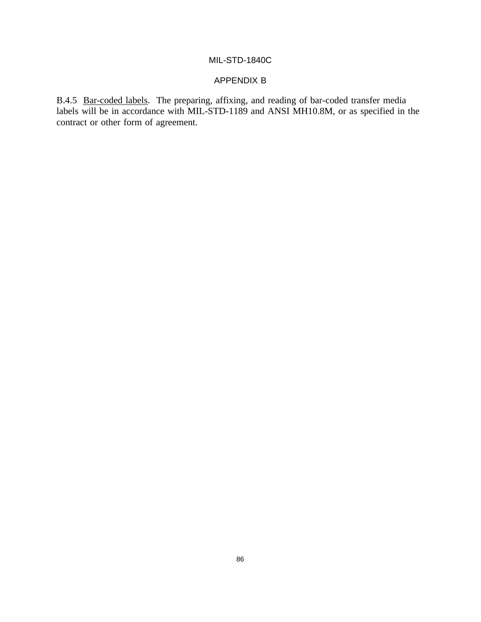# APPENDIX B

B.4.5 Bar-coded labels. The preparing, affixing, and reading of bar-coded transfer media labels will be in accordance with MIL-STD-1189 and ANSI MH10.8M, or as specified in the contract or other form of agreement.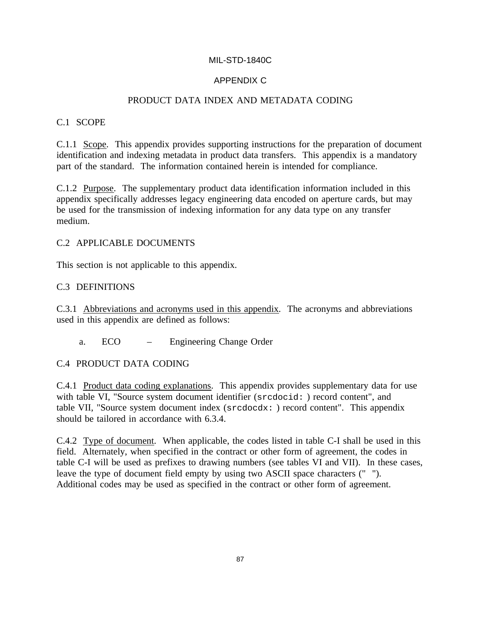# APPENDIX C

# PRODUCT DATA INDEX AND METADATA CODING

## C.1 SCOPE

C.1.1 Scope. This appendix provides supporting instructions for the preparation of document identification and indexing metadata in product data transfers. This appendix is a mandatory part of the standard. The information contained herein is intended for compliance.

C.1.2 Purpose. The supplementary product data identification information included in this appendix specifically addresses legacy engineering data encoded on aperture cards, but may be used for the transmission of indexing information for any data type on any transfer medium.

## C.2 APPLICABLE DOCUMENTS

This section is not applicable to this appendix.

## C.3 DEFINITIONS

C.3.1 Abbreviations and acronyms used in this appendix. The acronyms and abbreviations used in this appendix are defined as follows:

a. ECO – Engineering Change Order

C.4 PRODUCT DATA CODING

C.4.1 Product data coding explanations. This appendix provides supplementary data for use with table VI, "Source system document identifier (srcdocid: ) record content", and table VII, "Source system document index (srcdocdx: ) record content". This appendix should be tailored in accordance with 6.3.4.

C.4.2 Type of document. When applicable, the codes listed in table C-I shall be used in this field. Alternately, when specified in the contract or other form of agreement, the codes in table C-I will be used as prefixes to drawing numbers (see tables VI and VII). In these cases, leave the type of document field empty by using two ASCII space characters (" "). Additional codes may be used as specified in the contract or other form of agreement.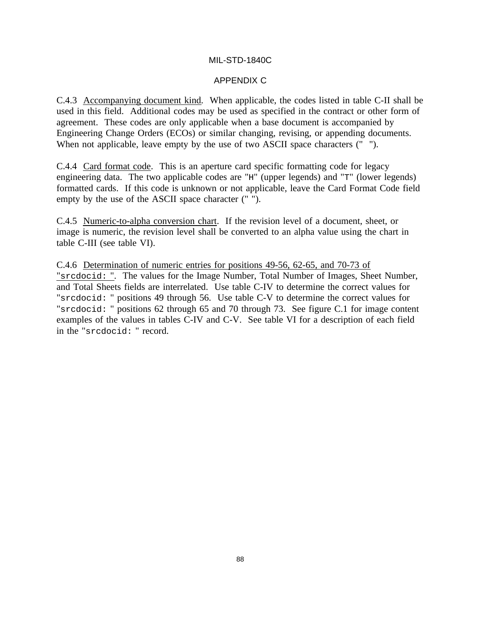## APPENDIX C

C.4.3 Accompanying document kind. When applicable, the codes listed in table C-II shall be used in this field. Additional codes may be used as specified in the contract or other form of agreement. These codes are only applicable when a base document is accompanied by Engineering Change Orders (ECOs) or similar changing, revising, or appending documents. When not applicable, leave empty by the use of two ASCII space characters (" ").

C.4.4 Card format code. This is an aperture card specific formatting code for legacy engineering data. The two applicable codes are "H" (upper legends) and "T" (lower legends) formatted cards. If this code is unknown or not applicable, leave the Card Format Code field empty by the use of the ASCII space character (" ").

C.4.5 Numeric-to-alpha conversion chart. If the revision level of a document, sheet, or image is numeric, the revision level shall be converted to an alpha value using the chart in table C-III (see table VI).

C.4.6 Determination of numeric entries for positions 49-56, 62-65, and 70-73 of "srcdocid: ". The values for the Image Number, Total Number of Images, Sheet Number, and Total Sheets fields are interrelated. Use table C-IV to determine the correct values for "srcdocid: " positions 49 through 56. Use table C-V to determine the correct values for "srcdocid: " positions 62 through 65 and 70 through 73. See figure C.1 for image content examples of the values in tables C-IV and C-V. See table VI for a description of each field in the "srcdocid: " record.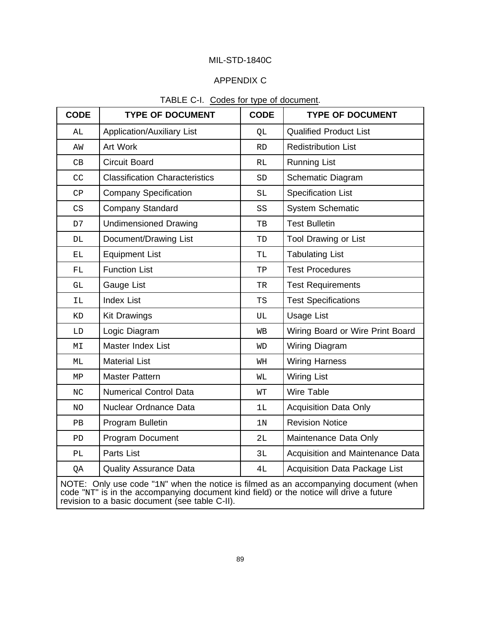### APPENDIX C

| <b>CODE</b>                                                                          | <b>TYPE OF DOCUMENT</b>               | <b>CODE</b>    | <b>TYPE OF DOCUMENT</b>              |  |  |
|--------------------------------------------------------------------------------------|---------------------------------------|----------------|--------------------------------------|--|--|
| AL                                                                                   | <b>Application/Auxiliary List</b>     | QL             | <b>Qualified Product List</b>        |  |  |
| ΑW                                                                                   | Art Work                              | <b>RD</b>      | <b>Redistribution List</b>           |  |  |
| $\mathbb{C}\mathbb{B}$                                                               | <b>Circuit Board</b>                  | <b>RL</b>      | <b>Running List</b>                  |  |  |
| CC                                                                                   | <b>Classification Characteristics</b> | ${\tt SD}$     | Schematic Diagram                    |  |  |
| $\mathsf{CP}$                                                                        | <b>Company Specification</b>          | SL             | <b>Specification List</b>            |  |  |
| $\mathbb{C}\mathbf{S}$                                                               | <b>Company Standard</b>               | SS             | <b>System Schematic</b>              |  |  |
| D7                                                                                   | <b>Undimensioned Drawing</b>          | TB             | <b>Test Bulletin</b>                 |  |  |
| DL                                                                                   | Document/Drawing List                 | TD             | <b>Tool Drawing or List</b>          |  |  |
| ЕL                                                                                   | <b>Equipment List</b>                 | TL             | <b>Tabulating List</b>               |  |  |
| FL                                                                                   | <b>Function List</b>                  | TP             | <b>Test Procedures</b>               |  |  |
| GL                                                                                   | Gauge List                            | TR             | <b>Test Requirements</b>             |  |  |
| ΙL                                                                                   | <b>Index List</b>                     | TS             | <b>Test Specifications</b>           |  |  |
| KD                                                                                   | <b>Kit Drawings</b>                   | UL             | <b>Usage List</b>                    |  |  |
| ${\rm LD}$                                                                           | Logic Diagram                         | WВ             | Wiring Board or Wire Print Board     |  |  |
| $\mathbb{M} \mathbb{I}$                                                              | Master Index List                     | <b>WD</b>      | Wiring Diagram                       |  |  |
| МL                                                                                   | <b>Material List</b>                  | WН             | <b>Wiring Harness</b>                |  |  |
| MP                                                                                   | <b>Master Pattern</b>                 | WГ             | <b>Wiring List</b>                   |  |  |
| $\rm NC$                                                                             | <b>Numerical Control Data</b>         | WT             | <b>Wire Table</b>                    |  |  |
| NO.                                                                                  | Nuclear Ordnance Data                 | 1L             | <b>Acquisition Data Only</b>         |  |  |
| PB                                                                                   | Program Bulletin                      | 1 <sub>N</sub> | <b>Revision Notice</b>               |  |  |
| PD                                                                                   | Program Document                      | 2L             | Maintenance Data Only                |  |  |
| PL                                                                                   | Parts List                            | 3L             | Acquisition and Maintenance Data     |  |  |
| QA                                                                                   | <b>Quality Assurance Data</b>         | 4L             | <b>Acquisition Data Package List</b> |  |  |
| NOTE: Only use code "1N" when the notice is filmed as an accompanying document (when |                                       |                |                                      |  |  |

## TABLE C-I. Codes for type of document.

NOTE: Only use code "1N" when the notice is filmed as an accompanying document (when code "NT" is in the accompanying document kind field) or the notice will drive a future revision to a basic document (see table C-II).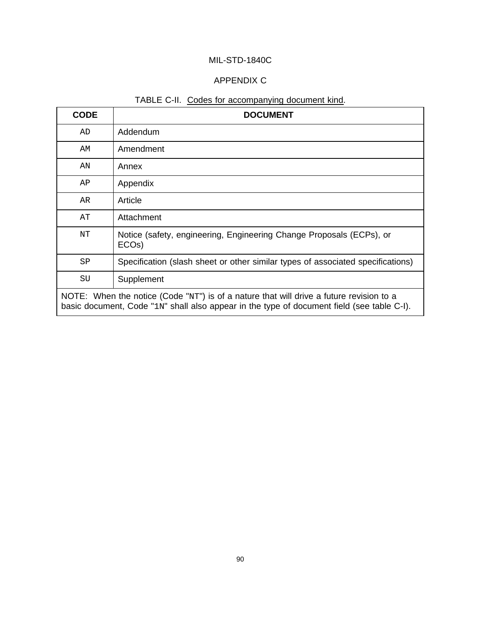# APPENDIX C

# TABLE C-II. Codes for accompanying document kind.

| <b>CODE</b>                                                                                                                                                                               | <b>DOCUMENT</b>                                                                            |  |
|-------------------------------------------------------------------------------------------------------------------------------------------------------------------------------------------|--------------------------------------------------------------------------------------------|--|
| AD                                                                                                                                                                                        | Addendum                                                                                   |  |
| AM                                                                                                                                                                                        | Amendment                                                                                  |  |
| ΑN                                                                                                                                                                                        | Annex                                                                                      |  |
| AP                                                                                                                                                                                        | Appendix                                                                                   |  |
| AR                                                                                                                                                                                        | Article                                                                                    |  |
| AΤ                                                                                                                                                                                        | Attachment                                                                                 |  |
| ΝT                                                                                                                                                                                        | Notice (safety, engineering, Engineering Change Proposals (ECPs), or<br>ECO <sub>s</sub> ) |  |
| SP                                                                                                                                                                                        | Specification (slash sheet or other similar types of associated specifications)            |  |
| SU                                                                                                                                                                                        | Supplement                                                                                 |  |
| NOTE: When the notice (Code " $NT$ ") is of a nature that will drive a future revision to a<br>basic document, Code "1N" shall also appear in the type of document field (see table C-I). |                                                                                            |  |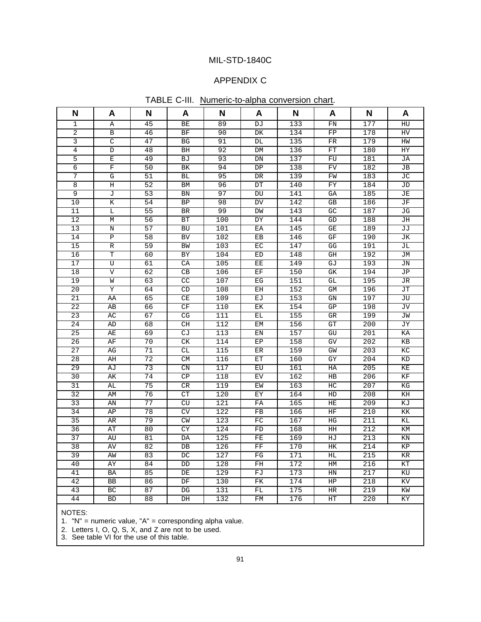## APPENDIX C

|  | TABLE C-III. Numeric-to-alpha conversion chart. |  |  |
|--|-------------------------------------------------|--|--|
|--|-------------------------------------------------|--|--|

| N               | A                       | N               | A                      | N   | A                                                 | N   | A                       | N   | A                               |
|-----------------|-------------------------|-----------------|------------------------|-----|---------------------------------------------------|-----|-------------------------|-----|---------------------------------|
| 1               | Α                       | $\overline{45}$ | BE                     | 89  | DJ                                                | 133 | FN                      | 177 | HU                              |
| $\overline{2}$  | $\, {\bf B}$            | 46              | BF                     | 90  | ${\rm DK}$                                        | 134 | ${\rm FP}$              | 178 | ${\rm HV}$                      |
| $\overline{3}$  | C                       | 47              | <b>BG</b>              | 91  | DL                                                | 135 | ${\rm FR}$              | 179 | HW                              |
| $\overline{4}$  | $\mathbb D$             | 48              | BH                     | 92  | DM                                                | 136 | ${\rm FT}$              | 180 | HY                              |
| $\overline{5}$  | $\mathbf E$             | 49              | BJ                     | 93  | ${\rm DN}$                                        | 137 | ${\rm FU}$              | 181 | JA                              |
| 6               | $\mathbf F$             | 50              | BK                     | 94  | ${\rm DP}$                                        | 138 | <b>FV</b>               | 182 | JB                              |
| 7               | G                       | 51              | BL                     | 95  | $\overline{\rm DR}$                               | 139 | FW                      | 183 | JС                              |
| $\overline{8}$  | $\rm H$                 | 52              | <b>BM</b>              | 96  | DT                                                | 140 | FY                      | 184 | <b>JD</b>                       |
| 9               | J                       | 53              | BN                     | 97  | $\mathop{\rm DU}\nolimits$                        | 141 | GA                      | 185 | JE                              |
| 10              | К                       | 54              | <b>BP</b>              | 98  | DV                                                | 142 | GB                      | 186 | JF                              |
| 11              | $\overline{\mathbb{L}}$ | 55              | BR                     | 99  | DM                                                | 143 | GC                      | 187 | JG                              |
| 12              | М                       | 56              | BT                     | 100 | DY                                                | 144 | GD                      | 188 | JН                              |
| 13              | $\mathbf N$             | 57              | <b>BU</b>              | 101 | EA                                                | 145 | $\mathbb{G}\mathcal{E}$ | 189 | JJ                              |
| 14              | $\overline{P}$          | $\overline{58}$ | <b>BV</b>              | 102 | $\mathop{\mathbb{E}}\nolimits\mathop{\mathbb{B}}$ | 146 | GF                      | 190 | JК                              |
| 15              | $\mathbb R$             | 59              | BW                     | 103 | EC                                                | 147 | GG                      | 191 | JL                              |
| 16              | $\overline{\text{T}}$   | 60              | BY                     | 104 | $\mathop{\rm ED}\nolimits$                        | 148 | GH                      | 192 | JМ                              |
| 17              | $\overline{\mathtt{U}}$ | 61              | CA                     | 105 | EE                                                | 149 | GJ                      | 193 | $\rm JN$                        |
| 18              | $\boldsymbol{\nabla}$   | 62              | CB                     | 106 | $\operatorname{EF}$                               | 150 | GK                      | 194 | JP                              |
| 19              | W                       | 63              | CC                     | 107 | ${\rm EG}$                                        | 151 | GL                      | 195 | JR                              |
| 20              | Υ                       | 64              | CD                     | 108 | EH                                                | 152 | GM                      | 196 | JT                              |
| 21              | ΑA                      | 65              | CE                     | 109 | EJ                                                | 153 | GN                      | 197 | JU                              |
| 22              | AB                      | 66              | CF                     | 110 | $\mathop{\rm E{K}}$                               | 154 | GP                      | 198 | JV                              |
| 23              | AC                      | 67              | CG                     | 111 | EL                                                | 155 | <b>GR</b>               | 199 | JW                              |
| 24              | AD                      | 68              | CH                     | 112 | EM                                                | 156 | GT                      | 200 | JY                              |
| 25              | AE                      | 69              | CJ                     | 113 | EN                                                | 157 | GU                      | 201 | KA                              |
| 26              | AF                      | 70              | CK                     | 114 | EP                                                | 158 | GV                      | 202 | KB                              |
| 27              | AG                      | 71              | CL                     | 115 | $\mathop{\hbox{\rm ER}}$                          | 159 | GW                      | 203 | КC                              |
| 28              | AH                      | 72              | <b>CM</b>              | 116 | ET                                                | 160 | GY                      | 204 | <b>KD</b>                       |
| 29              | AJ                      | 73              | CN                     | 117 | EU                                                | 161 | HA                      | 205 | KE                              |
| 30              | AК                      | 74              | CP                     | 118 | EV                                                | 162 | $_{\rm HB}$             | 206 | $\rm KF$                        |
| 31              | AL                      | 75              | CR                     | 119 | EW                                                | 163 | HC                      | 207 | $\mathop{\mathrm{KG}}\nolimits$ |
| $\overline{32}$ | AM                      | 76              | CT                     | 120 | EY                                                | 164 | HD                      | 208 | KH                              |
| 33              | AN                      | 77              | <b>CU</b>              | 121 | ${\rm FA}$                                        | 165 | $\rm HE$                | 209 | ΚJ                              |
| 34              | AP                      | 78              | CV                     | 122 | ${\rm FB}$                                        | 166 | HF                      | 210 | KK                              |
| 35              | AR                      | 79              | ${\cal C}{\cal W}$     | 123 | ${\rm FC}$                                        | 167 | HG                      | 211 | ΚL                              |
| 36              | AT                      | 80              | CY                     | 124 | FD                                                | 168 | HH                      | 212 | KM                              |
| $\overline{37}$ | AU                      | 81              | DA                     | 125 | ${\rm FE}$                                        | 169 | HJ                      | 213 | KN                              |
| 38              | AV                      | 82              | DB                     | 126 | ${\rm FF}$                                        | 170 | HK                      | 214 | KP                              |
| 39              | AW                      | 83              | DC                     | 127 | FG                                                | 171 | HL                      | 215 | KR                              |
| 40              | ΑY                      | 84              | DD                     | 128 | FH                                                | 172 | HM                      | 216 | $\mathop{\rm KT}\nolimits$      |
| 41              | BA                      | 85              | DE                     | 129 | FJ                                                | 173 | HN                      | 217 | KU                              |
| 42              | BB                      | 86              | DF                     | 130 | ${\rm FK}$                                        | 174 | HP                      | 218 | KV                              |
| 43              | BC                      | 87              | $\mathbb{D}\mathbb{G}$ | 131 | $\mathcal{F}\mathcal{L}$                          | 175 | $\rm{HR}$               | 219 | KW                              |
| 44              | BD                      | 88              | $\overline{DH}$        | 132 | ${\rm FM}$                                        | 176 | HT                      | 220 | KY                              |

NOTES:

1. "N" = numeric value, "A" = corresponding alpha value.

2. Letters I, O, Q, S, X, and Z are not to be used.

3. See table VI for the use of this table.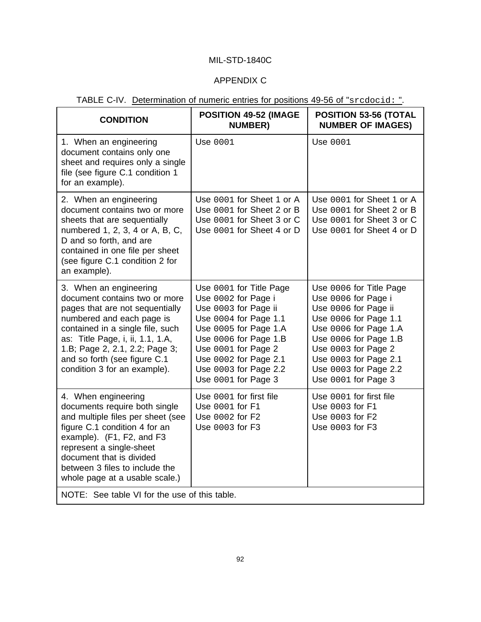# APPENDIX C

|  |  | TABLE C-IV. Determination of numeric entries for positions 49-56 of "srcdocid: ". |  |  |  |
|--|--|-----------------------------------------------------------------------------------|--|--|--|
|--|--|-----------------------------------------------------------------------------------|--|--|--|

| <b>CONDITION</b>                                                                                                                                                                                                                                                                                  | <b>POSITION 49-52 (IMAGE</b><br><b>NUMBER)</b>                                                                                                                                                                                                    | <b>POSITION 53-56 (TOTAL</b><br><b>NUMBER OF IMAGES)</b>                                                                                                                                                                                          |  |  |
|---------------------------------------------------------------------------------------------------------------------------------------------------------------------------------------------------------------------------------------------------------------------------------------------------|---------------------------------------------------------------------------------------------------------------------------------------------------------------------------------------------------------------------------------------------------|---------------------------------------------------------------------------------------------------------------------------------------------------------------------------------------------------------------------------------------------------|--|--|
| 1. When an engineering<br>document contains only one<br>sheet and requires only a single<br>file (see figure C.1 condition 1<br>for an example).                                                                                                                                                  | Use 0001                                                                                                                                                                                                                                          | Use 0001                                                                                                                                                                                                                                          |  |  |
| 2. When an engineering<br>document contains two or more<br>sheets that are sequentially<br>numbered 1, 2, 3, 4 or A, B, C,<br>D and so forth, and are<br>contained in one file per sheet<br>(see figure C.1 condition 2 for<br>an example).                                                       | Use 0001 for Sheet 1 or A<br>Use 0001 for Sheet 2 or B<br>Use 0001 for Sheet 3 or C<br>Use 0001 for Sheet 4 or D                                                                                                                                  | Use 0001 for Sheet 1 or A<br>Use 0001 for Sheet 2 or B<br>Use 0001 for Sheet 3 or C<br>Use 0001 for Sheet 4 or D                                                                                                                                  |  |  |
| 3. When an engineering<br>document contains two or more<br>pages that are not sequentially<br>numbered and each page is<br>contained in a single file, such<br>as: Title Page, i, ii, 1.1, 1.A,<br>1.B; Page 2, 2.1, 2.2; Page 3;<br>and so forth (see figure C.1<br>condition 3 for an example). | Use 0001 for Title Page<br>Use 0002 for Page i<br>Use 0003 for Page ii<br>Use 0004 for Page 1.1<br>Use 0005 for Page 1.A<br>Use 0006 for Page 1.B<br>Use 0001 for Page 2<br>Use 0002 for Page 2.1<br>Use 0003 for Page 2.2<br>Use 0001 for Page 3 | Use 0006 for Title Page<br>Use 0006 for Page i<br>Use 0006 for Page ii<br>Use 0006 for Page 1.1<br>Use 0006 for Page 1.A<br>Use 0006 for Page 1.B<br>Use 0003 for Page 2<br>Use 0003 for Page 2.1<br>Use 0003 for Page 2.2<br>Use 0001 for Page 3 |  |  |
| 4. When engineering<br>documents require both single<br>and multiple files per sheet (see<br>figure C.1 condition 4 for an<br>example). (F1, F2, and F3<br>represent a single-sheet<br>document that is divided<br>between 3 files to include the<br>whole page at a usable scale.)               | Use 0001 for first file<br>Use 0001 for F1<br>Use 0002 for F2<br>Use 0003 for F3                                                                                                                                                                  | Use 0001 for first file<br>Use 0003 for F1<br>Use 0003 for F2<br>Use 0003 for F3                                                                                                                                                                  |  |  |
| NOTE: See table VI for the use of this table.                                                                                                                                                                                                                                                     |                                                                                                                                                                                                                                                   |                                                                                                                                                                                                                                                   |  |  |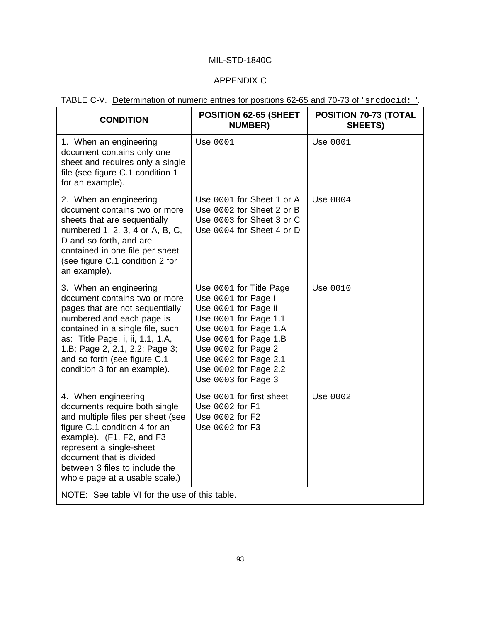# APPENDIX C

| <b>CONDITION</b>                                                                                                                                                                                                                                                                                  | <b>POSITION 62-65 (SHEET</b><br><b>NUMBER)</b>                                                                                                                                                                                                    | <b>POSITION 70-73 (TOTAL</b><br>SHEETS) |  |  |  |
|---------------------------------------------------------------------------------------------------------------------------------------------------------------------------------------------------------------------------------------------------------------------------------------------------|---------------------------------------------------------------------------------------------------------------------------------------------------------------------------------------------------------------------------------------------------|-----------------------------------------|--|--|--|
| 1. When an engineering<br>document contains only one<br>sheet and requires only a single<br>file (see figure C.1 condition 1<br>for an example).                                                                                                                                                  | Use 0001                                                                                                                                                                                                                                          | Use 0001                                |  |  |  |
| 2. When an engineering<br>document contains two or more<br>sheets that are sequentially<br>numbered 1, 2, 3, 4 or A, B, C,<br>D and so forth, and are<br>contained in one file per sheet<br>(see figure C.1 condition 2 for<br>an example).                                                       | Use 0001 for Sheet 1 or A<br>Use 0002 for Sheet 2 or B<br>Use 0003 for Sheet 3 or C<br>Use 0004 for Sheet 4 or D                                                                                                                                  | Use 0004                                |  |  |  |
| 3. When an engineering<br>document contains two or more<br>pages that are not sequentially<br>numbered and each page is<br>contained in a single file, such<br>as: Title Page, i, ii, 1.1, 1.A,<br>1.B; Page 2, 2.1, 2.2; Page 3;<br>and so forth (see figure C.1<br>condition 3 for an example). | Use 0001 for Title Page<br>Use 0001 for Page i<br>Use 0001 for Page ii<br>Use 0001 for Page 1.1<br>Use 0001 for Page 1.A<br>Use 0001 for Page 1.B<br>Use 0002 for Page 2<br>Use 0002 for Page 2.1<br>Use 0002 for Page 2.2<br>Use 0003 for Page 3 | Use 0010                                |  |  |  |
| 4. When engineering<br>documents require both single<br>and multiple files per sheet (see<br>figure C.1 condition 4 for an<br>example). (F1, F2, and F3<br>represent a single-sheet<br>document that is divided<br>between 3 files to include the<br>whole page at a usable scale.)               | Use 0001 for first sheet<br>Use 0002 for F1<br>Use 0002 for F2<br>Use 0002 for F3                                                                                                                                                                 | Use 0002                                |  |  |  |
| NOTE: See table VI for the use of this table.                                                                                                                                                                                                                                                     |                                                                                                                                                                                                                                                   |                                         |  |  |  |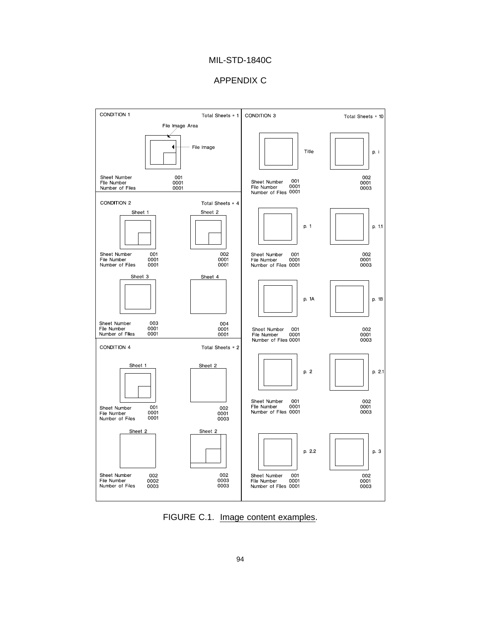#### APPENDIX C



FIGURE C.1. Image content examples.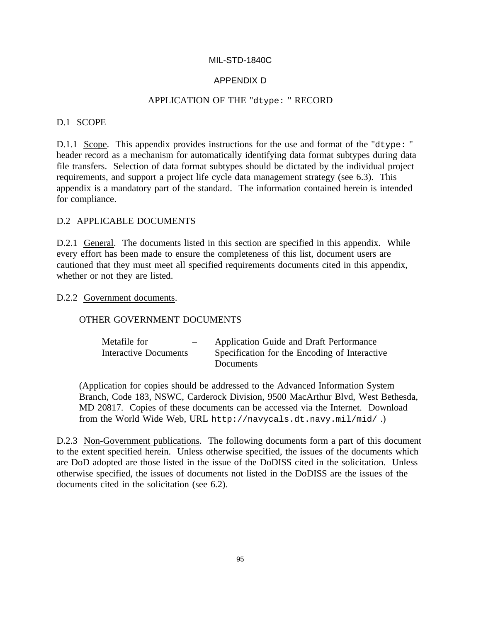# APPENDIX D

#### APPLICATION OF THE "dtype: " RECORD

# D.1 SCOPE

D.1.1 Scope. This appendix provides instructions for the use and format of the "dtype: " header record as a mechanism for automatically identifying data format subtypes during data file transfers. Selection of data format subtypes should be dictated by the individual project requirements, and support a project life cycle data management strategy (see 6.3). This appendix is a mandatory part of the standard. The information contained herein is intended for compliance.

## D.2 APPLICABLE DOCUMENTS

D.2.1 General. The documents listed in this section are specified in this appendix. While every effort has been made to ensure the completeness of this list, document users are cautioned that they must meet all specified requirements documents cited in this appendix, whether or not they are listed.

#### D.2.2 Government documents.

#### OTHER GOVERNMENT DOCUMENTS

| Metafile for<br>$-$   | Application Guide and Draft Performance       |
|-----------------------|-----------------------------------------------|
| Interactive Documents | Specification for the Encoding of Interactive |
|                       | <b>Documents</b>                              |

(Application for copies should be addressed to the Advanced Information System Branch, Code 183, NSWC, Carderock Division, 9500 MacArthur Blvd, West Bethesda, MD 20817. Copies of these documents can be accessed via the Internet. Download from the World Wide Web, URL http://navycals.dt.navy.mil/mid/ .)

D.2.3 Non-Government publications. The following documents form a part of this document to the extent specified herein. Unless otherwise specified, the issues of the documents which are DoD adopted are those listed in the issue of the DoDISS cited in the solicitation. Unless otherwise specified, the issues of documents not listed in the DoDISS are the issues of the documents cited in the solicitation (see 6.2).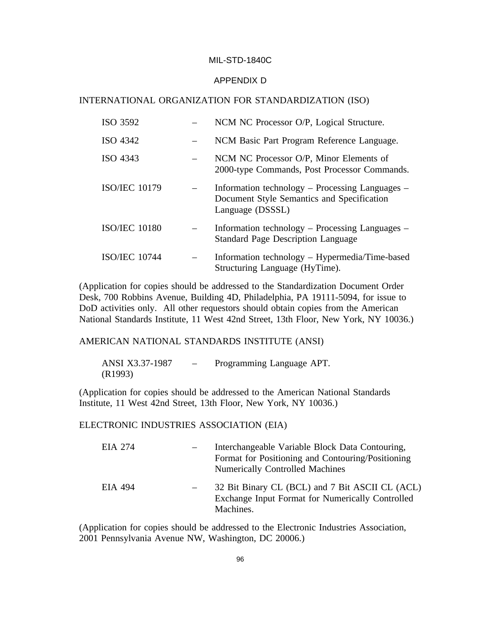#### APPENDIX D

#### INTERNATIONAL ORGANIZATION FOR STANDARDIZATION (ISO)

| ISO 3592             | NCM NC Processor O/P, Logical Structure.                                                                          |
|----------------------|-------------------------------------------------------------------------------------------------------------------|
| ISO 4342             | NCM Basic Part Program Reference Language.                                                                        |
| ISO 4343             | NCM NC Processor O/P, Minor Elements of<br>2000-type Commands, Post Processor Commands.                           |
| <b>ISO/IEC 10179</b> | Information technology – Processing Languages –<br>Document Style Semantics and Specification<br>Language (DSSSL) |
| <b>ISO/IEC 10180</b> | Information technology – Processing Languages –<br><b>Standard Page Description Language</b>                      |
| <b>ISO/IEC 10744</b> | Information technology – Hypermedia/Time-based<br>Structuring Language (HyTime).                                  |

(Application for copies should be addressed to the Standardization Document Order Desk, 700 Robbins Avenue, Building 4D, Philadelphia, PA 19111-5094, for issue to DoD activities only. All other requestors should obtain copies from the American National Standards Institute, 11 West 42nd Street, 13th Floor, New York, NY 10036.)

AMERICAN NATIONAL STANDARDS INSTITUTE (ANSI)

ANSI X3.37-1987 – Programming Language APT. (R1993)

(Application for copies should be addressed to the American National Standards Institute, 11 West 42nd Street, 13th Floor, New York, NY 10036.)

#### ELECTRONIC INDUSTRIES ASSOCIATION (EIA)

| EIA 274 | Interchangeable Variable Block Data Contouring,<br>Format for Positioning and Contouring/Positioning<br><b>Numerically Controlled Machines</b> |
|---------|------------------------------------------------------------------------------------------------------------------------------------------------|
| EIA 494 | 32 Bit Binary CL (BCL) and 7 Bit ASCII CL (ACL)<br>Exchange Input Format for Numerically Controlled<br>Machines.                               |

(Application for copies should be addressed to the Electronic Industries Association, 2001 Pennsylvania Avenue NW, Washington, DC 20006.)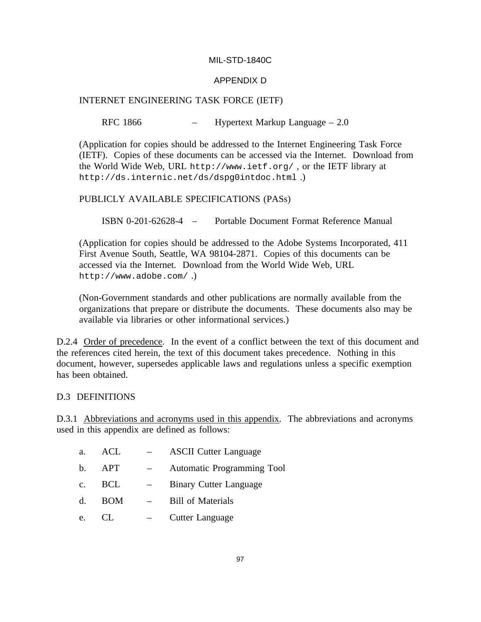# APPENDIX D

# INTERNET ENGINEERING TASK FORCE (IETF)

## RFC 1866 – Hypertext Markup Language – 2.0

(Application for copies should be addressed to the Internet Engineering Task Force (IETF). Copies of these documents can be accessed via the Internet. Download from the World Wide Web, URL http://www.ietf.org/ , or the IETF library at http://ds.internic.net/ds/dspg0intdoc.html .)

### PUBLICLY AVAILABLE SPECIFICATIONS (PASs)

ISBN 0-201-62628-4 – Portable Document Format Reference Manual

(Application for copies should be addressed to the Adobe Systems Incorporated, 411 First Avenue South, Seattle, WA 98104-2871. Copies of this documents can be accessed via the Internet. Download from the World Wide Web, URL http://www.adobe.com/ .)

(Non-Government standards and other publications are normally available from the organizations that prepare or distribute the documents. These documents also may be available via libraries or other informational services.)

D.2.4 Order of precedence. In the event of a conflict between the text of this document and the references cited herein, the text of this document takes precedence. Nothing in this document, however, supersedes applicable laws and regulations unless a specific exemption has been obtained.

#### D.3 DEFINITIONS

D.3.1 Abbreviations and acronyms used in this appendix. The abbreviations and acronyms used in this appendix are defined as follows:

| Automatic Programming Tool<br>APT<br><b>Binary Cutter Language</b><br>BCL<br><b>Bill of Materials</b><br><b>BOM</b><br>Cutter Language | a.             | ACL | <b>ASCII Cutter Language</b> |
|----------------------------------------------------------------------------------------------------------------------------------------|----------------|-----|------------------------------|
|                                                                                                                                        | $\mathbf{b}$ . |     |                              |
|                                                                                                                                        | $\mathbf{c}$ . |     |                              |
|                                                                                                                                        | $d_{\cdot}$    |     |                              |
|                                                                                                                                        | e.             |     |                              |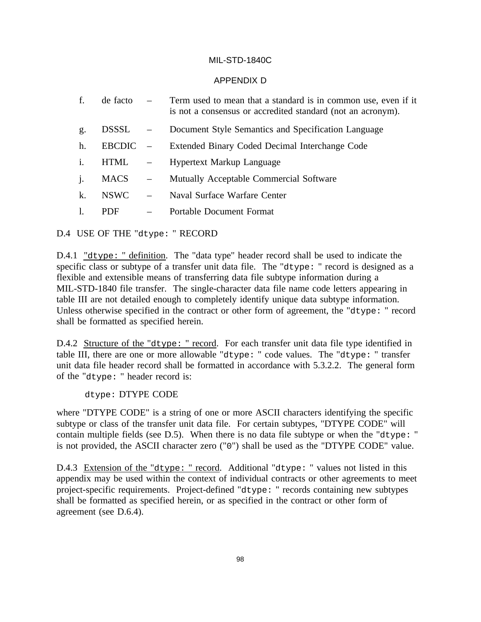### APPENDIX D

- f. de facto Term used to mean that a standard is in common use, even if it is not a consensus or accredited standard (not an acronym).
- g. DSSSL Document Style Semantics and Specification Language
- h. EBCDIC Extended Binary Coded Decimal Interchange Code
- i. HTML Hypertext Markup Language
- j. MACS Mutually Acceptable Commercial Software
- k. NSWC Naval Surface Warfare Center
- l. PDF Portable Document Format

D.4 USE OF THE "dtype: " RECORD

D.4.1 "dtype: " definition. The "data type" header record shall be used to indicate the specific class or subtype of a transfer unit data file. The "dtype: " record is designed as a flexible and extensible means of transferring data file subtype information during a MIL-STD-1840 file transfer. The single-character data file name code letters appearing in table III are not detailed enough to completely identify unique data subtype information. Unless otherwise specified in the contract or other form of agreement, the "dtype: " record shall be formatted as specified herein.

D.4.2 Structure of the "dtype: " record. For each transfer unit data file type identified in table III, there are one or more allowable "dtype: " code values. The "dtype: " transfer unit data file header record shall be formatted in accordance with 5.3.2.2. The general form of the "dtype: " header record is:

dtype: DTYPE CODE

where "DTYPE CODE" is a string of one or more ASCII characters identifying the specific subtype or class of the transfer unit data file. For certain subtypes, "DTYPE CODE" will contain multiple fields (see D.5). When there is no data file subtype or when the "dtype: " is not provided, the ASCII character zero ("0") shall be used as the "DTYPE CODE" value.

D.4.3 Extension of the "dtype: " record. Additional "dtype: " values not listed in this appendix may be used within the context of individual contracts or other agreements to meet project-specific requirements. Project-defined "dtype: " records containing new subtypes shall be formatted as specified herein, or as specified in the contract or other form of agreement (see D.6.4).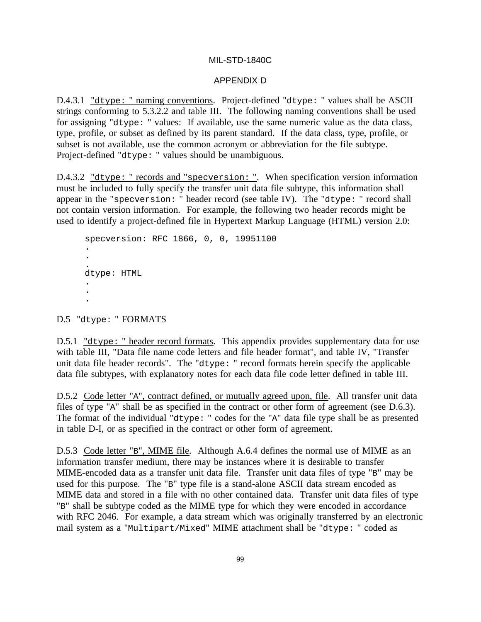#### APPENDIX D

D.4.3.1 "dtype: " naming conventions. Project-defined "dtype: " values shall be ASCII strings conforming to 5.3.2.2 and table III. The following naming conventions shall be used for assigning "dtype: " values: If available, use the same numeric value as the data class, type, profile, or subset as defined by its parent standard. If the data class, type, profile, or subset is not available, use the common acronym or abbreviation for the file subtype. Project-defined "dtype: " values should be unambiguous.

D.4.3.2 "dtype: " records and "specversion: ". When specification version information must be included to fully specify the transfer unit data file subtype, this information shall appear in the "specversion: " header record (see table IV). The "dtype: " record shall not contain version information. For example, the following two header records might be used to identify a project-defined file in Hypertext Markup Language (HTML) version 2.0:

```
specversion: RFC 1866, 0, 0, 19951100
.
.
.
dtype: HTML
.
.
.
```
D.5 "dtype: " FORMATS

D.5.1 "dtype: " header record formats. This appendix provides supplementary data for use with table III, "Data file name code letters and file header format", and table IV, "Transfer unit data file header records". The "dtype: " record formats herein specify the applicable data file subtypes, with explanatory notes for each data file code letter defined in table III.

D.5.2 Code letter "A", contract defined, or mutually agreed upon, file. All transfer unit data files of type "A" shall be as specified in the contract or other form of agreement (see D.6.3). The format of the individual "dtype: " codes for the "A" data file type shall be as presented in table D-I, or as specified in the contract or other form of agreement.

D.5.3 Code letter "B", MIME file. Although A.6.4 defines the normal use of MIME as an information transfer medium, there may be instances where it is desirable to transfer MIME-encoded data as a transfer unit data file. Transfer unit data files of type "B" may be used for this purpose. The "B" type file is a stand-alone ASCII data stream encoded as MIME data and stored in a file with no other contained data. Transfer unit data files of type "B" shall be subtype coded as the MIME type for which they were encoded in accordance with RFC 2046. For example, a data stream which was originally transferred by an electronic mail system as a "Multipart/Mixed" MIME attachment shall be "dtype: " coded as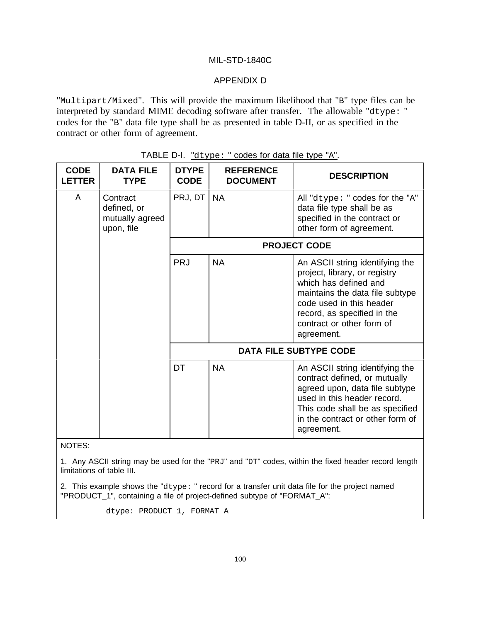# APPENDIX D

"Multipart/Mixed". This will provide the maximum likelihood that "B" type files can be interpreted by standard MIME decoding software after transfer. The allowable "dtype: " codes for the "B" data file type shall be as presented in table D-II, or as specified in the contract or other form of agreement.

| <b>CODE</b><br>ETTER.                                                    | <b>DATA FILE</b><br><b>TYPE</b> | <b>DTYPE</b><br><b>CODE</b> | <b>REFERENCE</b><br><b>DOCUMENT</b>                                                                                                                                                                                                | <b>DESCRIPTION</b>                                                                                                                                                                                                     |
|--------------------------------------------------------------------------|---------------------------------|-----------------------------|------------------------------------------------------------------------------------------------------------------------------------------------------------------------------------------------------------------------------------|------------------------------------------------------------------------------------------------------------------------------------------------------------------------------------------------------------------------|
| Contract<br>$\mathbb{A}$<br>defined, or<br>mutually agreed<br>upon, file | PRJ, DT                         | <b>NA</b>                   | All "dtype: " codes for the "A"<br>data file type shall be as<br>specified in the contract or<br>other form of agreement.                                                                                                          |                                                                                                                                                                                                                        |
|                                                                          |                                 |                             |                                                                                                                                                                                                                                    | <b>PROJECT CODE</b>                                                                                                                                                                                                    |
|                                                                          | PRJ                             | <b>NA</b>                   | An ASCII string identifying the<br>project, library, or registry<br>which has defined and<br>maintains the data file subtype<br>code used in this header<br>record, as specified in the<br>contract or other form of<br>agreement. |                                                                                                                                                                                                                        |
|                                                                          |                                 |                             |                                                                                                                                                                                                                                    | <b>DATA FILE SUBTYPE CODE</b>                                                                                                                                                                                          |
|                                                                          |                                 | DT                          | <b>NA</b>                                                                                                                                                                                                                          | An ASCII string identifying the<br>contract defined, or mutually<br>agreed upon, data file subtype<br>used in this header record.<br>This code shall be as specified<br>in the contract or other form of<br>agreement. |

|  | TABLE D-I. "dtype: " codes for data file type "A". |  |
|--|----------------------------------------------------|--|
|  |                                                    |  |

NOTES:

1. Any ASCII string may be used for the "PRJ" and "DT" codes, within the fixed header record length limitations of table III.

2. This example shows the "dtype: " record for a transfer unit data file for the project named "PRODUCT\_1", containing a file of project-defined subtype of "FORMAT\_A":

dtype: PRODUCT\_1, FORMAT\_A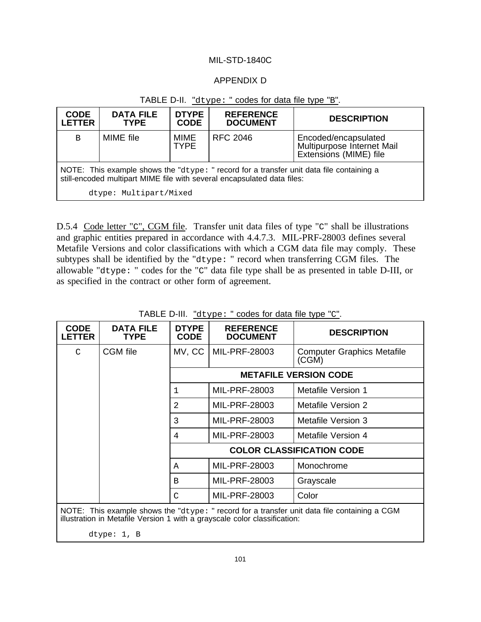## APPENDIX D

| <b>CODE</b><br><b>LETTER</b>                                                                                                                                        | <b>DATA FILE</b><br><b>TYPE</b> | <b>DTYPE</b><br><b>CODE</b> | <b>REFERENCE</b><br><b>DOCUMENT</b> | <b>DESCRIPTION</b>                                                           |  |
|---------------------------------------------------------------------------------------------------------------------------------------------------------------------|---------------------------------|-----------------------------|-------------------------------------|------------------------------------------------------------------------------|--|
| B                                                                                                                                                                   | MIME file                       | MIME<br><b>TYPE</b>         | RFC 2046                            | Encoded/encapsulated<br>Multipurpose Internet Mail<br>Extensions (MIME) file |  |
| NOTE: This example shows the "dtype: " record for a transfer unit data file containing a<br>still-encoded multipart MIME file with several encapsulated data files: |                                 |                             |                                     |                                                                              |  |
| dtype: Multipart/Mixed                                                                                                                                              |                                 |                             |                                     |                                                                              |  |

# TABLE D-II. "dtype: " codes for data file type "B".

D.5.4 Code letter "C", CGM file. Transfer unit data files of type "C" shall be illustrations and graphic entities prepared in accordance with 4.4.7.3. MIL-PRF-28003 defines several Metafile Versions and color classifications with which a CGM data file may comply. These subtypes shall be identified by the "dtype: " record when transferring CGM files. The allowable "dtype: " codes for the "C" data file type shall be as presented in table D-III, or as specified in the contract or other form of agreement.

| <b>CODE</b><br><b>LETTER</b> | <b>DATA FILE</b><br><b>TYPE</b> | <b>DTYPE</b><br><b>CODE</b> | <b>REFERENCE</b><br><b>DOCUMENT</b> | <b>DESCRIPTION</b>                                                                           |
|------------------------------|---------------------------------|-----------------------------|-------------------------------------|----------------------------------------------------------------------------------------------|
| $\mathcal{C}$                | <b>CGM</b> file                 | MV, CC                      | MIL-PRF-28003                       | <b>Computer Graphics Metafile</b><br>(CGM)                                                   |
|                              |                                 |                             |                                     | <b>METAFILE VERSION CODE</b>                                                                 |
|                              |                                 | $\mathbf 1$                 | MIL-PRF-28003                       | <b>Metafile Version 1</b>                                                                    |
|                              |                                 | 2                           | MIL-PRF-28003                       | Metafile Version 2                                                                           |
|                              |                                 | 3                           | MIL-PRF-28003                       | Metafile Version 3                                                                           |
|                              |                                 | 4                           | MIL-PRF-28003                       | Metafile Version 4                                                                           |
|                              |                                 |                             |                                     | <b>COLOR CLASSIFICATION CODE</b>                                                             |
|                              |                                 | Α                           | MIL-PRF-28003                       | Monochrome                                                                                   |
|                              |                                 | B                           | MIL-PRF-28003                       | Grayscale                                                                                    |
|                              |                                 | C                           | MIL-PRF-28003                       | Color                                                                                        |
|                              |                                 |                             |                                     | NOTE: This example shows the "dtype: " record for a transfer unit data file containing a CGM |

TABLE D-III. "dtype: " codes for data file type "C".

illustration in Metafile Version 1 with a grayscale color classification:

dtype: 1, B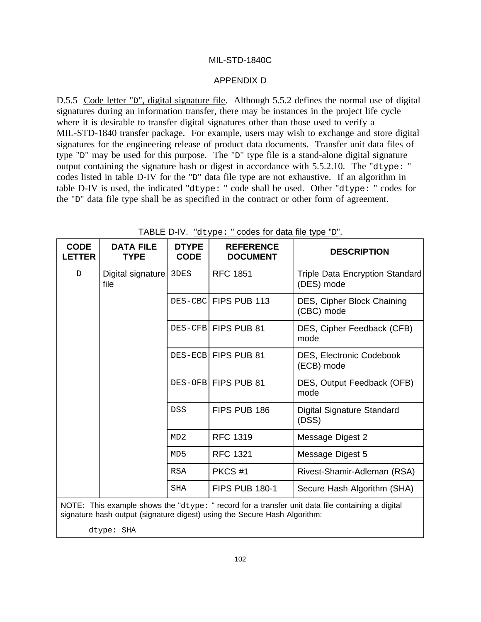#### APPENDIX D

D.5.5 Code letter "D", digital signature file. Although 5.5.2 defines the normal use of digital signatures during an information transfer, there may be instances in the project life cycle where it is desirable to transfer digital signatures other than those used to verify a MIL-STD-1840 transfer package. For example, users may wish to exchange and store digital signatures for the engineering release of product data documents. Transfer unit data files of type "D" may be used for this purpose. The "D" type file is a stand-alone digital signature output containing the signature hash or digest in accordance with 5.5.2.10. The "dtype: " codes listed in table D-IV for the "D" data file type are not exhaustive. If an algorithm in table D-IV is used, the indicated "dtype: " code shall be used. Other "dtype: " codes for the "D" data file type shall be as specified in the contract or other form of agreement.

| <b>CODE</b><br><b>ETTER</b> | <b>DATA FILE</b><br><b>TYPE</b>                                                                                                                                                                 | <b>DTYPE</b><br><b>CODE</b> | <b>REFERENCE</b><br><b>DOCUMENT</b> | <b>DESCRIPTION</b>                            |  |  |  |  |  |                     |                                        |  |  |  |  |  |            |                    |                             |
|-----------------------------|-------------------------------------------------------------------------------------------------------------------------------------------------------------------------------------------------|-----------------------------|-------------------------------------|-----------------------------------------------|--|--|--|--|--|---------------------|----------------------------------------|--|--|--|--|--|------------|--------------------|-----------------------------|
| $\mathbb D$                 | Digital signature 3DES<br>file                                                                                                                                                                  |                             | <b>RFC 1851</b>                     | Triple Data Encryption Standard<br>(DES) mode |  |  |  |  |  |                     |                                        |  |  |  |  |  |            |                    |                             |
|                             |                                                                                                                                                                                                 |                             | DES-CBC FIPS PUB 113                | DES, Cipher Block Chaining<br>(CBC) mode      |  |  |  |  |  |                     |                                        |  |  |  |  |  |            |                    |                             |
|                             |                                                                                                                                                                                                 |                             | DES-CFB FIPS PUB 81                 | DES, Cipher Feedback (CFB)<br>mode            |  |  |  |  |  |                     |                                        |  |  |  |  |  |            |                    |                             |
|                             |                                                                                                                                                                                                 |                             |                                     |                                               |  |  |  |  |  | DES-ECB FIPS PUB 81 | DES, Electronic Codebook<br>(ECB) mode |  |  |  |  |  |            |                    |                             |
|                             |                                                                                                                                                                                                 |                             | DES-OFB FIPS PUB 81                 | DES, Output Feedback (OFB)<br>mode            |  |  |  |  |  |                     |                                        |  |  |  |  |  |            |                    |                             |
|                             |                                                                                                                                                                                                 | <b>DSS</b>                  | FIPS PUB 186                        | Digital Signature Standard<br>(DSS)           |  |  |  |  |  |                     |                                        |  |  |  |  |  |            |                    |                             |
|                             |                                                                                                                                                                                                 | MD2                         | <b>RFC 1319</b>                     | Message Digest 2                              |  |  |  |  |  |                     |                                        |  |  |  |  |  |            |                    |                             |
|                             |                                                                                                                                                                                                 | MD <sub>5</sub>             | <b>RFC 1321</b>                     | Message Digest 5                              |  |  |  |  |  |                     |                                        |  |  |  |  |  |            |                    |                             |
|                             |                                                                                                                                                                                                 |                             |                                     |                                               |  |  |  |  |  |                     |                                        |  |  |  |  |  | <b>RSA</b> | PKCS <sub>#1</sub> | Rivest-Shamir-Adleman (RSA) |
|                             |                                                                                                                                                                                                 | <b>SHA</b>                  | <b>FIPS PUB 180-1</b>               | Secure Hash Algorithm (SHA)                   |  |  |  |  |  |                     |                                        |  |  |  |  |  |            |                    |                             |
|                             | NOTE: This example shows the " $d$ type: " record for a transfer unit data file containing a digital<br>signature hash output (signature digest) using the Secure Hash Algorithm:<br>dtype: SHA |                             |                                     |                                               |  |  |  |  |  |                     |                                        |  |  |  |  |  |            |                    |                             |

TABLE D-IV. "dtype: " codes for data file type "D".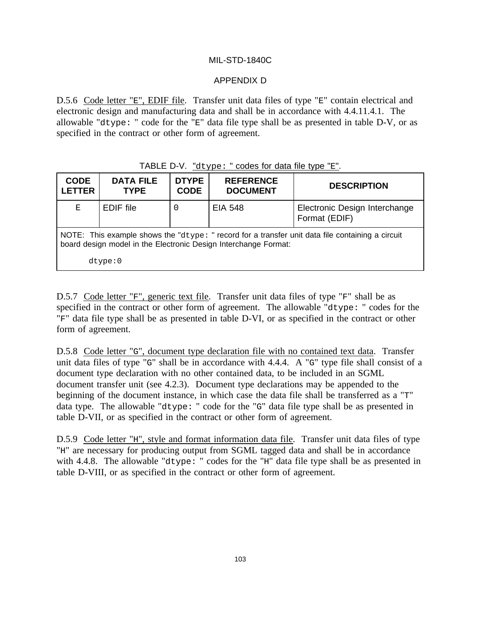# APPENDIX D

D.5.6 Code letter "E", EDIF file. Transfer unit data files of type "E" contain electrical and electronic design and manufacturing data and shall be in accordance with 4.4.11.4.1. The allowable "dtype: " code for the "E" data file type shall be as presented in table D-V, or as specified in the contract or other form of agreement.

# TABLE D-V. "dtype: " codes for data file type "E".

| <b>CODE</b><br><b>LETTER</b>                                                                                                                                            | <b>DATA FILE</b><br><b>TYPE</b> | <b>DTYPE</b><br><b>CODE</b> | <b>REFERENCE</b><br><b>DOCUMENT</b> | <b>DESCRIPTION</b>                             |  |
|-------------------------------------------------------------------------------------------------------------------------------------------------------------------------|---------------------------------|-----------------------------|-------------------------------------|------------------------------------------------|--|
| Е                                                                                                                                                                       | EDIF file                       |                             | <b>EIA 548</b>                      | Electronic Design Interchange<br>Format (EDIF) |  |
| NOTE: This example shows the " $d$ type: " record for a transfer unit data file containing a circuit<br>board design model in the Electronic Design Interchange Format: |                                 |                             |                                     |                                                |  |
|                                                                                                                                                                         | $dt$ ype: $0$                   |                             |                                     |                                                |  |

D.5.7 Code letter "F", generic text file. Transfer unit data files of type "F" shall be as specified in the contract or other form of agreement. The allowable "dtype: " codes for the "F" data file type shall be as presented in table D-VI, or as specified in the contract or other form of agreement.

D.5.8 Code letter "G", document type declaration file with no contained text data. Transfer unit data files of type "G" shall be in accordance with 4.4.4. A "G" type file shall consist of a document type declaration with no other contained data, to be included in an SGML document transfer unit (see 4.2.3). Document type declarations may be appended to the beginning of the document instance, in which case the data file shall be transferred as a "T" data type. The allowable "dtype: " code for the "G" data file type shall be as presented in table D-VII, or as specified in the contract or other form of agreement.

D.5.9 Code letter "H", style and format information data file. Transfer unit data files of type "H" are necessary for producing output from SGML tagged data and shall be in accordance with 4.4.8. The allowable "dtype: " codes for the "H" data file type shall be as presented in table D-VIII, or as specified in the contract or other form of agreement.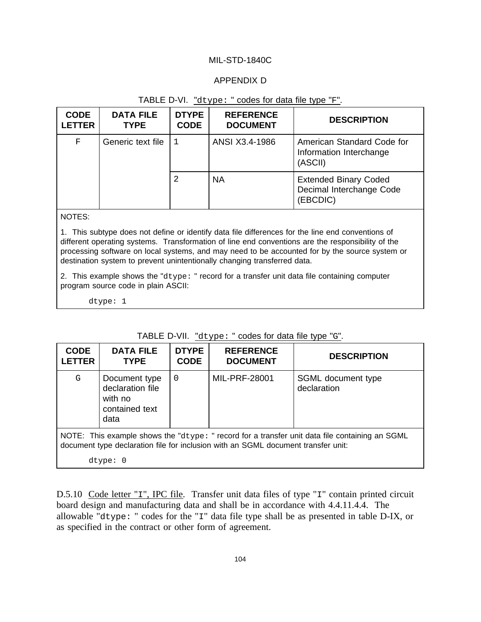## APPENDIX D

### TABLE D-VI. "dtype: " codes for data file type "F".

| <b>CODE</b><br><b>LETTER</b> | <b>DATA FILE</b><br><b>TYPE</b> | <b>DTYPE</b><br><b>CODE</b> | <b>REFERENCE</b><br><b>DOCUMENT</b> | <b>DESCRIPTION</b>                                                   |
|------------------------------|---------------------------------|-----------------------------|-------------------------------------|----------------------------------------------------------------------|
| $\mathbf F$                  | Generic text file               |                             | ANSI X3.4-1986                      | American Standard Code for<br>Information Interchange<br>(ASCII)     |
|                              |                                 | 2                           | <b>NA</b>                           | <b>Extended Binary Coded</b><br>Decimal Interchange Code<br>(EBCDIC) |

NOTES:

1. This subtype does not define or identify data file differences for the line end conventions of different operating systems. Transformation of line end conventions are the responsibility of the processing software on local systems, and may need to be accounted for by the source system or destination system to prevent unintentionally changing transferred data.

2. This example shows the "dtype: " record for a transfer unit data file containing computer program source code in plain ASCII:

dtype: 1

| <b>CODE</b><br><b>LETTER</b> | <b>DATA FILE</b><br><b>TYPE</b>                                        | <b>DTYPE</b><br><b>CODE</b> | <b>REFERENCE</b><br><b>DOCUMENT</b>                                               | <b>DESCRIPTION</b>                                                                             |  |  |
|------------------------------|------------------------------------------------------------------------|-----------------------------|-----------------------------------------------------------------------------------|------------------------------------------------------------------------------------------------|--|--|
| G                            | Document type<br>declaration file<br>with no<br>contained text<br>data | $\Omega$                    | MIL-PRF-28001                                                                     | SGML document type<br>declaration                                                              |  |  |
|                              | dtype: 0                                                               |                             | document type declaration file for inclusion with an SGML document transfer unit: | NOTE: This example shows the "dtype: " record for a transfer unit data file containing an SGML |  |  |

TABLE D-VII. "dtype: " codes for data file type "G".

D.5.10 Code letter "I", IPC file. Transfer unit data files of type "I" contain printed circuit board design and manufacturing data and shall be in accordance with 4.4.11.4.4. The allowable "dtype: " codes for the "I" data file type shall be as presented in table D-IX, or as specified in the contract or other form of agreement.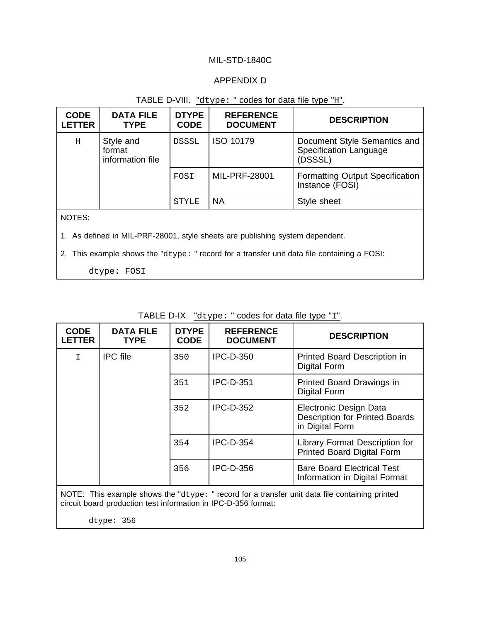### APPENDIX D

## TABLE D-VIII. "dtype: " codes for data file type "H".

| <b>CODE</b><br><b>LETTER</b> | <b>DATA FILE</b><br><b>TYPE</b>                                                             | <b>DTYPE</b><br><b>CODE</b> | <b>REFERENCE</b><br><b>DOCUMENT</b> | <b>DESCRIPTION</b>                                                |  |  |
|------------------------------|---------------------------------------------------------------------------------------------|-----------------------------|-------------------------------------|-------------------------------------------------------------------|--|--|
| H                            | Style and<br>format<br>information file                                                     | DSSSL                       | <b>ISO 10179</b>                    | Document Style Semantics and<br>Specification Language<br>(DSSSL) |  |  |
|                              |                                                                                             | FOSI                        | <b>MIL-PRF-28001</b>                | <b>Formatting Output Specification</b><br>Instance (FOSI)         |  |  |
|                              |                                                                                             | <b>STYLE</b>                | <b>NA</b>                           | Style sheet                                                       |  |  |
| NOTES:                       |                                                                                             |                             |                                     |                                                                   |  |  |
|                              | 1. As defined in MIL-PRF-28001, style sheets are publishing system dependent.               |                             |                                     |                                                                   |  |  |
|                              | 2. This example shows the "dtype: " record for a transfer unit data file containing a FOSI: |                             |                                     |                                                                   |  |  |
|                              | dtype: FOSI                                                                                 |                             |                                     |                                                                   |  |  |

**CODE LETTER DATA FILE TYPE DTYPE CODE REFERENCE DESCRIPTION** I | IPC file | 350 | IPC-D-350 | Printed Board Description in Digital Form 351 IPC-D-351 Printed Board Drawings in Digital Form 352 IPC-D-352 Electronic Design Data Description for Printed Boards in Digital Form 354 IPC-D-354 Library Format Description for Printed Board Digital Form

#### TABLE D-IX. "dtype: " codes for data file type "I".

NOTE: This example shows the "dtype: " record for a transfer unit data file containing printed circuit board production test information in IPC-D-356 format:

356 IPC-D-356 Bare Board Electrical Test

Information in Digital Format

dtype: 356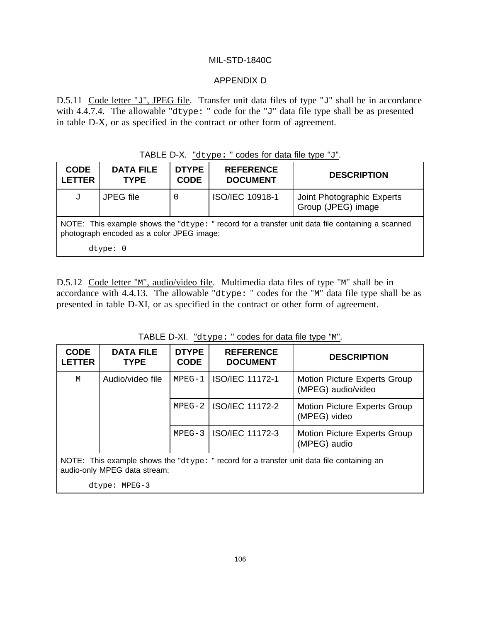## APPENDIX D

D.5.11 Code letter " $J$ ", JPEG file. Transfer unit data files of type " $J$ " shall be in accordance with 4.4.7.4. The allowable "dtype: " code for the "J" data file type shall be as presented in table D-X, or as specified in the contract or other form of agreement.

| TABLE D-X. "dtype: " codes for data file type "J". |  |  |  |  |  |
|----------------------------------------------------|--|--|--|--|--|
|----------------------------------------------------|--|--|--|--|--|

| <b>CODE</b><br><b>LETTER</b> | <b>DATA FILE</b><br><b>TYPE</b>                                                                                                                                | <b>DTYPE</b><br><b>CODE</b> | <b>REFERENCE</b><br><b>DOCUMENT</b> | <b>DESCRIPTION</b>                               |  |  |  |
|------------------------------|----------------------------------------------------------------------------------------------------------------------------------------------------------------|-----------------------------|-------------------------------------|--------------------------------------------------|--|--|--|
| J                            | JPEG file                                                                                                                                                      | 0                           | ISO/IEC 10918-1                     | Joint Photographic Experts<br>Group (JPEG) image |  |  |  |
|                              | NOTE: This example shows the "dtype: " record for a transfer unit data file containing a scanned<br>photograph encoded as a color JPEG image:<br>$dt$ vpe: $0$ |                             |                                     |                                                  |  |  |  |

D.5.12 Code letter "M", audio/video file. Multimedia data files of type "M" shall be in accordance with 4.4.13. The allowable "dtype: " codes for the "M" data file type shall be as presented in table D-XI, or as specified in the contract or other form of agreement.

| <b>CODE</b><br><b>LETTER</b>                                                                                                 | <b>DATA FILE</b><br><b>TYPE</b> | <b>DTYPE</b><br><b>CODE</b> | <b>REFERENCE</b><br><b>DOCUMENT</b> | <b>DESCRIPTION</b>                                        |  |
|------------------------------------------------------------------------------------------------------------------------------|---------------------------------|-----------------------------|-------------------------------------|-----------------------------------------------------------|--|
| M                                                                                                                            | Audio/video file                | $MPEG-1$                    | <b>ISO/IEC 11172-1</b>              | <b>Motion Picture Experts Group</b><br>(MPEG) audio/video |  |
|                                                                                                                              |                                 | $MPEG-2$                    | <b>ISO/IEC 11172-2</b>              | <b>Motion Picture Experts Group</b><br>(MPEG) video       |  |
|                                                                                                                              |                                 | $MPEG-3$                    | <b>ISO/IEC 11172-3</b>              | <b>Motion Picture Experts Group</b><br>(MPEG) audio       |  |
| NOTE: This example shows the " $dtype:$ " record for a transfer unit data file containing an<br>audio-only MPEG data stream: |                                 |                             |                                     |                                                           |  |

TABLE D-XI. "dtype: " codes for data file type "M".

dtype: MPEG-3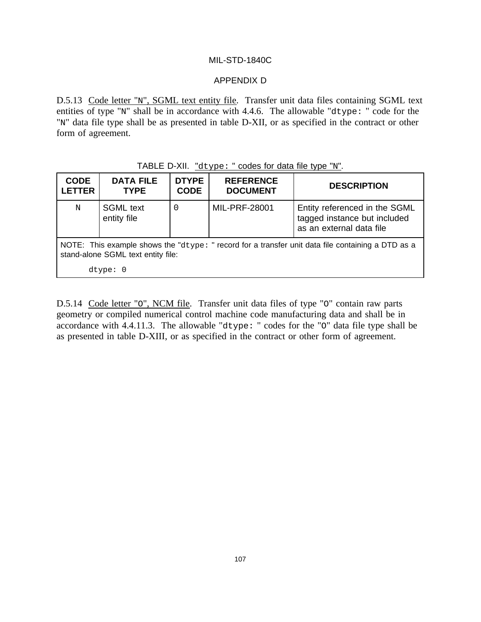## APPENDIX D

D.5.13 Code letter "N", SGML text entity file. Transfer unit data files containing SGML text entities of type "N" shall be in accordance with 4.4.6. The allowable "dtype: " code for the "N" data file type shall be as presented in table D-XII, or as specified in the contract or other form of agreement.

# TABLE D-XII. "dtype: " codes for data file type "N".

| <b>CODE</b><br><b>LETTER</b>                                                                                                                | <b>DATA FILE</b><br><b>TYPE</b> | <b>DTYPE</b><br><b>CODE</b> | <b>REFERENCE</b><br><b>DOCUMENT</b> | <b>DESCRIPTION</b>                                                                        |  |
|---------------------------------------------------------------------------------------------------------------------------------------------|---------------------------------|-----------------------------|-------------------------------------|-------------------------------------------------------------------------------------------|--|
| N                                                                                                                                           | <b>SGML</b> text<br>entity file | 0                           | MIL-PRF-28001                       | Entity referenced in the SGML<br>tagged instance but included<br>as an external data file |  |
| NOTE: This example shows the " $dtype$ : " record for a transfer unit data file containing a DTD as a<br>stand-alone SGML text entity file: |                                 |                             |                                     |                                                                                           |  |
|                                                                                                                                             | $dt$ vpe: $0$                   |                             |                                     |                                                                                           |  |

D.5.14 Code letter "O", NCM file. Transfer unit data files of type "O" contain raw parts geometry or compiled numerical control machine code manufacturing data and shall be in accordance with 4.4.11.3. The allowable "dtype: " codes for the "O" data file type shall be as presented in table D-XIII, or as specified in the contract or other form of agreement.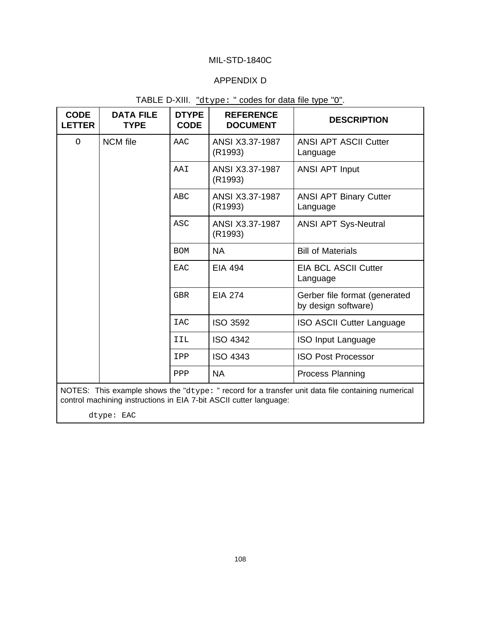# APPENDIX D

| <b>CODE</b><br><b>LETTER</b> | <b>DATA FILE</b><br><b>TYPE</b>                                                                                                                                         | <b>DTYPE</b><br><b>CODE</b> | <b>REFERENCE</b><br><b>DOCUMENT</b> | <b>DESCRIPTION</b>                                   |  |  |
|------------------------------|-------------------------------------------------------------------------------------------------------------------------------------------------------------------------|-----------------------------|-------------------------------------|------------------------------------------------------|--|--|
| $\circ$                      | <b>NCM</b> file                                                                                                                                                         | AAC                         | ANSI X3.37-1987<br>(R1993)          | <b>ANSI APT ASCII Cutter</b><br>Language             |  |  |
|                              |                                                                                                                                                                         | AAI                         | ANSI X3.37-1987<br>(R1993)          | <b>ANSI APT Input</b>                                |  |  |
|                              |                                                                                                                                                                         | ABC                         | ANSI X3.37-1987<br>(R1993)          | <b>ANSI APT Binary Cutter</b><br>Language            |  |  |
|                              |                                                                                                                                                                         | <b>ASC</b>                  | ANSI X3.37-1987<br>(R1993)          | <b>ANSI APT Sys-Neutral</b>                          |  |  |
|                              |                                                                                                                                                                         | <b>BOM</b>                  | <b>NA</b>                           | <b>Bill of Materials</b>                             |  |  |
|                              |                                                                                                                                                                         | <b>EAC</b>                  | <b>EIA 494</b>                      | <b>EIA BCL ASCII Cutter</b><br>Language              |  |  |
|                              |                                                                                                                                                                         | <b>GBR</b>                  | <b>EIA 274</b>                      | Gerber file format (generated<br>by design software) |  |  |
|                              |                                                                                                                                                                         | <b>IAC</b>                  | <b>ISO 3592</b>                     | <b>ISO ASCII Cutter Language</b>                     |  |  |
|                              |                                                                                                                                                                         | IIL                         | <b>ISO 4342</b>                     | <b>ISO Input Language</b>                            |  |  |
|                              |                                                                                                                                                                         | IPP                         | <b>ISO 4343</b>                     | <b>ISO Post Processor</b>                            |  |  |
|                              |                                                                                                                                                                         | PPP                         | <b>NA</b>                           | Process Planning                                     |  |  |
|                              | NOTES: This example shows the "dtype: " record for a transfer unit data file containing numerical<br>control machining instructions in EIA 7-bit ASCII cutter language: |                             |                                     |                                                      |  |  |

| TABLE D-XIII. "dtype: " codes for data file type "0". |  |  |  |  |  |  |  |
|-------------------------------------------------------|--|--|--|--|--|--|--|
|-------------------------------------------------------|--|--|--|--|--|--|--|

dtype: EAC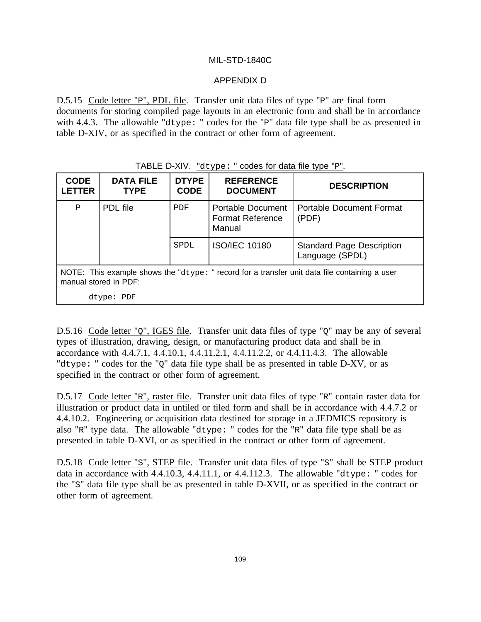# APPENDIX D

D.5.15 Code letter "P", PDL file. Transfer unit data files of type "P" are final form documents for storing compiled page layouts in an electronic form and shall be in accordance with 4.4.3. The allowable "dtype: " codes for the "P" data file type shall be as presented in table D-XIV, or as specified in the contract or other form of agreement.

| <b>CODE</b><br><b>LETTER</b>                                                                                              | <b>DATA FILE</b><br><b>TYPE</b> | <b>DTYPE</b><br><b>CODE</b> | <b>REFERENCE</b><br><b>DOCUMENT</b>                           | <b>DESCRIPTION</b>                                  |  |  |
|---------------------------------------------------------------------------------------------------------------------------|---------------------------------|-----------------------------|---------------------------------------------------------------|-----------------------------------------------------|--|--|
| $\, {\bf P}$                                                                                                              | PDL file                        | PDF                         | <b>Portable Document</b><br><b>Format Reference</b><br>Manual | Portable Document Format<br>(PDF)                   |  |  |
|                                                                                                                           |                                 | SPDL                        | <b>ISO/IEC 10180</b>                                          | <b>Standard Page Description</b><br>Language (SPDL) |  |  |
| NOTE: This example shows the " $dtype:$ " record for a transfer unit data file containing a user<br>manual stored in PDF: |                                 |                             |                                                               |                                                     |  |  |
|                                                                                                                           | dtype: PDF                      |                             |                                                               |                                                     |  |  |

# TABLE D-XIV. "dtype: " codes for data file type "P".

D.5.16 Code letter "Q", IGES file. Transfer unit data files of type "Q" may be any of several types of illustration, drawing, design, or manufacturing product data and shall be in accordance with 4.4.7.1, 4.4.10.1, 4.4.11.2.1, 4.4.11.2.2, or 4.4.11.4.3. The allowable "dtype: " codes for the "Q" data file type shall be as presented in table D-XV, or as specified in the contract or other form of agreement.

D.5.17 Code letter "R", raster file. Transfer unit data files of type "R" contain raster data for illustration or product data in untiled or tiled form and shall be in accordance with 4.4.7.2 or 4.4.10.2. Engineering or acquisition data destined for storage in a JEDMICS repository is also "R" type data. The allowable "dtype: " codes for the "R" data file type shall be as presented in table D-XVI, or as specified in the contract or other form of agreement.

D.5.18 Code letter "S", STEP file. Transfer unit data files of type "S" shall be STEP product data in accordance with 4.4.10.3, 4.4.11.1, or 4.4.112.3. The allowable "dtype: " codes for the "S" data file type shall be as presented in table D-XVII, or as specified in the contract or other form of agreement.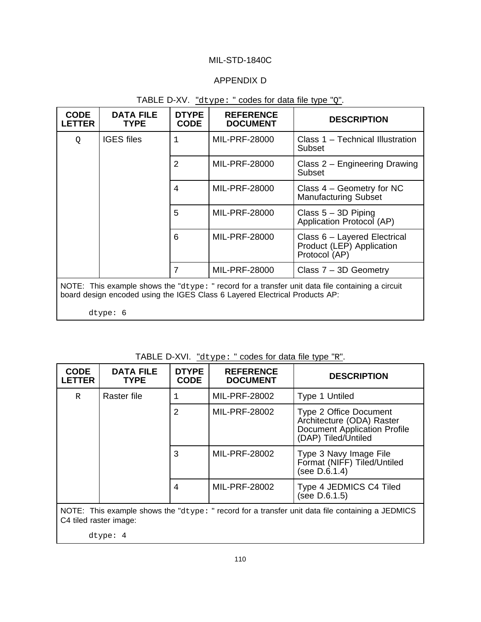# APPENDIX D

| <b>CODE</b><br><b>LETTER</b>                                                                                                                                                        | <b>DATA FILE</b><br><b>TYPE</b> | <b>DTYPE</b><br><b>CODE</b> | <b>REFERENCE</b><br><b>DOCUMENT</b> | <b>DESCRIPTION</b>                                                         |  |
|-------------------------------------------------------------------------------------------------------------------------------------------------------------------------------------|---------------------------------|-----------------------------|-------------------------------------|----------------------------------------------------------------------------|--|
| Q                                                                                                                                                                                   | <b>IGES</b> files               | $\mathbf{1}$                | MIL-PRF-28000                       | Class 1 – Technical Illustration<br>Subset                                 |  |
|                                                                                                                                                                                     |                                 | $\overline{2}$              | <b>MIL-PRF-28000</b>                | Class 2 – Engineering Drawing<br>Subset                                    |  |
|                                                                                                                                                                                     |                                 | 4                           | MIL-PRF-28000                       | Class $4 -$ Geometry for NC<br><b>Manufacturing Subset</b>                 |  |
|                                                                                                                                                                                     |                                 | 5                           | MIL-PRF-28000                       | Class $5 - 3D$ Piping<br>Application Protocol (AP)                         |  |
|                                                                                                                                                                                     |                                 | 6                           | MIL-PRF-28000                       | Class 6 - Layered Electrical<br>Product (LEP) Application<br>Protocol (AP) |  |
|                                                                                                                                                                                     |                                 | 7                           | MIL-PRF-28000                       | Class $7 - 3D$ Geometry                                                    |  |
| NOTE: This example shows the " $d$ type: " record for a transfer unit data file containing a circuit<br>board design encoded using the IGES Class 6 Layered Electrical Products AP: |                                 |                             |                                     |                                                                            |  |
|                                                                                                                                                                                     | $\text{dtype: } 6$              |                             |                                     |                                                                            |  |

# TABLE D-XV. "dtype: " codes for data file type "Q".

| TABLE D-XVI. "dtype: " codes for data file type "R". |  |  |  |  |  |
|------------------------------------------------------|--|--|--|--|--|
|------------------------------------------------------|--|--|--|--|--|

| <b>CODE</b><br><b>LETTER</b>                                                                                                   | <b>DATA FILE</b><br><b>TYPE</b> | <b>DTYPE</b><br><b>CODE</b> | <b>REFERENCE</b><br><b>DOCUMENT</b> | <b>DESCRIPTION</b>                                                                                                |  |
|--------------------------------------------------------------------------------------------------------------------------------|---------------------------------|-----------------------------|-------------------------------------|-------------------------------------------------------------------------------------------------------------------|--|
| R                                                                                                                              | Raster file                     | 1                           | MIL-PRF-28002                       | Type 1 Untiled                                                                                                    |  |
|                                                                                                                                |                                 | $\overline{2}$              | MIL-PRF-28002                       | Type 2 Office Document<br>Architecture (ODA) Raster<br><b>Document Application Profile</b><br>(DAP) Tiled/Untiled |  |
|                                                                                                                                |                                 |                             | MIL-PRF-28002                       | Type 3 Navy Image File<br>Format (NIFF) Tiled/Untiled<br>(see D.6.1.4)                                            |  |
|                                                                                                                                |                                 | 4                           | MIL-PRF-28002                       | Type 4 JEDMICS C4 Tiled<br>(see D.6.1.5)                                                                          |  |
| NOTE: This example shows the " $dtype$ : " record for a transfer unit data file containing a JEDMICS<br>C4 tiled raster image: |                                 |                             |                                     |                                                                                                                   |  |

dtype: 4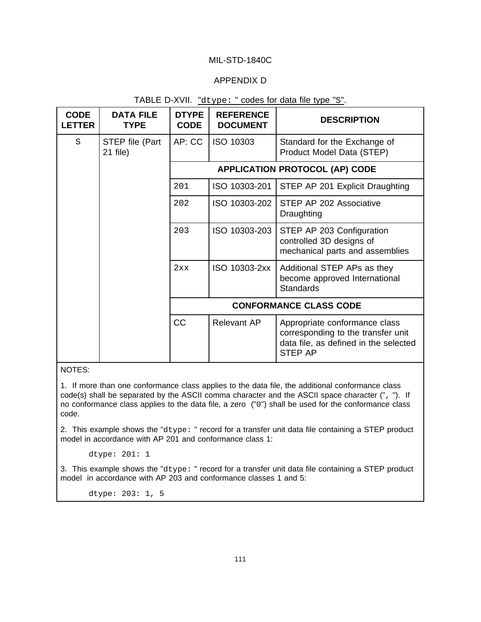## APPENDIX D

| TABLE D-XVII. "dtype: " codes for data file type "S". |  |  |  |  |
|-------------------------------------------------------|--|--|--|--|
|-------------------------------------------------------|--|--|--|--|

| <b>CODE</b><br><b>LETTER</b> | <b>DATA FILE</b><br><b>TYPE</b> | <b>DTYPE</b><br><b>CODE</b>           | <b>REFERENCE</b><br><b>DOCUMENT</b> | <b>DESCRIPTION</b>                                                                                                             |  |
|------------------------------|---------------------------------|---------------------------------------|-------------------------------------|--------------------------------------------------------------------------------------------------------------------------------|--|
| S                            | STEP file (Part<br>21 file)     | AP: CC                                | ISO 10303                           | Standard for the Exchange of<br>Product Model Data (STEP)                                                                      |  |
|                              |                                 | <b>APPLICATION PROTOCOL (AP) CODE</b> |                                     |                                                                                                                                |  |
|                              |                                 | 201                                   | ISO 10303-201                       | STEP AP 201 Explicit Draughting                                                                                                |  |
|                              |                                 | 202                                   | ISO 10303-202                       | STEP AP 202 Associative<br>Draughting                                                                                          |  |
|                              |                                 | 203                                   | ISO 10303-203                       | STEP AP 203 Configuration<br>controlled 3D designs of<br>mechanical parts and assemblies                                       |  |
|                              |                                 | 2xx                                   | ISO 10303-2xx                       | Additional STEP APs as they<br>become approved International<br><b>Standards</b>                                               |  |
|                              |                                 | <b>CONFORMANCE CLASS CODE</b>         |                                     |                                                                                                                                |  |
|                              |                                 | <b>CC</b>                             | Relevant AP                         | Appropriate conformance class<br>corresponding to the transfer unit<br>data file, as defined in the selected<br><b>STEP AP</b> |  |

NOTES:

1. If more than one conformance class applies to the data file, the additional conformance class code(s) shall be separated by the ASCII comma character and the ASCII space character (", "). If no conformance class applies to the data file, a zero ("0") shall be used for the conformance class code.

2. This example shows the "dtype: " record for a transfer unit data file containing a STEP product model in accordance with AP 201 and conformance class 1:

dtype: 201: 1

3. This example shows the "dtype: " record for a transfer unit data file containing a STEP product model in accordance with AP 203 and conformance classes 1 and 5:

dtype: 203: 1, 5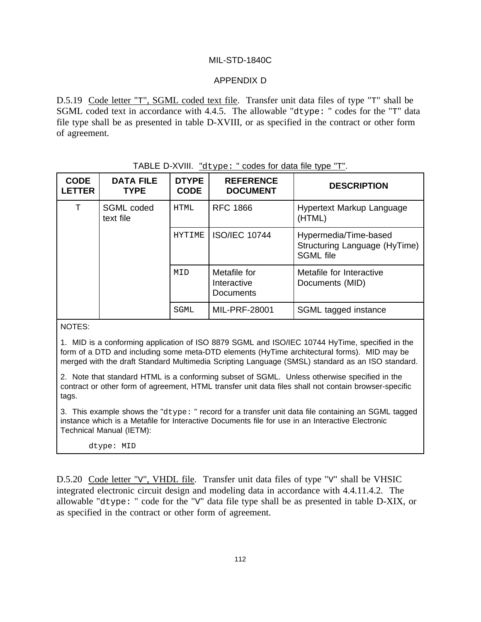# APPENDIX D

D.5.19 Code letter "T", SGML coded text file. Transfer unit data files of type "T" shall be SGML coded text in accordance with 4.4.5. The allowable "dtype: " codes for the "T" data file type shall be as presented in table D-XVIII, or as specified in the contract or other form of agreement.

| <b>CODE</b><br><b>LETTER</b> | <b>DATA FILE</b><br><b>TYPE</b> | <b>DTYPE</b><br><b>CODE</b> | <b>REFERENCE</b><br><b>DOCUMENT</b>             | <b>DESCRIPTION</b>                                                         |
|------------------------------|---------------------------------|-----------------------------|-------------------------------------------------|----------------------------------------------------------------------------|
| T                            | SGML coded<br>text file         | <b>HTML</b>                 | <b>RFC 1866</b>                                 | Hypertext Markup Language<br>(HTML)                                        |
|                              |                                 | <b>HYTIME</b>               | <b>ISO/IEC 10744</b>                            | Hypermedia/Time-based<br>Structuring Language (HyTime)<br><b>SGML</b> file |
|                              |                                 | MID                         | Metafile for<br>Interactive<br><b>Documents</b> | Metafile for Interactive<br>Documents (MID)                                |
|                              |                                 | SGML                        | MIL-PRF-28001                                   | SGML tagged instance                                                       |

# TABLE D-XVIII. "dtype: " codes for data file type "T".

NOTES:

1. MID is a conforming application of ISO 8879 SGML and ISO/IEC 10744 HyTime, specified in the form of a DTD and including some meta-DTD elements (HyTime architectural forms). MID may be merged with the draft Standard Multimedia Scripting Language (SMSL) standard as an ISO standard.

2. Note that standard HTML is a conforming subset of SGML. Unless otherwise specified in the contract or other form of agreement, HTML transfer unit data files shall not contain browser-specific tags.

3. This example shows the "dtype: " record for a transfer unit data file containing an SGML tagged instance which is a Metafile for Interactive Documents file for use in an Interactive Electronic Technical Manual (IETM):

#### dtype: MID

D.5.20 Code letter "V", VHDL file. Transfer unit data files of type "V" shall be VHSIC integrated electronic circuit design and modeling data in accordance with 4.4.11.4.2. The allowable "dtype: " code for the "V" data file type shall be as presented in table D-XIX, or as specified in the contract or other form of agreement.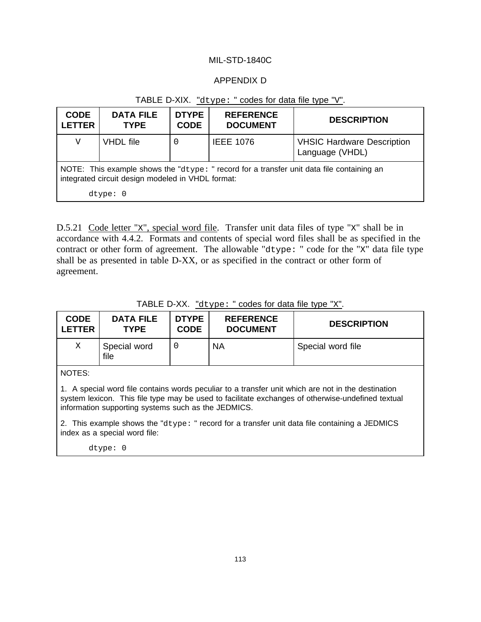# APPENDIX D

| <b>CODE</b><br><b>LETTER</b>                                                                                                                   | <b>DATA FILE</b><br><b>TYPE</b> | <b>DTYPE</b><br><b>CODE</b> | <b>REFERENCE</b><br><b>DOCUMENT</b> | <b>DESCRIPTION</b>                                   |  |
|------------------------------------------------------------------------------------------------------------------------------------------------|---------------------------------|-----------------------------|-------------------------------------|------------------------------------------------------|--|
| V                                                                                                                                              | <b>VHDL</b> file                | 0                           | <b>IEEE 1076</b>                    | <b>VHSIC Hardware Description</b><br>Language (VHDL) |  |
| NOTE: This example shows the "dtype: " record for a transfer unit data file containing an<br>integrated circuit design modeled in VHDL format: |                                 |                             |                                     |                                                      |  |
| $dt$ vpe: $0$                                                                                                                                  |                                 |                             |                                     |                                                      |  |

# TABLE D-XIX. "dtype: " codes for data file type "V".

D.5.21 Code letter "x", special word file. Transfer unit data files of type "x" shall be in accordance with 4.4.2. Formats and contents of special word files shall be as specified in the contract or other form of agreement. The allowable "dtype: " code for the "X" data file type shall be as presented in table D-XX, or as specified in the contract or other form of agreement.

| <b>CODE</b><br><b>LETTER</b> | <b>DATA FILE</b><br><b>TYPE</b> | <b>DTYPE</b><br><b>CODE</b> | <b>REFERENCE</b><br><b>DOCUMENT</b> | <b>DESCRIPTION</b>                                                                                                                                                                                      |
|------------------------------|---------------------------------|-----------------------------|-------------------------------------|---------------------------------------------------------------------------------------------------------------------------------------------------------------------------------------------------------|
| Χ                            | Special word<br>file            | 0                           | <b>NA</b>                           | Special word file                                                                                                                                                                                       |
| NOTES:                       |                                 |                             |                                     |                                                                                                                                                                                                         |
|                              |                                 |                             |                                     | 1. A special word file contains words peculiar to a transfer unit which are not in the destination<br>system lexicon. This file type may be used to facilitate exchanges of otherwise-undefined textual |

TABLE D-XX. "dtype: " codes for data file type "X".

system lexicon. This file type may be used to facilitate exchanges of otherwise-undefined textual information supporting systems such as the JEDMICS.

2. This example shows the "dtype: " record for a transfer unit data file containing a JEDMICS index as a special word file:

dtype: 0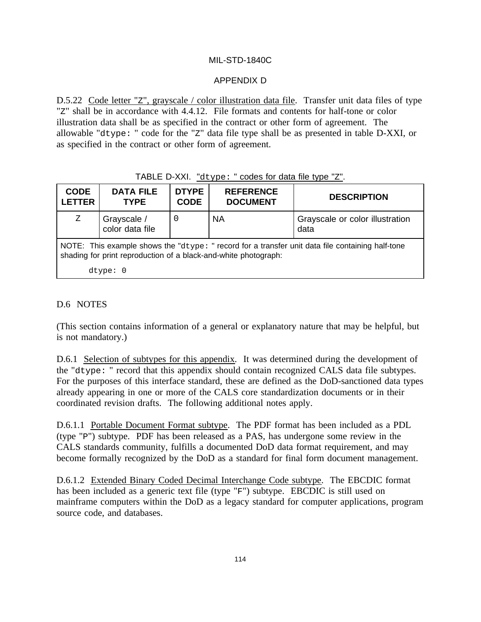# APPENDIX D

D.5.22 Code letter "z", grayscale / color illustration data file. Transfer unit data files of type "Z" shall be in accordance with 4.4.12. File formats and contents for half-tone or color illustration data shall be as specified in the contract or other form of agreement. The allowable "dtype: " code for the "Z" data file type shall be as presented in table D-XXI, or as specified in the contract or other form of agreement.

# TABLE D-XXI. "dtype: " codes for data file type "Z".

| <b>CODE</b><br><b>LETTER</b>                                                                                                                                        | <b>DATA FILE</b><br><b>TYPE</b> | <b>DTYPE</b><br><b>CODE</b> | <b>REFERENCE</b><br><b>DOCUMENT</b> | <b>DESCRIPTION</b>                      |  |
|---------------------------------------------------------------------------------------------------------------------------------------------------------------------|---------------------------------|-----------------------------|-------------------------------------|-----------------------------------------|--|
| Ζ                                                                                                                                                                   | Grayscale /<br>color data file  |                             | <b>NA</b>                           | Grayscale or color illustration<br>data |  |
| NOTE: This example shows the "dtype: " record for a transfer unit data file containing half-tone<br>shading for print reproduction of a black-and-white photograph: |                                 |                             |                                     |                                         |  |
|                                                                                                                                                                     | $dt$ vpe: $0$                   |                             |                                     |                                         |  |

# D.6 NOTES

(This section contains information of a general or explanatory nature that may be helpful, but is not mandatory.)

D.6.1 Selection of subtypes for this appendix. It was determined during the development of the "dtype: " record that this appendix should contain recognized CALS data file subtypes. For the purposes of this interface standard, these are defined as the DoD-sanctioned data types already appearing in one or more of the CALS core standardization documents or in their coordinated revision drafts. The following additional notes apply.

D.6.1.1 Portable Document Format subtype. The PDF format has been included as a PDL (type "P") subtype. PDF has been released as a PAS, has undergone some review in the CALS standards community, fulfills a documented DoD data format requirement, and may become formally recognized by the DoD as a standard for final form document management.

D.6.1.2 Extended Binary Coded Decimal Interchange Code subtype. The EBCDIC format has been included as a generic text file (type "F") subtype. EBCDIC is still used on mainframe computers within the DoD as a legacy standard for computer applications, program source code, and databases.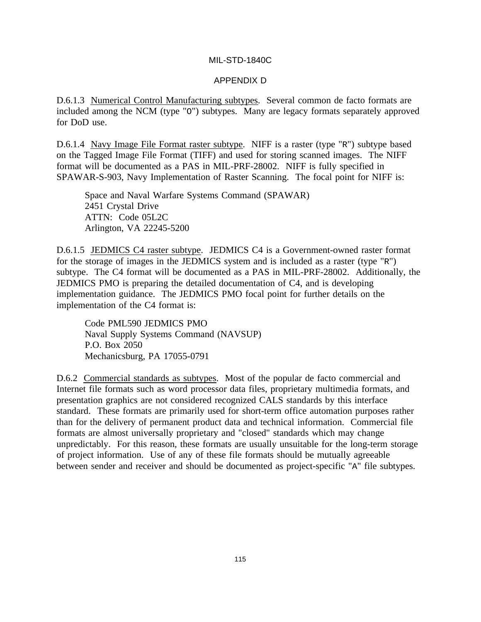#### APPENDIX D

D.6.1.3 Numerical Control Manufacturing subtypes. Several common de facto formats are included among the NCM (type "O") subtypes. Many are legacy formats separately approved for DoD use.

D.6.1.4 Navy Image File Format raster subtype. NIFF is a raster (type "R") subtype based on the Tagged Image File Format (TIFF) and used for storing scanned images. The NIFF format will be documented as a PAS in MIL-PRF-28002. NIFF is fully specified in SPAWAR-S-903, Navy Implementation of Raster Scanning. The focal point for NIFF is:

Space and Naval Warfare Systems Command (SPAWAR) 2451 Crystal Drive ATTN: Code 05L2C Arlington, VA 22245-5200

D.6.1.5 JEDMICS C4 raster subtype. JEDMICS C4 is a Government-owned raster format for the storage of images in the JEDMICS system and is included as a raster (type "R") subtype. The C4 format will be documented as a PAS in MIL-PRF-28002. Additionally, the JEDMICS PMO is preparing the detailed documentation of C4, and is developing implementation guidance. The JEDMICS PMO focal point for further details on the implementation of the C4 format is:

Code PML590 JEDMICS PMO Naval Supply Systems Command (NAVSUP) P.O. Box 2050 Mechanicsburg, PA 17055-0791

D.6.2 Commercial standards as subtypes. Most of the popular de facto commercial and Internet file formats such as word processor data files, proprietary multimedia formats, and presentation graphics are not considered recognized CALS standards by this interface standard. These formats are primarily used for short-term office automation purposes rather than for the delivery of permanent product data and technical information. Commercial file formats are almost universally proprietary and "closed" standards which may change unpredictably. For this reason, these formats are usually unsuitable for the long-term storage of project information. Use of any of these file formats should be mutually agreeable between sender and receiver and should be documented as project-specific "A" file subtypes.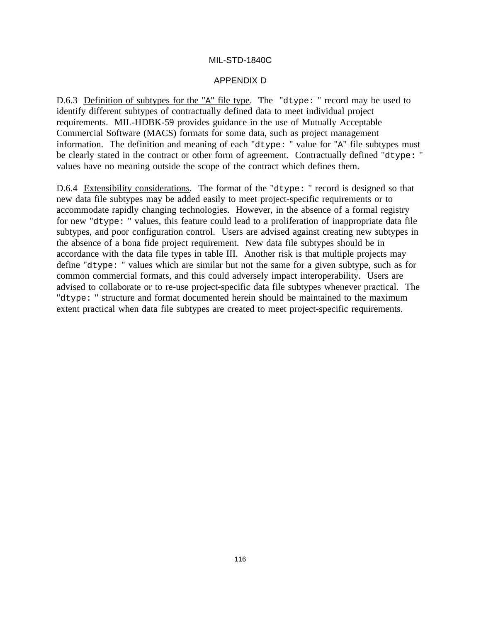#### APPENDIX D

D.6.3 Definition of subtypes for the "A" file type. The "dtype: " record may be used to identify different subtypes of contractually defined data to meet individual project requirements. MIL-HDBK-59 provides guidance in the use of Mutually Acceptable Commercial Software (MACS) formats for some data, such as project management information. The definition and meaning of each "dtype: " value for "A" file subtypes must be clearly stated in the contract or other form of agreement. Contractually defined "dtype: " values have no meaning outside the scope of the contract which defines them.

D.6.4 Extensibility considerations. The format of the "dtype: " record is designed so that new data file subtypes may be added easily to meet project-specific requirements or to accommodate rapidly changing technologies. However, in the absence of a formal registry for new "dtype: " values, this feature could lead to a proliferation of inappropriate data file subtypes, and poor configuration control. Users are advised against creating new subtypes in the absence of a bona fide project requirement. New data file subtypes should be in accordance with the data file types in table III. Another risk is that multiple projects may define "dtype: " values which are similar but not the same for a given subtype, such as for common commercial formats, and this could adversely impact interoperability. Users are advised to collaborate or to re-use project-specific data file subtypes whenever practical. The "dtype: " structure and format documented herein should be maintained to the maximum extent practical when data file subtypes are created to meet project-specific requirements.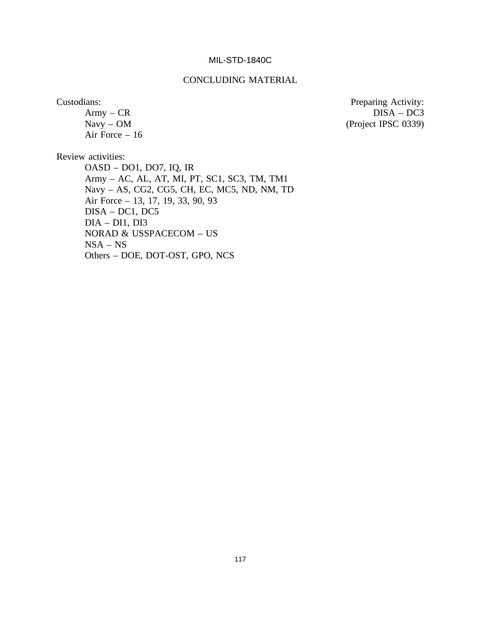### CONCLUDING MATERIAL

Air Force – 16

Custodians: Preparing Activity: Army – CR DISA – DC3 (Project IPSC 0339)

Review activities:

OASD – DO1, DO7, IQ, IR Army – AC, AL, AT, MI, PT, SC1, SC3, TM, TM1 Navy – AS, CG2, CG5, CH, EC, MC5, ND, NM, TD Air Force – 13, 17, 19, 33, 90, 93 DISA – DC1, DC5 DIA – DI1, DI3 NORAD & USSPACECOM – US NSA – NS Others – DOE, DOT-OST, GPO, NCS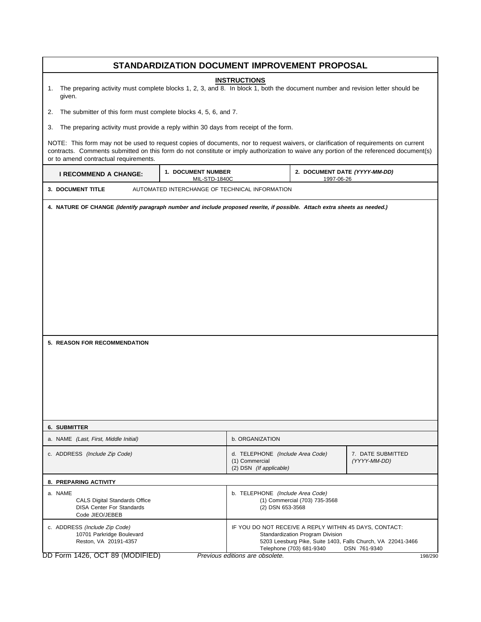| STANDARDIZATION DOCUMENT IMPROVEMENT PROPOSAL                                                                                                                                                                                                                                                                          |                                                                                    |                                                                               |                                                              |                                                                             |         |  |  |
|------------------------------------------------------------------------------------------------------------------------------------------------------------------------------------------------------------------------------------------------------------------------------------------------------------------------|------------------------------------------------------------------------------------|-------------------------------------------------------------------------------|--------------------------------------------------------------|-----------------------------------------------------------------------------|---------|--|--|
| <b>INSTRUCTIONS</b><br>The preparing activity must complete blocks 1, 2, 3, and 8. In block 1, both the document number and revision letter should be<br>1.<br>given.                                                                                                                                                  |                                                                                    |                                                                               |                                                              |                                                                             |         |  |  |
| The submitter of this form must complete blocks 4, 5, 6, and 7.<br>2.                                                                                                                                                                                                                                                  |                                                                                    |                                                                               |                                                              |                                                                             |         |  |  |
| The preparing activity must provide a reply within 30 days from receipt of the form.<br>3.                                                                                                                                                                                                                             |                                                                                    |                                                                               |                                                              |                                                                             |         |  |  |
| NOTE: This form may not be used to request copies of documents, nor to request waivers, or clarification of requirements on current<br>contracts. Comments submitted on this form do not constitute or imply authorization to waive any portion of the referenced document(s)<br>or to amend contractual requirements. |                                                                                    |                                                                               |                                                              |                                                                             |         |  |  |
| <b>I RECOMMEND A CHANGE:</b>                                                                                                                                                                                                                                                                                           | 1. DOCUMENT NUMBER<br>2. DOCUMENT DATE (YYYY-MM-DD)<br>MIL-STD-1840C<br>1997-06-26 |                                                                               |                                                              |                                                                             |         |  |  |
| 3. DOCUMENT TITLE                                                                                                                                                                                                                                                                                                      | AUTOMATED INTERCHANGE OF TECHNICAL INFORMATION                                     |                                                                               |                                                              |                                                                             |         |  |  |
| 5. REASON FOR RECOMMENDATION                                                                                                                                                                                                                                                                                           |                                                                                    |                                                                               |                                                              |                                                                             |         |  |  |
| <b>6. SUBMITTER</b>                                                                                                                                                                                                                                                                                                    |                                                                                    |                                                                               |                                                              |                                                                             |         |  |  |
| a. NAME (Last, First, Middle Initial)                                                                                                                                                                                                                                                                                  |                                                                                    | b. ORGANIZATION                                                               |                                                              |                                                                             |         |  |  |
| c. ADDRESS (Include Zip Code)                                                                                                                                                                                                                                                                                          |                                                                                    | d. TELEPHONE (Include Area Code)<br>(1) Commercial<br>(2) DSN (If applicable) |                                                              | 7. DATE SUBMITTED<br>(YYYY-MM-DD)                                           |         |  |  |
| 8. PREPARING ACTIVITY                                                                                                                                                                                                                                                                                                  |                                                                                    |                                                                               |                                                              |                                                                             |         |  |  |
| a. NAME<br><b>CALS Digital Standards Office</b><br><b>DISA Center For Standards</b><br>Code JIEO/JEBEB                                                                                                                                                                                                                 |                                                                                    | b. TELEPHONE (Include Area Code)<br>(2) DSN 653-3568                          | (1) Commercial (703) 735-3568                                |                                                                             |         |  |  |
| c. ADDRESS (Include Zip Code)<br>10701 Parkridge Boulevard<br>Reston, VA 20191-4357                                                                                                                                                                                                                                    |                                                                                    | IF YOU DO NOT RECEIVE A REPLY WITHIN 45 DAYS, CONTACT:                        | Standardization Program Division<br>Telephone (703) 681-9340 | 5203 Leesburg Pike, Suite 1403, Falls Church, VA 22041-3466<br>DSN 761-9340 |         |  |  |
| DD Form 1426, OCT 89 (MODIFIED)                                                                                                                                                                                                                                                                                        |                                                                                    | Previous editions are obsolete.                                               |                                                              |                                                                             | 198/290 |  |  |